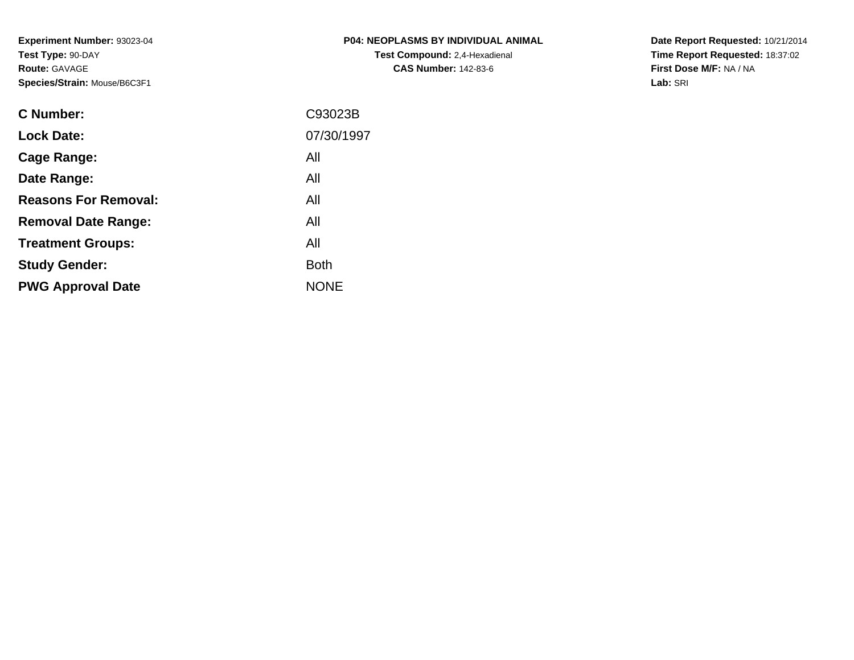**Experiment Number:** 93023-04**Test Type:** 90-DAY**Route:** GAVAGE**Species/Strain:** Mouse/B6C3F1

| <b>P04: NEOPLASMS BY INDIVIDUAL ANIMAL</b> |
|--------------------------------------------|
| <b>Test Compound: 2.4-Hexadienal</b>       |
| <b>CAS Number: 142-83-6</b>                |

**Date Report Requested:** 10/21/2014 **Time Report Requested:** 18:37:02**First Dose M/F:** NA / NA**Lab:** SRI

| C93023B     |
|-------------|
| 07/30/1997  |
| All         |
| All         |
| All         |
| All         |
| All         |
| <b>Both</b> |
| <b>NONE</b> |
|             |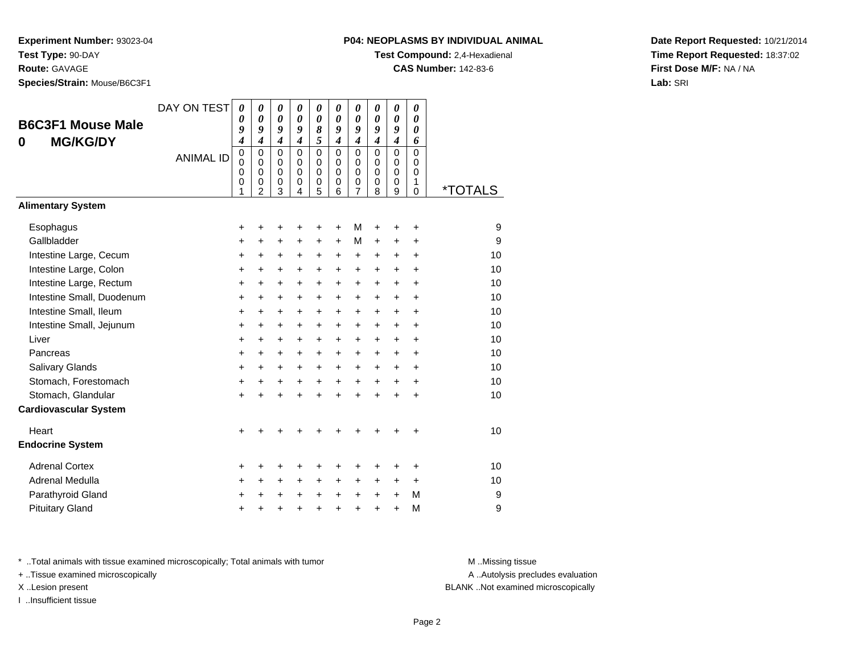**Route:** GAVAGE

**Species/Strain:** Mouse/B6C3F1

# **P04: NEOPLASMS BY INDIVIDUAL ANIMAL**

**Test Compound:** 2,4-Hexadienal

**CAS Number:** 142-83-6

**Date Report Requested:** 10/21/2014**Time Report Requested:** 18:37:02**First Dose M/F:** NA / NA**Lab:** SRI

| <b>B6C3F1 Mouse Male</b><br><b>MG/KG/DY</b><br>0 | DAY ON TEST<br><b>ANIMAL ID</b> | $\boldsymbol{\theta}$<br>0<br>9<br>4<br>$\mathbf 0$<br>$\mathbf 0$<br>0<br>0<br>1 | $\boldsymbol{\theta}$<br>$\boldsymbol{\theta}$<br>9<br>$\overline{\boldsymbol{4}}$<br>$\mathbf 0$<br>$\mathbf 0$<br>$\mathbf 0$<br>$\mathbf 0$<br>$\overline{2}$ | 0<br>$\boldsymbol{\theta}$<br>9<br>$\overline{\boldsymbol{4}}$<br>$\mathbf 0$<br>$\mathbf 0$<br>$\mathbf 0$<br>0<br>3 | 0<br>$\boldsymbol{\theta}$<br>9<br>$\boldsymbol{4}$<br>$\mathbf 0$<br>$\Omega$<br>$\mathbf 0$<br>$\mathbf 0$<br>4 | 0<br>$\boldsymbol{\theta}$<br>8<br>5<br>$\mathbf 0$<br>$\mathbf 0$<br>$\mathbf 0$<br>$\mathbf 0$<br>5 | 0<br>$\boldsymbol{\theta}$<br>9<br>$\boldsymbol{4}$<br>$\mathbf 0$<br>0<br>0<br>$\mathbf 0$<br>6 | 0<br>$\boldsymbol{\theta}$<br>9<br>$\overline{4}$<br>0<br>$\mathbf 0$<br>$\mathbf 0$<br>0<br>$\overline{7}$ | 0<br>$\boldsymbol{\theta}$<br>9<br>$\boldsymbol{4}$<br>$\Omega$<br>$\mathbf 0$<br>0<br>$\mathbf 0$<br>8 | 0<br>$\boldsymbol{\theta}$<br>$\boldsymbol{g}$<br>$\boldsymbol{4}$<br>$\mathbf 0$<br>$\mathbf 0$<br>$\mathbf 0$<br>$\mathbf 0$<br>9 | 0<br>$\boldsymbol{\theta}$<br>0<br>6<br>$\mathbf 0$<br>$\mathbf 0$<br>0<br>$\mathbf{1}$<br>$\Omega$ | <i><b>*TOTALS</b></i> |
|--------------------------------------------------|---------------------------------|-----------------------------------------------------------------------------------|------------------------------------------------------------------------------------------------------------------------------------------------------------------|-----------------------------------------------------------------------------------------------------------------------|-------------------------------------------------------------------------------------------------------------------|-------------------------------------------------------------------------------------------------------|--------------------------------------------------------------------------------------------------|-------------------------------------------------------------------------------------------------------------|---------------------------------------------------------------------------------------------------------|-------------------------------------------------------------------------------------------------------------------------------------|-----------------------------------------------------------------------------------------------------|-----------------------|
| <b>Alimentary System</b>                         |                                 |                                                                                   |                                                                                                                                                                  |                                                                                                                       |                                                                                                                   |                                                                                                       |                                                                                                  |                                                                                                             |                                                                                                         |                                                                                                                                     |                                                                                                     |                       |
| Esophagus                                        |                                 | +                                                                                 | ٠                                                                                                                                                                | ٠                                                                                                                     | +                                                                                                                 | +                                                                                                     | +                                                                                                | М                                                                                                           | +                                                                                                       |                                                                                                                                     | $\ddot{}$                                                                                           | 9                     |
| Gallbladder                                      |                                 | +                                                                                 | $\ddot{}$                                                                                                                                                        | $\ddot{}$                                                                                                             | $\ddot{}$                                                                                                         | $\ddot{}$                                                                                             | $\ddot{}$                                                                                        | M                                                                                                           | $\ddot{}$                                                                                               | $\ddot{}$                                                                                                                           | $\ddot{}$                                                                                           | 9                     |
| Intestine Large, Cecum                           |                                 | $\ddot{}$                                                                         | $\ddot{}$                                                                                                                                                        | $\ddot{}$                                                                                                             | $\ddot{}$                                                                                                         | $\ddot{}$                                                                                             | $\ddot{}$                                                                                        | $\ddot{}$                                                                                                   | $\ddot{}$                                                                                               | $+$                                                                                                                                 | $\ddot{}$                                                                                           | 10                    |
| Intestine Large, Colon                           |                                 | $\ddot{}$                                                                         | $\ddot{}$                                                                                                                                                        | $\ddot{}$                                                                                                             | $\ddot{}$                                                                                                         | $\ddot{}$                                                                                             | $\ddot{}$                                                                                        | $\ddot{}$                                                                                                   | $\ddot{}$                                                                                               | $\ddot{}$                                                                                                                           | $\ddot{}$                                                                                           | 10                    |
| Intestine Large, Rectum                          |                                 | +                                                                                 | +                                                                                                                                                                | +                                                                                                                     | +                                                                                                                 | +                                                                                                     | +                                                                                                | +                                                                                                           | +                                                                                                       | $\ddot{}$                                                                                                                           | $\ddot{}$                                                                                           | 10                    |
| Intestine Small, Duodenum                        |                                 | $\ddot{}$                                                                         | $\ddot{}$                                                                                                                                                        | $\ddot{}$                                                                                                             | $\ddot{}$                                                                                                         | $\ddot{}$                                                                                             | $\ddot{}$                                                                                        | $\ddot{}$                                                                                                   | $\ddot{}$                                                                                               | $+$                                                                                                                                 | $+$                                                                                                 | 10                    |
| Intestine Small, Ileum                           |                                 | +                                                                                 | $\ddot{}$                                                                                                                                                        | +                                                                                                                     | $\ddot{}$                                                                                                         | $\ddot{}$                                                                                             | $\ddot{}$                                                                                        | $\ddot{}$                                                                                                   | $\ddot{}$                                                                                               | $+$                                                                                                                                 | $\ddot{}$                                                                                           | 10                    |
| Intestine Small, Jejunum                         |                                 | $\ddot{}$                                                                         | $\ddot{}$                                                                                                                                                        | $\ddot{}$                                                                                                             | $\ddot{}$                                                                                                         | $\ddot{}$                                                                                             | $\ddot{}$                                                                                        | $\ddot{}$                                                                                                   | $\ddot{}$                                                                                               | $+$                                                                                                                                 | $\ddot{}$                                                                                           | 10                    |
| Liver                                            |                                 | $\ddot{}$                                                                         | +                                                                                                                                                                | +                                                                                                                     | +                                                                                                                 | +                                                                                                     | $\ddot{}$                                                                                        | +                                                                                                           | +                                                                                                       | $\ddot{}$                                                                                                                           | $\ddot{}$                                                                                           | 10                    |
| Pancreas                                         |                                 | $\ddot{}$                                                                         | +                                                                                                                                                                | $\ddot{}$                                                                                                             | $\ddot{}$                                                                                                         | $\ddot{}$                                                                                             | $\ddot{}$                                                                                        | $\ddot{}$                                                                                                   | $\ddot{}$                                                                                               | $\ddot{}$                                                                                                                           | $\ddot{}$                                                                                           | 10                    |
| Salivary Glands                                  |                                 | $\ddot{}$                                                                         | $+$                                                                                                                                                              | $+$                                                                                                                   | $\ddot{}$                                                                                                         | $+$                                                                                                   | $+$                                                                                              | $\ddot{}$                                                                                                   | $+$                                                                                                     | $+$                                                                                                                                 | $+$                                                                                                 | 10                    |
| Stomach, Forestomach                             |                                 | $\ddot{}$                                                                         | $\ddot{}$                                                                                                                                                        | $\ddot{}$                                                                                                             | $\ddot{}$                                                                                                         | $\ddot{}$                                                                                             | $+$                                                                                              | $\ddot{}$                                                                                                   | $+$                                                                                                     | $+$                                                                                                                                 | $\ddot{}$                                                                                           | 10                    |
| Stomach, Glandular                               |                                 | $\ddot{}$                                                                         |                                                                                                                                                                  | $\ddot{}$                                                                                                             | $\ddot{}$                                                                                                         | $\ddot{}$                                                                                             | $\ddot{}$                                                                                        | $\ddot{}$                                                                                                   | $\ddot{}$                                                                                               | $\ddot{}$                                                                                                                           | $\ddot{}$                                                                                           | 10                    |
| <b>Cardiovascular System</b>                     |                                 |                                                                                   |                                                                                                                                                                  |                                                                                                                       |                                                                                                                   |                                                                                                       |                                                                                                  |                                                                                                             |                                                                                                         |                                                                                                                                     |                                                                                                     |                       |
| Heart                                            |                                 | +                                                                                 |                                                                                                                                                                  | +                                                                                                                     |                                                                                                                   |                                                                                                       |                                                                                                  |                                                                                                             |                                                                                                         |                                                                                                                                     |                                                                                                     | 10                    |
| <b>Endocrine System</b>                          |                                 |                                                                                   |                                                                                                                                                                  |                                                                                                                       |                                                                                                                   |                                                                                                       |                                                                                                  |                                                                                                             |                                                                                                         |                                                                                                                                     |                                                                                                     |                       |
| <b>Adrenal Cortex</b>                            |                                 | +                                                                                 | +                                                                                                                                                                | ٠                                                                                                                     | +                                                                                                                 | +                                                                                                     | ٠                                                                                                | +                                                                                                           | +                                                                                                       |                                                                                                                                     | ÷                                                                                                   | 10                    |
| Adrenal Medulla                                  |                                 | +                                                                                 | +                                                                                                                                                                | +                                                                                                                     | +                                                                                                                 | +                                                                                                     | +                                                                                                | +                                                                                                           | $\ddot{}$                                                                                               | $\ddot{}$                                                                                                                           | $\ddot{}$                                                                                           | 10                    |
| Parathyroid Gland                                |                                 | +                                                                                 | +                                                                                                                                                                | $\ddot{}$                                                                                                             | $\ddot{}$                                                                                                         | $\ddot{}$                                                                                             | $\ddot{}$                                                                                        | $\ddot{}$                                                                                                   | $\ddot{}$                                                                                               | $+$                                                                                                                                 | М                                                                                                   | 9                     |
| <b>Pituitary Gland</b>                           |                                 |                                                                                   |                                                                                                                                                                  | +                                                                                                                     | +                                                                                                                 | +                                                                                                     |                                                                                                  | +                                                                                                           | +                                                                                                       | $\ddot{}$                                                                                                                           | M                                                                                                   | 9                     |

\* ..Total animals with tissue examined microscopically; Total animals with tumor **M** . Missing tissue M ..Missing tissue

+ ..Tissue examined microscopically

I ..Insufficient tissue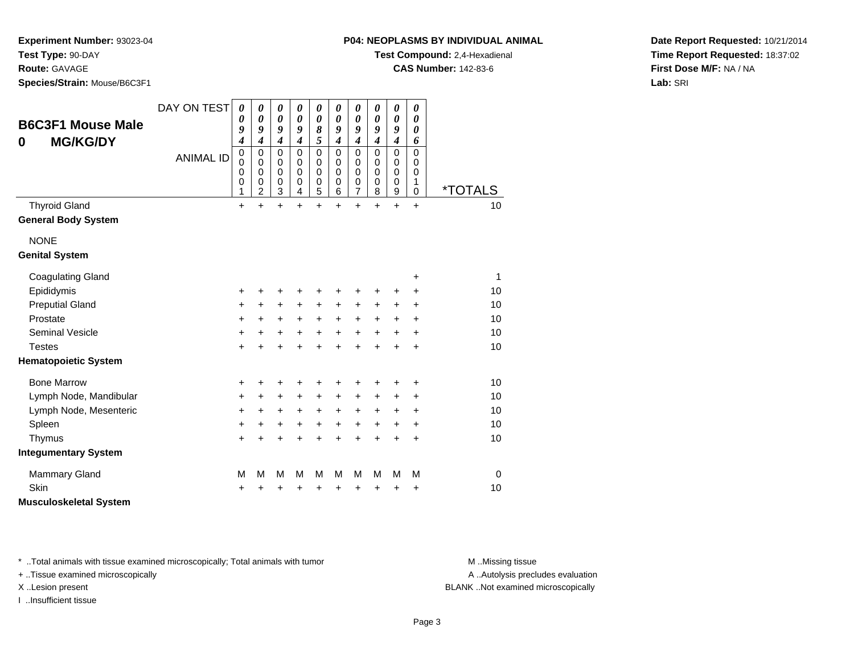**Test Type:** 90-DAY

**Route:** GAVAGE

**Species/Strain:** Mouse/B6C3F1

**Test Compound:** 2,4-Hexadienal

**CAS Number:** 142-83-6

**Date Report Requested:** 10/21/2014**Time Report Requested:** 18:37:02**First Dose M/F:** NA / NA**Lab:** SRI

| <b>B6C3F1 Mouse Male</b><br><b>MG/KG/DY</b><br>0 | DAY ON TEST      | $\boldsymbol{\theta}$<br>0<br>9<br>4      | 0<br>$\boldsymbol{\theta}$<br>9<br>$\boldsymbol{4}$              | 0<br>$\boldsymbol{\theta}$<br>9<br>$\boldsymbol{4}$ | 0<br>0<br>9<br>4                | 0<br>$\boldsymbol{\theta}$<br>8<br>5                | 0<br>0<br>9<br>$\boldsymbol{4}$           | $\boldsymbol{\theta}$<br>$\boldsymbol{\theta}$<br>9<br>$\boldsymbol{4}$ | 0<br>$\boldsymbol{\theta}$<br>9<br>4      | $\boldsymbol{\theta}$<br>$\boldsymbol{\theta}$<br>9<br>$\boldsymbol{4}$ | 0<br>$\boldsymbol{\theta}$<br>$\boldsymbol{\theta}$<br>6 |                       |
|--------------------------------------------------|------------------|-------------------------------------------|------------------------------------------------------------------|-----------------------------------------------------|---------------------------------|-----------------------------------------------------|-------------------------------------------|-------------------------------------------------------------------------|-------------------------------------------|-------------------------------------------------------------------------|----------------------------------------------------------|-----------------------|
|                                                  | <b>ANIMAL ID</b> | $\mathbf 0$<br>0<br>0<br>$\mathbf 0$<br>1 | $\mathbf 0$<br>0<br>$\mathbf 0$<br>$\mathbf 0$<br>$\overline{c}$ | $\mathbf 0$<br>0<br>$\mathbf 0$<br>$\mathbf 0$<br>3 | 0<br>0<br>$\mathbf 0$<br>0<br>4 | $\mathbf 0$<br>0<br>$\mathbf 0$<br>$\mathbf 0$<br>5 | $\mathbf 0$<br>0<br>$\mathbf 0$<br>0<br>6 | $\mathbf 0$<br>0<br>$\mathbf 0$<br>$\mathbf 0$<br>$\overline{7}$        | $\mathbf 0$<br>0<br>$\mathbf 0$<br>0<br>8 | $\mathbf 0$<br>0<br>$\mathbf 0$<br>$\pmb{0}$<br>$\boldsymbol{9}$        | $\mathbf 0$<br>$\Omega$<br>$\Omega$<br>1<br>$\Omega$     | <i><b>*TOTALS</b></i> |
| <b>Thyroid Gland</b>                             |                  | $\ddot{}$                                 | $\ddot{}$                                                        | $\ddot{}$                                           | $\ddot{}$                       | $\ddot{}$                                           | $\ddot{}$                                 | $\ddot{}$                                                               | $\ddot{}$                                 | $+$                                                                     | $+$                                                      | 10                    |
| <b>General Body System</b>                       |                  |                                           |                                                                  |                                                     |                                 |                                                     |                                           |                                                                         |                                           |                                                                         |                                                          |                       |
| <b>NONE</b>                                      |                  |                                           |                                                                  |                                                     |                                 |                                                     |                                           |                                                                         |                                           |                                                                         |                                                          |                       |
| <b>Genital System</b>                            |                  |                                           |                                                                  |                                                     |                                 |                                                     |                                           |                                                                         |                                           |                                                                         |                                                          |                       |
| <b>Coagulating Gland</b>                         |                  |                                           |                                                                  |                                                     |                                 |                                                     |                                           |                                                                         |                                           |                                                                         | +                                                        | 1                     |
| Epididymis                                       |                  | +                                         | +                                                                | +                                                   | +                               | +                                                   | +                                         | +                                                                       | +                                         | +                                                                       | ٠                                                        | 10                    |
| <b>Preputial Gland</b>                           |                  | +                                         | +                                                                | +                                                   | +                               | +                                                   | +                                         | +                                                                       | +                                         | +                                                                       | +                                                        | 10                    |
| Prostate                                         |                  | +                                         | $\ddot{}$                                                        | +                                                   | $\ddot{}$                       | $\ddot{}$                                           | $\ddot{}$                                 | $\ddot{}$                                                               | $\ddot{}$                                 | $\ddot{}$                                                               | $\ddot{}$                                                | 10                    |
| <b>Seminal Vesicle</b>                           |                  | +                                         | +                                                                | +                                                   | $\ddot{}$                       | $\ddot{}$                                           | $\ddot{}$                                 | $\ddot{}$                                                               | $\ddot{}$                                 | $\ddot{}$                                                               | +                                                        | 10                    |
| <b>Testes</b>                                    |                  | +                                         | $\ddot{}$                                                        | +                                                   | $\ddot{}$                       | +                                                   | $\ddot{}$                                 | $\ddot{}$                                                               | $\ddot{}$                                 | $\ddot{}$                                                               | $\ddot{}$                                                | 10                    |
| <b>Hematopoietic System</b>                      |                  |                                           |                                                                  |                                                     |                                 |                                                     |                                           |                                                                         |                                           |                                                                         |                                                          |                       |
| <b>Bone Marrow</b>                               |                  | +                                         | +                                                                | +                                                   | +                               | +                                                   | +                                         | +                                                                       | +                                         | +                                                                       | +                                                        | 10                    |
| Lymph Node, Mandibular                           |                  | $\ddot{}$                                 | $\ddot{}$                                                        | $\ddot{}$                                           | $\ddot{}$                       | $\ddot{}$                                           | +                                         | $\ddot{}$                                                               | $\ddot{}$                                 | $\ddot{}$                                                               | $\ddot{}$                                                | 10                    |
| Lymph Node, Mesenteric                           |                  | +                                         | $\ddot{}$                                                        | +                                                   | $\ddot{}$                       | $\ddot{}$                                           | +                                         | +                                                                       | +                                         | $\ddot{}$                                                               | $\ddot{}$                                                | 10                    |
| Spleen                                           |                  | $\ddot{}$                                 | +                                                                | +                                                   | $\ddot{}$                       | +                                                   | +                                         | $\ddot{}$                                                               | $\ddot{}$                                 | $\ddot{}$                                                               | +                                                        | 10                    |
| Thymus                                           |                  | +                                         | $\ddot{}$                                                        | $\ddot{}$                                           | +                               | +                                                   | $\ddot{}$                                 | $\ddot{}$                                                               | $\ddot{}$                                 | $\ddot{}$                                                               | $\ddot{}$                                                | 10                    |
| <b>Integumentary System</b>                      |                  |                                           |                                                                  |                                                     |                                 |                                                     |                                           |                                                                         |                                           |                                                                         |                                                          |                       |
| <b>Mammary Gland</b>                             |                  | M                                         | M                                                                | M                                                   | M                               | M                                                   | M                                         | M                                                                       | M                                         | M                                                                       | M                                                        | $\mathbf 0$           |
| Skin                                             |                  | +                                         |                                                                  | +                                                   | +                               | +                                                   | +                                         | +                                                                       | +                                         | +                                                                       | +                                                        | 10                    |
| <b>Musculoskeletal System</b>                    |                  |                                           |                                                                  |                                                     |                                 |                                                     |                                           |                                                                         |                                           |                                                                         |                                                          |                       |

\* ..Total animals with tissue examined microscopically; Total animals with tumor **M** . Missing tissue M ..Missing tissue

+ ..Tissue examined microscopically

I ..Insufficient tissue

A ..Autolysis precludes evaluation

X ..Lesion present BLANK ..Not examined microscopically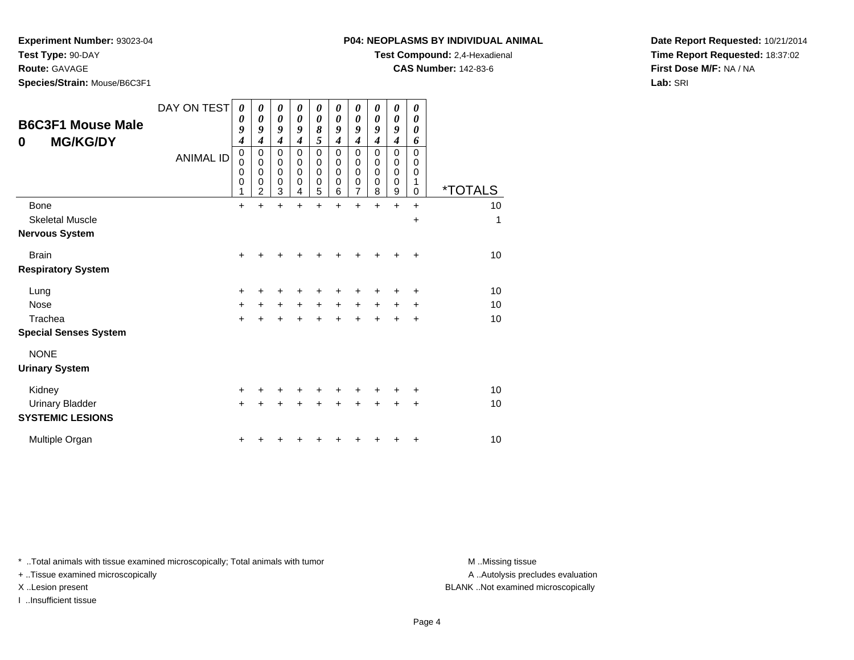**Test Type:** 90-DAY

**Route:** GAVAGE

**Species/Strain:** Mouse/B6C3F1

**Test Compound:** 2,4-Hexadienal

**CAS Number:** 142-83-6

**Date Report Requested:** 10/21/2014**Time Report Requested:** 18:37:02**First Dose M/F:** NA / NA**Lab:** SRI

| <b>B6C3F1 Mouse Male</b><br><b>MG/KG/DY</b><br>0 | DAY ON TEST<br><b>ANIMAL ID</b> | 0<br>0<br>9<br>$\boldsymbol{4}$<br>$\pmb{0}$<br>$\mathbf 0$<br>0<br>$\mathbf 0$<br>1 | 0<br>0<br>9<br>$\boldsymbol{4}$<br>0<br>$\mathbf 0$<br>$\mathbf 0$<br>0<br>$\overline{2}$ | 0<br>0<br>9<br>$\boldsymbol{4}$<br>0<br>0<br>0<br>$\mathbf 0$<br>3 | 0<br>$\boldsymbol{\theta}$<br>9<br>4<br>0<br>0<br>0<br>0<br>4 | $\boldsymbol{\theta}$<br>0<br>8<br>5<br>$\mathbf 0$<br>0<br>$\mathbf 0$<br>$\mathbf 0$<br>5 | 0<br>0<br>9<br>$\boldsymbol{4}$<br>0<br>0<br>0<br>$\mathbf 0$<br>6 | 0<br>0<br>9<br>$\boldsymbol{4}$<br>0<br>0<br>0<br>$\boldsymbol{0}$<br>$\overline{7}$ | 0<br>0<br>9<br>4<br>0<br>0<br>0<br>0<br>8 | 0<br>0<br>9<br>$\boldsymbol{4}$<br>0<br>0<br>0<br>0<br>9 | 0<br>0<br>0<br>6<br>$\mathbf 0$<br>0<br>0<br>1<br>$\Omega$ | <i><b>*TOTALS</b></i> |
|--------------------------------------------------|---------------------------------|--------------------------------------------------------------------------------------|-------------------------------------------------------------------------------------------|--------------------------------------------------------------------|---------------------------------------------------------------|---------------------------------------------------------------------------------------------|--------------------------------------------------------------------|--------------------------------------------------------------------------------------|-------------------------------------------|----------------------------------------------------------|------------------------------------------------------------|-----------------------|
| <b>Bone</b>                                      |                                 | +                                                                                    | +                                                                                         | $\ddot{}$                                                          | +                                                             | $\ddot{}$                                                                                   | $\ddot{}$                                                          | $\ddot{}$                                                                            | +                                         | $\ddot{}$                                                | $\ddot{}$                                                  | 10                    |
| <b>Skeletal Muscle</b>                           |                                 |                                                                                      |                                                                                           |                                                                    |                                                               |                                                                                             |                                                                    |                                                                                      |                                           |                                                          | $\ddot{}$                                                  | 1                     |
| <b>Nervous System</b>                            |                                 |                                                                                      |                                                                                           |                                                                    |                                                               |                                                                                             |                                                                    |                                                                                      |                                           |                                                          |                                                            |                       |
| <b>Brain</b>                                     |                                 | $\ddot{}$                                                                            |                                                                                           |                                                                    |                                                               |                                                                                             |                                                                    |                                                                                      |                                           |                                                          | $\ddot{}$                                                  | 10                    |
| <b>Respiratory System</b>                        |                                 |                                                                                      |                                                                                           |                                                                    |                                                               |                                                                                             |                                                                    |                                                                                      |                                           |                                                          |                                                            |                       |
| Lung                                             |                                 | $\ddot{}$                                                                            | +                                                                                         | +                                                                  | +                                                             | +                                                                                           |                                                                    | ٠                                                                                    |                                           |                                                          | +                                                          | 10                    |
| <b>Nose</b>                                      |                                 | $\ddot{}$                                                                            | $+$                                                                                       | $\ddot{}$                                                          | $+$                                                           | $+$                                                                                         | $+$                                                                | $+$                                                                                  | $+$                                       | $\ddot{}$                                                | $\ddot{}$                                                  | 10                    |
| Trachea                                          |                                 | $\ddot{}$                                                                            |                                                                                           | $\ddot{}$                                                          | $\ddot{}$                                                     | $\ddot{}$                                                                                   | $\ddot{}$                                                          | $\ddot{}$                                                                            |                                           |                                                          | $\ddot{}$                                                  | 10                    |
| <b>Special Senses System</b>                     |                                 |                                                                                      |                                                                                           |                                                                    |                                                               |                                                                                             |                                                                    |                                                                                      |                                           |                                                          |                                                            |                       |
| <b>NONE</b>                                      |                                 |                                                                                      |                                                                                           |                                                                    |                                                               |                                                                                             |                                                                    |                                                                                      |                                           |                                                          |                                                            |                       |
| <b>Urinary System</b>                            |                                 |                                                                                      |                                                                                           |                                                                    |                                                               |                                                                                             |                                                                    |                                                                                      |                                           |                                                          |                                                            |                       |
| Kidney                                           |                                 | $\ddot{}$                                                                            |                                                                                           | +                                                                  | ٠                                                             | +                                                                                           |                                                                    |                                                                                      |                                           |                                                          | +                                                          | 10                    |
| <b>Urinary Bladder</b>                           |                                 | $+$                                                                                  | ÷                                                                                         | $\ddot{}$                                                          | $\ddot{}$                                                     | $\ddot{}$                                                                                   | $\ddot{}$                                                          | +                                                                                    | $\div$                                    | +                                                        | +                                                          | 10                    |
| <b>SYSTEMIC LESIONS</b>                          |                                 |                                                                                      |                                                                                           |                                                                    |                                                               |                                                                                             |                                                                    |                                                                                      |                                           |                                                          |                                                            |                       |
| Multiple Organ                                   |                                 | +                                                                                    |                                                                                           |                                                                    |                                                               |                                                                                             |                                                                    |                                                                                      |                                           |                                                          | +                                                          | 10                    |

\* ..Total animals with tissue examined microscopically; Total animals with tumor **M** . Missing tissue M ..Missing tissue

+ ..Tissue examined microscopically

I ..Insufficient tissue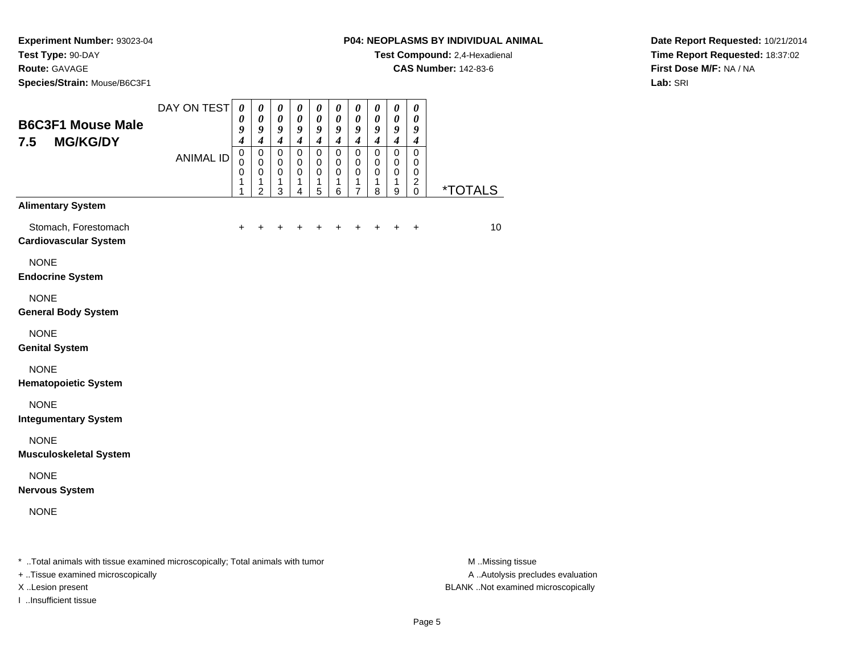**Species/Strain:** Mouse/B6C3F1

**Test Compound:** 2,4-Hexadienal

**CAS Number:** 142-83-6

**Date Report Requested:** 10/21/2014**Time Report Requested:** 18:37:02**First Dose M/F:** NA / NA**Lab:** SRI

| <b>B6C3F1 Mouse Male</b><br><b>MG/KG/DY</b><br>7.5                                     | DAY ON TEST<br><b>ANIMAL ID</b> | $\boldsymbol{\theta}$<br>0<br>9<br>$\overline{\mathcal{A}}$<br>$\mathbf 0$<br>$\Omega$<br>0<br>1 | $\boldsymbol{\theta}$<br>$\boldsymbol{\theta}$<br>9<br>$\boldsymbol{4}$<br>$\pmb{0}$<br>$\Omega$<br>0<br>1 | $\boldsymbol{\theta}$<br>$\boldsymbol{\theta}$<br>9<br>$\boldsymbol{4}$<br>$\mathbf 0$<br>$\mathbf 0$<br>0<br>1 | 0<br>$\boldsymbol{\theta}$<br>9<br>$\boldsymbol{4}$<br>$\mathbf 0$<br>$\mathbf 0$<br>0<br>1 | $\boldsymbol{\theta}$<br>$\boldsymbol{\theta}$<br>9<br>$\boldsymbol{4}$<br>$\mathsf 0$<br>$\mathbf 0$<br>0<br>1 | $\boldsymbol{\theta}$<br>$\boldsymbol{\theta}$<br>9<br>$\boldsymbol{4}$<br>$\mathbf 0$<br>$\mathbf 0$<br>0<br>1 | $\boldsymbol{\theta}$<br>$\boldsymbol{\theta}$<br>9<br>$\boldsymbol{4}$<br>$\pmb{0}$<br>$\mathbf 0$<br>0<br>1 | $\boldsymbol{\theta}$<br>$\boldsymbol{\theta}$<br>9<br>$\boldsymbol{4}$<br>$\mathbf 0$<br>$\mathbf 0$<br>0<br>1 | $\pmb{\theta}$<br>$\boldsymbol{\theta}$<br>9<br>$\boldsymbol{4}$<br>$\mathbf 0$<br>$\mathbf 0$<br>$\pmb{0}$<br>$\mathbf{1}$ | $\boldsymbol{\theta}$<br>0<br>9<br>$\boldsymbol{4}$<br>$\mathsf 0$<br>$\Omega$<br>0<br>$\overline{2}$ |                       |
|----------------------------------------------------------------------------------------|---------------------------------|--------------------------------------------------------------------------------------------------|------------------------------------------------------------------------------------------------------------|-----------------------------------------------------------------------------------------------------------------|---------------------------------------------------------------------------------------------|-----------------------------------------------------------------------------------------------------------------|-----------------------------------------------------------------------------------------------------------------|---------------------------------------------------------------------------------------------------------------|-----------------------------------------------------------------------------------------------------------------|-----------------------------------------------------------------------------------------------------------------------------|-------------------------------------------------------------------------------------------------------|-----------------------|
| <b>Alimentary System</b>                                                               |                                 | 1                                                                                                | 2                                                                                                          | 3                                                                                                               | 4                                                                                           | 5                                                                                                               | 6                                                                                                               | $\overline{7}$                                                                                                | 8                                                                                                               | $\boldsymbol{9}$                                                                                                            | $\mathbf 0$                                                                                           | <i><b>*TOTALS</b></i> |
| Stomach, Forestomach<br><b>Cardiovascular System</b>                                   |                                 | $\ddot{}$                                                                                        |                                                                                                            |                                                                                                                 | +                                                                                           | ÷                                                                                                               | +                                                                                                               | +                                                                                                             | ٠                                                                                                               | ٠                                                                                                                           | $\ddot{}$                                                                                             | 10                    |
| <b>NONE</b><br><b>Endocrine System</b>                                                 |                                 |                                                                                                  |                                                                                                            |                                                                                                                 |                                                                                             |                                                                                                                 |                                                                                                                 |                                                                                                               |                                                                                                                 |                                                                                                                             |                                                                                                       |                       |
| <b>NONE</b><br><b>General Body System</b>                                              |                                 |                                                                                                  |                                                                                                            |                                                                                                                 |                                                                                             |                                                                                                                 |                                                                                                                 |                                                                                                               |                                                                                                                 |                                                                                                                             |                                                                                                       |                       |
| <b>NONE</b><br><b>Genital System</b>                                                   |                                 |                                                                                                  |                                                                                                            |                                                                                                                 |                                                                                             |                                                                                                                 |                                                                                                                 |                                                                                                               |                                                                                                                 |                                                                                                                             |                                                                                                       |                       |
| <b>NONE</b><br><b>Hematopoietic System</b>                                             |                                 |                                                                                                  |                                                                                                            |                                                                                                                 |                                                                                             |                                                                                                                 |                                                                                                                 |                                                                                                               |                                                                                                                 |                                                                                                                             |                                                                                                       |                       |
| <b>NONE</b><br><b>Integumentary System</b>                                             |                                 |                                                                                                  |                                                                                                            |                                                                                                                 |                                                                                             |                                                                                                                 |                                                                                                                 |                                                                                                               |                                                                                                                 |                                                                                                                             |                                                                                                       |                       |
| <b>NONE</b><br><b>Musculoskeletal System</b>                                           |                                 |                                                                                                  |                                                                                                            |                                                                                                                 |                                                                                             |                                                                                                                 |                                                                                                                 |                                                                                                               |                                                                                                                 |                                                                                                                             |                                                                                                       |                       |
| <b>NONE</b><br><b>Nervous System</b>                                                   |                                 |                                                                                                  |                                                                                                            |                                                                                                                 |                                                                                             |                                                                                                                 |                                                                                                                 |                                                                                                               |                                                                                                                 |                                                                                                                             |                                                                                                       |                       |
| <b>NONE</b>                                                                            |                                 |                                                                                                  |                                                                                                            |                                                                                                                 |                                                                                             |                                                                                                                 |                                                                                                                 |                                                                                                               |                                                                                                                 |                                                                                                                             |                                                                                                       |                       |
| Tatal and male with theme are main all minimum and and will be the above also with the |                                 |                                                                                                  |                                                                                                            |                                                                                                                 |                                                                                             |                                                                                                                 |                                                                                                                 |                                                                                                               |                                                                                                                 |                                                                                                                             |                                                                                                       | $A \cup B$            |

..Total animals with tissue examined microscopically; Total animals with tumor M ..Missing tissue M ..Missing tissue

+ ..Tissue examined microscopically

I ..Insufficient tissue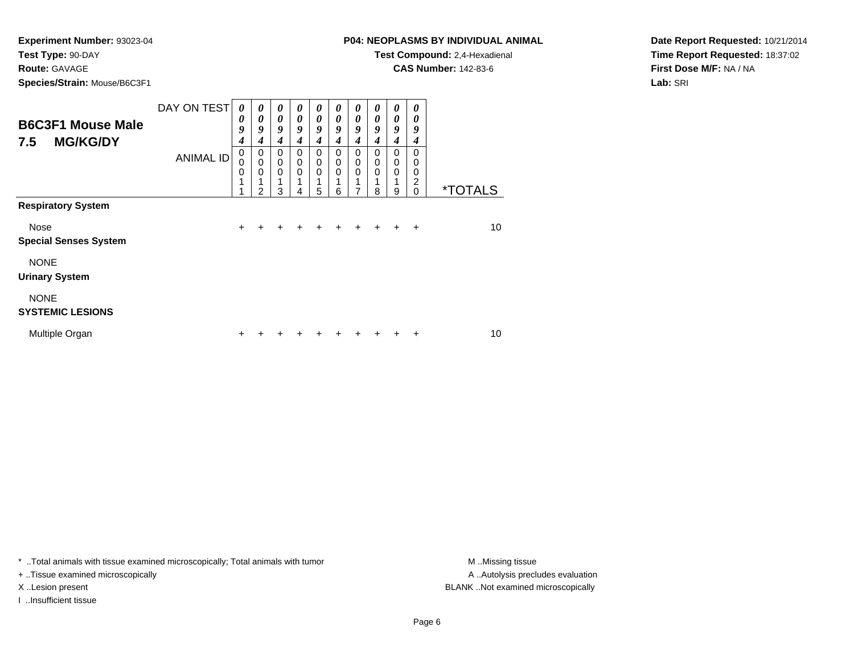**Route:** GAVAGE

**Species/Strain:** Mouse/B6C3F1

### **P04: NEOPLASMS BY INDIVIDUAL ANIMAL**

**Test Compound:** 2,4-Hexadienal

**CAS Number:** 142-83-6

**Date Report Requested:** 10/21/2014**Time Report Requested:** 18:37:02**First Dose M/F:** NA / NA**Lab:** SRI

| <b>B6C3F1 Mouse Male</b><br><b>MG/KG/DY</b><br>7.5 | DAY ON TEST      | $\boldsymbol{\theta}$<br>0<br>9<br>4 | 0<br>0<br>9<br>4                     | 0<br>$\boldsymbol{\theta}$<br>9<br>4                | 0<br>$\boldsymbol{\theta}$<br>9<br>4 | $\boldsymbol{\theta}$<br>$\boldsymbol{\theta}$<br>9<br>4 | $\boldsymbol{\theta}$<br>$\boldsymbol{\theta}$<br>9<br>4 | 0<br>$\boldsymbol{\theta}$<br>9<br>4                | 0<br>$\boldsymbol{\theta}$<br>9<br>4 | 0<br>$\boldsymbol{\theta}$<br>9<br>4             | 0<br>0<br>9<br>4                          |                       |
|----------------------------------------------------|------------------|--------------------------------------|--------------------------------------|-----------------------------------------------------|--------------------------------------|----------------------------------------------------------|----------------------------------------------------------|-----------------------------------------------------|--------------------------------------|--------------------------------------------------|-------------------------------------------|-----------------------|
|                                                    | <b>ANIMAL ID</b> | 0<br>0<br>0<br>1                     | 0<br>$\mathbf 0$<br>$\mathbf 0$<br>2 | $\mathbf 0$<br>$\mathbf 0$<br>$\mathbf 0$<br>1<br>3 | $\mathbf 0$<br>$\mathbf 0$<br>0<br>4 | $\mathbf 0$<br>$\mathbf 0$<br>$\mathbf 0$<br>5           | $\mathbf 0$<br>$\mathbf 0$<br>$\Omega$<br>6              | $\mathbf 0$<br>$\mathbf 0$<br>$\mathbf 0$<br>1<br>7 | $\Omega$<br>0<br>$\mathbf 0$<br>8    | $\Omega$<br>$\mathbf 0$<br>$\mathbf 0$<br>1<br>9 | 0<br>0<br>0<br>$\overline{2}$<br>$\Omega$ | <i><b>*TOTALS</b></i> |
| <b>Respiratory System</b>                          |                  |                                      |                                      |                                                     |                                      |                                                          |                                                          |                                                     |                                      |                                                  |                                           |                       |
| Nose<br><b>Special Senses System</b>               |                  | $\ddot{}$                            | +                                    | $\ddot{}$                                           | ÷                                    | ÷                                                        | ÷                                                        | ٠                                                   | ÷                                    | $\div$                                           | ÷                                         | 10                    |
| <b>NONE</b><br><b>Urinary System</b>               |                  |                                      |                                      |                                                     |                                      |                                                          |                                                          |                                                     |                                      |                                                  |                                           |                       |
| <b>NONE</b><br><b>SYSTEMIC LESIONS</b>             |                  |                                      |                                      |                                                     |                                      |                                                          |                                                          |                                                     |                                      |                                                  |                                           |                       |
| Multiple Organ                                     |                  | +                                    |                                      |                                                     |                                      |                                                          |                                                          |                                                     |                                      |                                                  | +                                         | 10                    |

\* ..Total animals with tissue examined microscopically; Total animals with tumor **M** . Missing tissue M ..Missing tissue

+ ..Tissue examined microscopically

I ..Insufficient tissue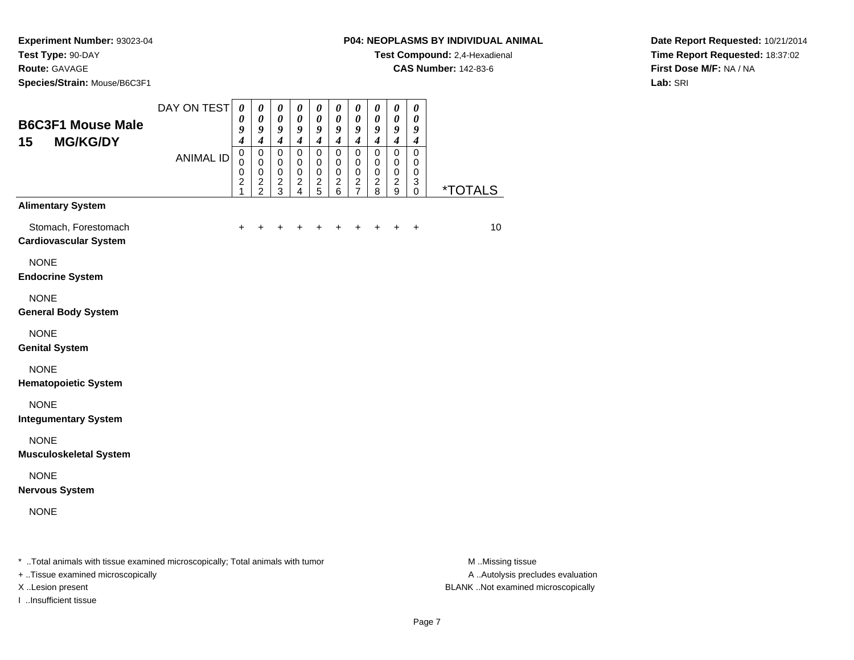# **Species/Strain:** Mouse/B6C3F1

**Test Compound:** 2,4-Hexadienal

**CAS Number:** 142-83-6

 $\overline{\phantom{0}}$  $\overline{\phantom{0}}$ 

**Date Report Requested:** 10/21/2014**Time Report Requested:** 18:37:02**First Dose M/F:** NA / NA**Lab:** SRI

| <b>B6C3F1 Mouse Male</b><br>15<br><b>MG/KG/DY</b>    | DAY ON TEST<br><b>ANIMAL ID</b> | $\boldsymbol{\theta}$<br>0<br>9<br>$\boldsymbol{4}$<br>$\mathbf 0$<br>$\mathbf 0$<br>$\mathbf 0$<br>$\boldsymbol{2}$ | 0<br>0<br>9<br>$\overline{\boldsymbol{4}}$<br>$\mathbf 0$<br>$\mathbf 0$<br>$\mathbf 0$<br>$\overline{\mathbf{c}}$ | $\boldsymbol{\theta}$<br>0<br>9<br>$\boldsymbol{4}$<br>$\mathbf 0$<br>$\mathbf 0$<br>$\mathbf 0$<br>$\boldsymbol{2}$ | $\boldsymbol{\theta}$<br>$\boldsymbol{\theta}$<br>9<br>$\overline{\boldsymbol{4}}$<br>$\mathbf 0$<br>0<br>$\mathbf 0$<br>$\boldsymbol{2}$ | $\boldsymbol{\theta}$<br>0<br>9<br>$\boldsymbol{4}$<br>$\mathbf 0$<br>$\mathbf 0$<br>0<br>$\boldsymbol{2}$ | $\boldsymbol{\theta}$<br>$\boldsymbol{\theta}$<br>9<br>$\boldsymbol{4}$<br>$\mathbf 0$<br>$\mathbf 0$<br>$\mathbf 0$<br>$\overline{c}$ | $\pmb{\theta}$<br>0<br>9<br>$\boldsymbol{4}$<br>0<br>0<br>0<br>$\overline{\mathbf{c}}$ | $\boldsymbol{\theta}$<br>$\boldsymbol{\theta}$<br>9<br>$\boldsymbol{4}$<br>$\Omega$<br>0<br>$\mathbf 0$<br>$\overline{c}$ | $\boldsymbol{\theta}$<br>0<br>9<br>$\overline{\boldsymbol{4}}$<br>$\mathbf 0$<br>0<br>$\mathbf 0$<br>$\boldsymbol{2}$ | 0<br>0<br>9<br>$\boldsymbol{4}$<br>$\mathbf 0$<br>0<br>0<br>3 |                       |
|------------------------------------------------------|---------------------------------|----------------------------------------------------------------------------------------------------------------------|--------------------------------------------------------------------------------------------------------------------|----------------------------------------------------------------------------------------------------------------------|-------------------------------------------------------------------------------------------------------------------------------------------|------------------------------------------------------------------------------------------------------------|----------------------------------------------------------------------------------------------------------------------------------------|----------------------------------------------------------------------------------------|---------------------------------------------------------------------------------------------------------------------------|-----------------------------------------------------------------------------------------------------------------------|---------------------------------------------------------------|-----------------------|
| <b>Alimentary System</b>                             |                                 | 1                                                                                                                    | $\overline{2}$                                                                                                     | 3                                                                                                                    | $\overline{4}$                                                                                                                            | 5                                                                                                          | 6                                                                                                                                      | $\overline{7}$                                                                         | 8                                                                                                                         | 9                                                                                                                     | $\mathbf 0$                                                   | <i><b>*TOTALS</b></i> |
| Stomach, Forestomach<br><b>Cardiovascular System</b> |                                 | $\ddot{}$                                                                                                            | +                                                                                                                  | +                                                                                                                    |                                                                                                                                           | +                                                                                                          | +                                                                                                                                      | ÷                                                                                      | ٠                                                                                                                         | ÷                                                                                                                     | $\ddot{}$                                                     | 10                    |
| <b>NONE</b><br><b>Endocrine System</b>               |                                 |                                                                                                                      |                                                                                                                    |                                                                                                                      |                                                                                                                                           |                                                                                                            |                                                                                                                                        |                                                                                        |                                                                                                                           |                                                                                                                       |                                                               |                       |
| <b>NONE</b><br><b>General Body System</b>            |                                 |                                                                                                                      |                                                                                                                    |                                                                                                                      |                                                                                                                                           |                                                                                                            |                                                                                                                                        |                                                                                        |                                                                                                                           |                                                                                                                       |                                                               |                       |
| <b>NONE</b><br><b>Genital System</b>                 |                                 |                                                                                                                      |                                                                                                                    |                                                                                                                      |                                                                                                                                           |                                                                                                            |                                                                                                                                        |                                                                                        |                                                                                                                           |                                                                                                                       |                                                               |                       |
| <b>NONE</b><br><b>Hematopoietic System</b>           |                                 |                                                                                                                      |                                                                                                                    |                                                                                                                      |                                                                                                                                           |                                                                                                            |                                                                                                                                        |                                                                                        |                                                                                                                           |                                                                                                                       |                                                               |                       |
| <b>NONE</b><br><b>Integumentary System</b>           |                                 |                                                                                                                      |                                                                                                                    |                                                                                                                      |                                                                                                                                           |                                                                                                            |                                                                                                                                        |                                                                                        |                                                                                                                           |                                                                                                                       |                                                               |                       |
| <b>NONE</b><br><b>Musculoskeletal System</b>         |                                 |                                                                                                                      |                                                                                                                    |                                                                                                                      |                                                                                                                                           |                                                                                                            |                                                                                                                                        |                                                                                        |                                                                                                                           |                                                                                                                       |                                                               |                       |
| <b>NONE</b><br><b>Nervous System</b>                 |                                 |                                                                                                                      |                                                                                                                    |                                                                                                                      |                                                                                                                                           |                                                                                                            |                                                                                                                                        |                                                                                        |                                                                                                                           |                                                                                                                       |                                                               |                       |
| <b>NONE</b>                                          |                                 |                                                                                                                      |                                                                                                                    |                                                                                                                      |                                                                                                                                           |                                                                                                            |                                                                                                                                        |                                                                                        |                                                                                                                           |                                                                                                                       |                                                               |                       |
|                                                      | .                               |                                                                                                                      |                                                                                                                    |                                                                                                                      |                                                                                                                                           |                                                                                                            |                                                                                                                                        |                                                                                        |                                                                                                                           |                                                                                                                       |                                                               | .                     |

┯ ┯  $\overline{\phantom{a}}$  $\overline{\phantom{a}}$ 

\* ..Total animals with tissue examined microscopically; Total animals with tumor **M** ...Missing tissue M ...Missing tissue

+ ..Tissue examined microscopically

I ..Insufficient tissue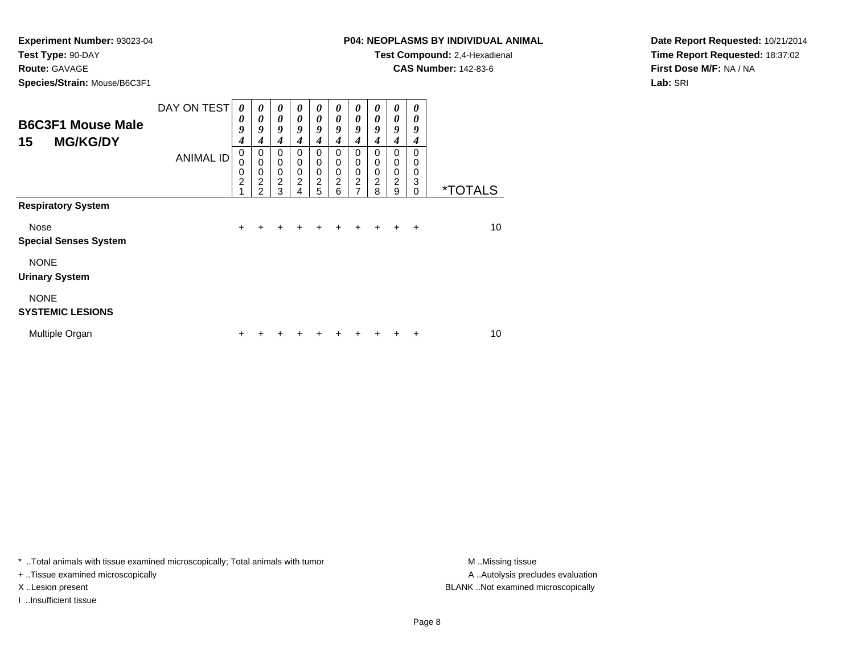**Route:** GAVAGE

**Species/Strain:** Mouse/B6C3F1

**Test Compound:** 2,4-Hexadienal

**CAS Number:** 142-83-6

**Date Report Requested:** 10/21/2014**Time Report Requested:** 18:37:02**First Dose M/F:** NA / NA**Lab:** SRI

| <b>B6C3F1 Mouse Male</b><br><b>MG/KG/DY</b><br>15 | DAY ON TEST      | 0<br>0<br>9<br>4                       | $\boldsymbol{\theta}$<br>$\boldsymbol{\theta}$<br>9<br>4    | 0<br>$\boldsymbol{\theta}$<br>9<br>4                   | 0<br>0<br>9<br>4                             | 0<br>$\boldsymbol{\theta}$<br>9<br>4                               | 0<br>0<br>9<br>4                                                 | $\boldsymbol{\theta}$<br>$\boldsymbol{\theta}$<br>9<br>4     | $\boldsymbol{\theta}$<br>$\boldsymbol{\theta}$<br>9<br>4 | 0<br>0<br>9<br>4                                                 | 0<br>0<br>9<br>4             |                       |
|---------------------------------------------------|------------------|----------------------------------------|-------------------------------------------------------------|--------------------------------------------------------|----------------------------------------------|--------------------------------------------------------------------|------------------------------------------------------------------|--------------------------------------------------------------|----------------------------------------------------------|------------------------------------------------------------------|------------------------------|-----------------------|
|                                                   | <b>ANIMAL ID</b> | 0<br>0<br>0<br>$\overline{\mathbf{c}}$ | 0<br>$\mathbf 0$<br>0<br>$\boldsymbol{2}$<br>$\mathfrak{p}$ | 0<br>$\mathbf 0$<br>$\mathbf 0$<br>$\overline{c}$<br>3 | $\mathbf 0$<br>0<br>0<br>$\overline{c}$<br>4 | $\mathbf 0$<br>$\mathbf 0$<br>$\mathbf 0$<br>$\boldsymbol{2}$<br>5 | $\mathbf 0$<br>$\mathbf 0$<br>$\mathbf 0$<br>$\overline{2}$<br>6 | $\Omega$<br>0<br>$\mathbf 0$<br>$\overline{\mathbf{c}}$<br>7 | $\Omega$<br>0<br>0<br>$\overline{c}$<br>8                | $\mathbf 0$<br>$\mathbf 0$<br>$\pmb{0}$<br>$\boldsymbol{2}$<br>9 | 0<br>0<br>0<br>3<br>$\Omega$ | <i><b>*TOTALS</b></i> |
| <b>Respiratory System</b>                         |                  |                                        |                                                             |                                                        |                                              |                                                                    |                                                                  |                                                              |                                                          |                                                                  |                              |                       |
| Nose<br><b>Special Senses System</b>              |                  | $\ddot{}$                              | +                                                           | ÷                                                      | ٠                                            | +                                                                  | $\ddot{}$                                                        | $\ddot{}$                                                    | $\div$                                                   | $\pm$                                                            | $\div$                       | 10                    |
| <b>NONE</b><br><b>Urinary System</b>              |                  |                                        |                                                             |                                                        |                                              |                                                                    |                                                                  |                                                              |                                                          |                                                                  |                              |                       |
| <b>NONE</b><br><b>SYSTEMIC LESIONS</b>            |                  |                                        |                                                             |                                                        |                                              |                                                                    |                                                                  |                                                              |                                                          |                                                                  |                              |                       |
| Multiple Organ                                    |                  | +                                      |                                                             |                                                        |                                              |                                                                    |                                                                  |                                                              |                                                          |                                                                  | +                            | 10                    |

\* ..Total animals with tissue examined microscopically; Total animals with tumor **M** . Missing tissue M ..Missing tissue

+ ..Tissue examined microscopically

I ..Insufficient tissue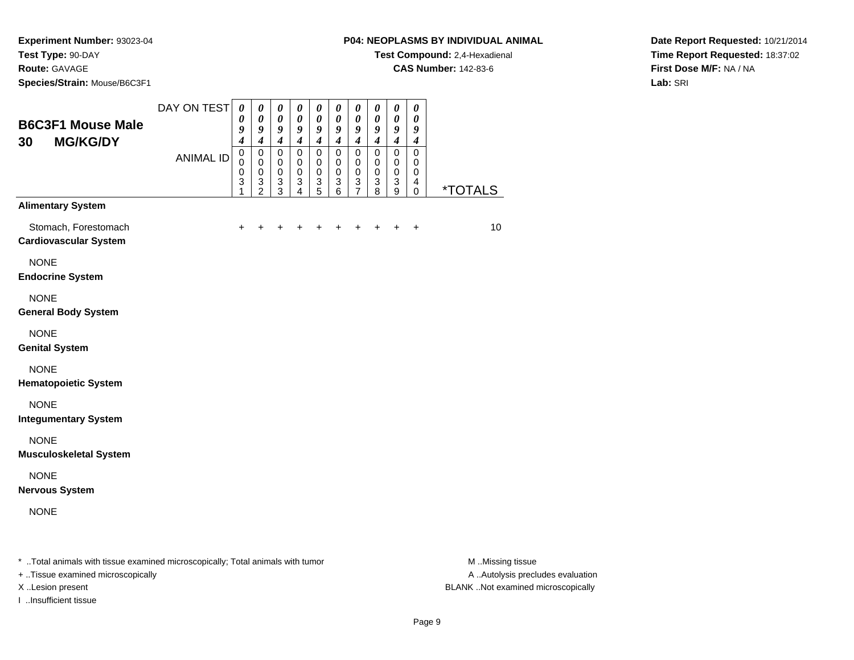**Species/Strain:** Mouse/B6C3F1

#### **P04: NEOPLASMS BY INDIVIDUAL ANIMAL**

**Test Compound:** 2,4-Hexadienal

**CAS Number:** 142-83-6

 $\overline{\phantom{0}}$  $\overline{\phantom{0}}$ 

┯ ┯  $\overline{\phantom{a}}$  $\overline{\phantom{a}}$ 

**Date Report Requested:** 10/21/2014**Time Report Requested:** 18:37:02**First Dose M/F:** NA / NA**Lab:** SRI

| <b>B6C3F1 Mouse Male</b><br><b>MG/KG/DY</b><br>30    | DAY ON TEST      | $\boldsymbol{\theta}$<br>0<br>9<br>$\overline{4}$   | 0<br>0<br>9<br>$\overline{\boldsymbol{4}}$                                     | $\boldsymbol{\theta}$<br>0<br>9<br>$\overline{\mathbf{4}}$ | $\boldsymbol{\theta}$<br>0<br>9<br>$\overline{\boldsymbol{4}}$            | $\boldsymbol{\theta}$<br>0<br>9<br>$\boldsymbol{4}$ | $\boldsymbol{\theta}$<br>0<br>9<br>$\overline{\boldsymbol{4}}$ | $\boldsymbol{\theta}$<br>$\boldsymbol{\theta}$<br>9<br>$\boldsymbol{4}$        | $\boldsymbol{\theta}$<br>0<br>9<br>$\overline{\boldsymbol{4}}$ | $\boldsymbol{\theta}$<br>0<br>9<br>$\boldsymbol{4}$               | $\pmb{\theta}$<br>0<br>9<br>$\boldsymbol{4}$ |                       |
|------------------------------------------------------|------------------|-----------------------------------------------------|--------------------------------------------------------------------------------|------------------------------------------------------------|---------------------------------------------------------------------------|-----------------------------------------------------|----------------------------------------------------------------|--------------------------------------------------------------------------------|----------------------------------------------------------------|-------------------------------------------------------------------|----------------------------------------------|-----------------------|
|                                                      | <b>ANIMAL ID</b> | $\mathbf 0$<br>$\mathbf 0$<br>$\mathbf 0$<br>3<br>1 | $\mathbf 0$<br>$\mathbf 0$<br>0<br>$\ensuremath{\mathsf{3}}$<br>$\overline{2}$ | $\Omega$<br>$\mathbf 0$<br>$\mathbf 0$<br>$\sqrt{3}$<br>3  | $\mathbf 0$<br>$\pmb{0}$<br>$\mathbf 0$<br>$\ensuremath{\mathsf{3}}$<br>4 | 0<br>0<br>0<br>$\ensuremath{\mathsf{3}}$<br>5       | $\mathbf 0$<br>0<br>$\mathbf 0$<br>3<br>6                      | $\mathbf 0$<br>0<br>$\mathbf 0$<br>$\ensuremath{\mathsf{3}}$<br>$\overline{7}$ | $\mathbf 0$<br>0<br>$\mathbf 0$<br>3<br>8                      | $\mathbf 0$<br>$\mathbf 0$<br>0<br>$\ensuremath{\mathsf{3}}$<br>9 | 0<br>0<br>0<br>4<br>0                        | <i><b>*TOTALS</b></i> |
| <b>Alimentary System</b>                             |                  |                                                     |                                                                                |                                                            |                                                                           |                                                     |                                                                |                                                                                |                                                                |                                                                   |                                              |                       |
| Stomach, Forestomach<br><b>Cardiovascular System</b> |                  | $\pm$                                               | +                                                                              | +                                                          | +                                                                         | +                                                   | +                                                              | $\ddot{}$                                                                      | ٠                                                              | $\ddot{}$                                                         | $\ddot{}$                                    | 10                    |
| <b>NONE</b><br><b>Endocrine System</b>               |                  |                                                     |                                                                                |                                                            |                                                                           |                                                     |                                                                |                                                                                |                                                                |                                                                   |                                              |                       |
| <b>NONE</b><br><b>General Body System</b>            |                  |                                                     |                                                                                |                                                            |                                                                           |                                                     |                                                                |                                                                                |                                                                |                                                                   |                                              |                       |
| <b>NONE</b><br><b>Genital System</b>                 |                  |                                                     |                                                                                |                                                            |                                                                           |                                                     |                                                                |                                                                                |                                                                |                                                                   |                                              |                       |
| <b>NONE</b><br><b>Hematopoietic System</b>           |                  |                                                     |                                                                                |                                                            |                                                                           |                                                     |                                                                |                                                                                |                                                                |                                                                   |                                              |                       |
| <b>NONE</b><br><b>Integumentary System</b>           |                  |                                                     |                                                                                |                                                            |                                                                           |                                                     |                                                                |                                                                                |                                                                |                                                                   |                                              |                       |
| <b>NONE</b><br><b>Musculoskeletal System</b>         |                  |                                                     |                                                                                |                                                            |                                                                           |                                                     |                                                                |                                                                                |                                                                |                                                                   |                                              |                       |
| <b>NONE</b><br><b>Nervous System</b>                 |                  |                                                     |                                                                                |                                                            |                                                                           |                                                     |                                                                |                                                                                |                                                                |                                                                   |                                              |                       |
| <b>NONE</b>                                          |                  |                                                     |                                                                                |                                                            |                                                                           |                                                     |                                                                |                                                                                |                                                                |                                                                   |                                              |                       |
|                                                      | .<br>.           |                                                     |                                                                                |                                                            |                                                                           |                                                     |                                                                |                                                                                |                                                                |                                                                   |                                              | .                     |

\* ..Total animals with tissue examined microscopically; Total animals with tumor **M** ...Missing tissue M ...Missing tissue

+ ..Tissue examined microscopically

I ..Insufficient tissue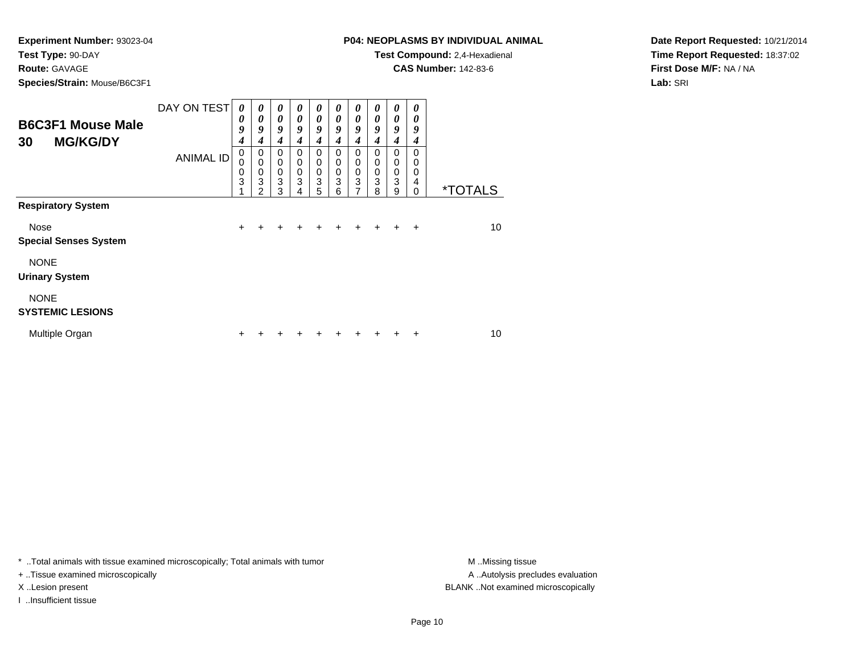**Route:** GAVAGE

**Species/Strain:** Mouse/B6C3F1

# **P04: NEOPLASMS BY INDIVIDUAL ANIMAL**

**Test Compound:** 2,4-Hexadienal

**CAS Number:** 142-83-6

**Date Report Requested:** 10/21/2014**Time Report Requested:** 18:37:02**First Dose M/F:** NA / NA**Lab:** SRI

| <b>B6C3F1 Mouse Male</b><br><b>MG/KG/DY</b><br>30 | DAY ON TEST      | 0<br>0<br>9<br>4 | 0<br>0<br>9<br>4                          | $\boldsymbol{\theta}$<br>$\boldsymbol{\theta}$<br>9<br>4 | 0<br>$\boldsymbol{\theta}$<br>9<br>4      | 0<br>$\boldsymbol{\theta}$<br>9<br>4      | 0<br>0<br>9<br>4             | 0<br>0<br>9<br>4                                                            | 0<br>0<br>9<br>4      | 0<br>0<br>9<br>4                     | 0<br>0<br>9<br>4             |                       |
|---------------------------------------------------|------------------|------------------|-------------------------------------------|----------------------------------------------------------|-------------------------------------------|-------------------------------------------|------------------------------|-----------------------------------------------------------------------------|-----------------------|--------------------------------------|------------------------------|-----------------------|
|                                                   | <b>ANIMAL ID</b> | 0<br>0<br>0<br>3 | 0<br>$\mathbf 0$<br>$\mathbf 0$<br>3<br>2 | 0<br>$\mathbf 0$<br>$\mathbf 0$<br>3<br>3                | 0<br>$\mathbf 0$<br>$\mathbf 0$<br>3<br>4 | 0<br>$\mathbf 0$<br>$\mathbf 0$<br>3<br>5 | $\Omega$<br>0<br>0<br>3<br>6 | $\mathbf 0$<br>$\mathbf 0$<br>$\pmb{0}$<br>$\overline{3}$<br>$\overline{7}$ | 0<br>0<br>0<br>3<br>8 | $\Omega$<br>0<br>$\pmb{0}$<br>3<br>9 | $\Omega$<br>0<br>0<br>4<br>0 | <i><b>*TOTALS</b></i> |
| <b>Respiratory System</b>                         |                  |                  |                                           |                                                          |                                           |                                           |                              |                                                                             |                       |                                      |                              |                       |
| Nose<br><b>Special Senses System</b>              |                  | $\ddot{}$        |                                           |                                                          |                                           |                                           |                              |                                                                             |                       |                                      | $\div$                       | 10                    |
| <b>NONE</b><br><b>Urinary System</b>              |                  |                  |                                           |                                                          |                                           |                                           |                              |                                                                             |                       |                                      |                              |                       |
| <b>NONE</b><br><b>SYSTEMIC LESIONS</b>            |                  |                  |                                           |                                                          |                                           |                                           |                              |                                                                             |                       |                                      |                              |                       |
| Multiple Organ                                    |                  | ٠                |                                           |                                                          |                                           |                                           |                              |                                                                             |                       |                                      | +                            | 10                    |

\* ..Total animals with tissue examined microscopically; Total animals with tumor **M** . Missing tissue M ..Missing tissue

+ ..Tissue examined microscopically

I ..Insufficient tissue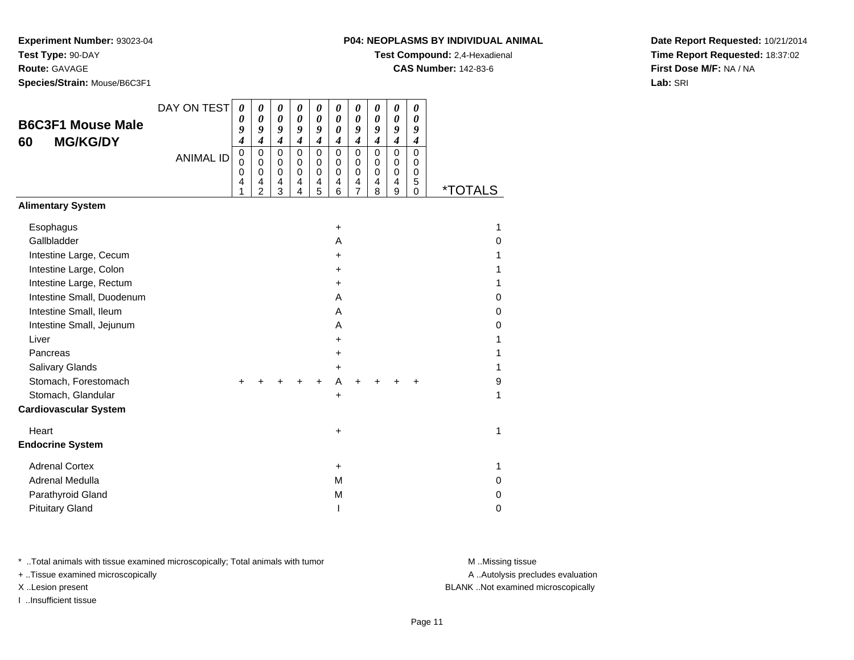# **Route:** GAVAGE

**Species/Strain:** Mouse/B6C3F1

### **P04: NEOPLASMS BY INDIVIDUAL ANIMAL**

**Test Compound:** 2,4-Hexadienal

**CAS Number:** 142-83-6

**Date Report Requested:** 10/21/2014**Time Report Requested:** 18:37:02**First Dose M/F:** NA / NA**Lab:** SRI

| <b>B6C3F1 Mouse Male</b><br><b>MG/KG/DY</b><br>60                           | DAY ON TEST      | $\boldsymbol{\theta}$<br>0<br>9<br>$\boldsymbol{4}$ | $\boldsymbol{\theta}$<br>$\boldsymbol{\theta}$<br>9<br>$\boldsymbol{4}$ | 0<br>0<br>9<br>$\boldsymbol{4}$ | 0<br>0<br>9<br>$\boldsymbol{4}$           | 0<br>0<br>9<br>$\boldsymbol{4}$ | 0<br>0<br>$\boldsymbol{\theta}$<br>$\boldsymbol{4}$ | 0<br>0<br>9<br>$\boldsymbol{4}$              | 0<br>0<br>9<br>$\boldsymbol{4}$ | 0<br>0<br>9<br>$\boldsymbol{4}$ | 0<br>0<br>9<br>4                |                       |
|-----------------------------------------------------------------------------|------------------|-----------------------------------------------------|-------------------------------------------------------------------------|---------------------------------|-------------------------------------------|---------------------------------|-----------------------------------------------------|----------------------------------------------|---------------------------------|---------------------------------|---------------------------------|-----------------------|
|                                                                             | <b>ANIMAL ID</b> | $\mathbf 0$<br>0<br>0<br>4<br>1                     | $\mathbf 0$<br>0<br>0<br>4<br>$\overline{2}$                            | $\mathbf 0$<br>0<br>0<br>4<br>3 | $\mathbf 0$<br>0<br>$\mathbf 0$<br>4<br>4 | $\mathbf 0$<br>0<br>0<br>4<br>5 | 0<br>$\mathbf 0$<br>0<br>4<br>6                     | $\mathbf 0$<br>0<br>0<br>4<br>$\overline{7}$ | $\pmb{0}$<br>0<br>0<br>4<br>8   | $\mathbf 0$<br>0<br>0<br>4<br>9 | $\mathbf 0$<br>0<br>0<br>5<br>0 | <i><b>*TOTALS</b></i> |
| <b>Alimentary System</b>                                                    |                  |                                                     |                                                                         |                                 |                                           |                                 |                                                     |                                              |                                 |                                 |                                 |                       |
| Esophagus<br>Gallbladder                                                    |                  |                                                     |                                                                         |                                 |                                           |                                 | +<br>A                                              |                                              |                                 |                                 |                                 | 1<br>0                |
| Intestine Large, Cecum<br>Intestine Large, Colon<br>Intestine Large, Rectum |                  |                                                     |                                                                         |                                 |                                           |                                 | $\ddot{}$<br>+<br>+                                 |                                              |                                 |                                 |                                 | 1<br>1<br>1           |
| Intestine Small, Duodenum<br>Intestine Small, Ileum                         |                  |                                                     |                                                                         |                                 |                                           |                                 | A<br>A                                              |                                              |                                 |                                 |                                 | 0<br>$\mathbf 0$      |
| Intestine Small, Jejunum<br>Liver                                           |                  |                                                     |                                                                         |                                 |                                           |                                 | A<br>+                                              |                                              |                                 |                                 |                                 | 0<br>1                |
| Pancreas<br>Salivary Glands                                                 |                  |                                                     |                                                                         |                                 |                                           |                                 | +<br>+                                              |                                              |                                 |                                 |                                 | 1<br>1                |
| Stomach, Forestomach<br>Stomach, Glandular<br><b>Cardiovascular System</b>  |                  | +                                                   |                                                                         |                                 |                                           | ٠                               | A<br>$\ddot{}$                                      | +                                            |                                 |                                 |                                 | 9<br>1                |
| Heart                                                                       |                  |                                                     |                                                                         |                                 |                                           |                                 | +                                                   |                                              |                                 |                                 |                                 | $\mathbf{1}$          |
| <b>Endocrine System</b>                                                     |                  |                                                     |                                                                         |                                 |                                           |                                 |                                                     |                                              |                                 |                                 |                                 |                       |
| <b>Adrenal Cortex</b><br>Adrenal Medulla                                    |                  |                                                     |                                                                         |                                 |                                           |                                 | +<br>M                                              |                                              |                                 |                                 |                                 | 1<br>0                |
| Parathyroid Gland<br><b>Pituitary Gland</b>                                 |                  |                                                     |                                                                         |                                 |                                           |                                 | M                                                   |                                              |                                 |                                 |                                 | $\mathbf 0$<br>0      |

\* ..Total animals with tissue examined microscopically; Total animals with tumor **M** . Missing tissue M ..Missing tissue

+ ..Tissue examined microscopically

I ..Insufficient tissue

A ..Autolysis precludes evaluation

X ..Lesion present BLANK ..Not examined microscopically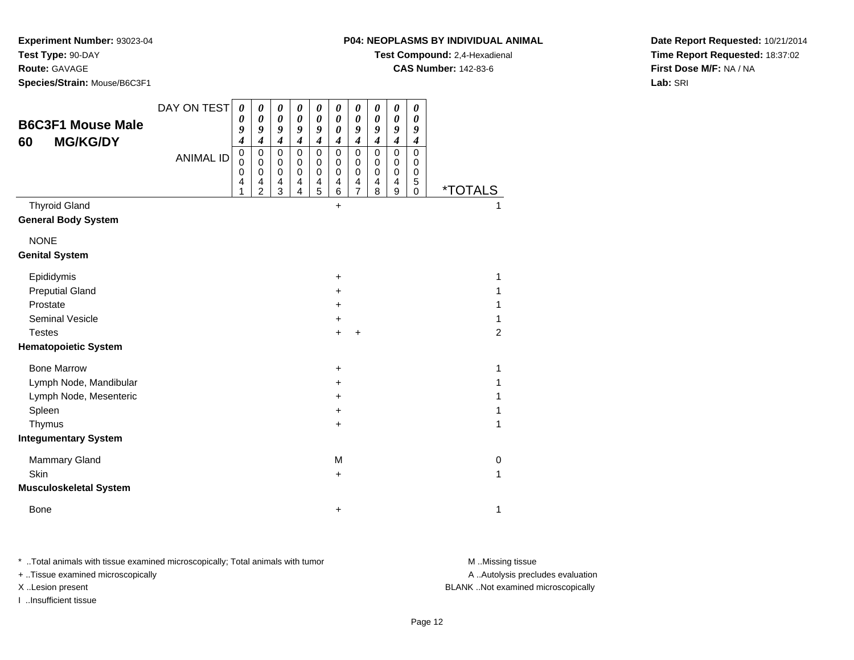**P04: NEOPLASMS BY INDIVIDUAL ANIMAL**

**Test Compound:** 2,4-Hexadienal

**CAS Number:** 142-83-6

**Experiment Number:** 93023-04**Test Type:** 90-DAY

**Route:** GAVAGE

**Species/Strain:** Mouse/B6C3F1

**Date Report Requested:** 10/21/2014**Time Report Requested:** 18:37:02**First Dose M/F:** NA / NA**Lab:** SRI

| <b>B6C3F1 Mouse Male</b>             | DAY ON TEST      | $\boldsymbol{\theta}$<br>0<br>9                           | $\boldsymbol{\theta}$<br>0<br>9                                            | 0<br>0<br>9                                                   | 0<br>$\boldsymbol{\theta}$<br>9                                                  | $\boldsymbol{\theta}$<br>0<br>9                               | 0<br>0<br>$\boldsymbol{\theta}$                    | 0<br>0<br>9                                                   | 0<br>0<br>9                                         | 0<br>0<br>9                       | $\boldsymbol{\theta}$<br>0<br>9             |                       |
|--------------------------------------|------------------|-----------------------------------------------------------|----------------------------------------------------------------------------|---------------------------------------------------------------|----------------------------------------------------------------------------------|---------------------------------------------------------------|----------------------------------------------------|---------------------------------------------------------------|-----------------------------------------------------|-----------------------------------|---------------------------------------------|-----------------------|
| <b>MG/KG/DY</b><br>60                | <b>ANIMAL ID</b> | $\boldsymbol{4}$<br>$\pmb{0}$<br>0<br>$\pmb{0}$<br>4<br>1 | $\boldsymbol{4}$<br>0<br>$\mathbf 0$<br>$\mathbf 0$<br>4<br>$\overline{2}$ | $\boldsymbol{4}$<br>$\mathbf 0$<br>0<br>$\mathbf 0$<br>4<br>3 | $\boldsymbol{4}$<br>$\mathbf 0$<br>$\pmb{0}$<br>$\pmb{0}$<br>4<br>$\overline{4}$ | $\boldsymbol{4}$<br>$\mathbf 0$<br>0<br>$\mathbf 0$<br>4<br>5 | 4<br>$\mathbf 0$<br>0<br>$\mathbf 0$<br>4<br>$\,6$ | $\boldsymbol{4}$<br>$\Omega$<br>0<br>0<br>4<br>$\overline{7}$ | $\boldsymbol{4}$<br>$\mathbf 0$<br>0<br>0<br>4<br>8 | 4<br>$\Omega$<br>0<br>0<br>4<br>9 | 4<br>$\Omega$<br>0<br>0<br>5<br>$\mathbf 0$ | <i><b>*TOTALS</b></i> |
| <b>Thyroid Gland</b>                 |                  |                                                           |                                                                            |                                                               |                                                                                  |                                                               | $+$                                                |                                                               |                                                     |                                   |                                             |                       |
| <b>General Body System</b>           |                  |                                                           |                                                                            |                                                               |                                                                                  |                                                               |                                                    |                                                               |                                                     |                                   |                                             |                       |
| <b>NONE</b><br><b>Genital System</b> |                  |                                                           |                                                                            |                                                               |                                                                                  |                                                               |                                                    |                                                               |                                                     |                                   |                                             |                       |
| Epididymis                           |                  |                                                           |                                                                            |                                                               |                                                                                  |                                                               | $\ddot{}$                                          |                                                               |                                                     |                                   |                                             | 1                     |
| <b>Preputial Gland</b>               |                  |                                                           |                                                                            |                                                               |                                                                                  |                                                               | +                                                  |                                                               |                                                     |                                   |                                             | 1                     |
| Prostate                             |                  |                                                           |                                                                            |                                                               |                                                                                  |                                                               | +                                                  |                                                               |                                                     |                                   |                                             | 1                     |
| <b>Seminal Vesicle</b>               |                  |                                                           |                                                                            |                                                               |                                                                                  |                                                               | $\ddot{}$                                          |                                                               |                                                     |                                   |                                             | 1                     |
| <b>Testes</b>                        |                  |                                                           |                                                                            |                                                               |                                                                                  |                                                               | $\ddot{}$                                          | $\ddot{}$                                                     |                                                     |                                   |                                             | $\overline{2}$        |
| <b>Hematopoietic System</b>          |                  |                                                           |                                                                            |                                                               |                                                                                  |                                                               |                                                    |                                                               |                                                     |                                   |                                             |                       |
| <b>Bone Marrow</b>                   |                  |                                                           |                                                                            |                                                               |                                                                                  |                                                               | +                                                  |                                                               |                                                     |                                   |                                             | 1                     |
| Lymph Node, Mandibular               |                  |                                                           |                                                                            |                                                               |                                                                                  |                                                               | +                                                  |                                                               |                                                     |                                   |                                             | 1                     |
| Lymph Node, Mesenteric               |                  |                                                           |                                                                            |                                                               |                                                                                  |                                                               | +                                                  |                                                               |                                                     |                                   |                                             | 1                     |
| Spleen                               |                  |                                                           |                                                                            |                                                               |                                                                                  |                                                               | +                                                  |                                                               |                                                     |                                   |                                             | 1                     |
| Thymus                               |                  |                                                           |                                                                            |                                                               |                                                                                  |                                                               | +                                                  |                                                               |                                                     |                                   |                                             | 1                     |
| <b>Integumentary System</b>          |                  |                                                           |                                                                            |                                                               |                                                                                  |                                                               |                                                    |                                                               |                                                     |                                   |                                             |                       |
| <b>Mammary Gland</b>                 |                  |                                                           |                                                                            |                                                               |                                                                                  |                                                               | M                                                  |                                                               |                                                     |                                   |                                             | 0                     |
| Skin                                 |                  |                                                           |                                                                            |                                                               |                                                                                  |                                                               | $\ddot{}$                                          |                                                               |                                                     |                                   |                                             | 1                     |
| <b>Musculoskeletal System</b>        |                  |                                                           |                                                                            |                                                               |                                                                                  |                                                               |                                                    |                                                               |                                                     |                                   |                                             |                       |
| Bone                                 |                  |                                                           |                                                                            |                                                               |                                                                                  |                                                               | +                                                  |                                                               |                                                     |                                   |                                             | 1                     |

\* ..Total animals with tissue examined microscopically; Total animals with tumor **M** . Missing tissue M ..Missing tissue

+ ..Tissue examined microscopically

I ..Insufficient tissue

A ..Autolysis precludes evaluation

X ..Lesion present BLANK ..Not examined microscopically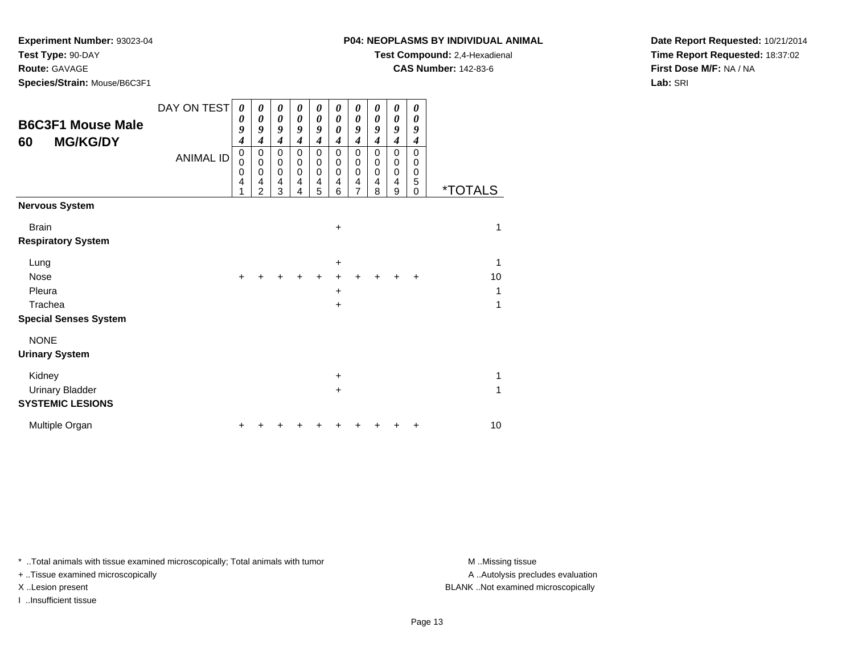**Route:** GAVAGE

**Species/Strain:** Mouse/B6C3F1

# **P04: NEOPLASMS BY INDIVIDUAL ANIMAL**

**Test Compound:** 2,4-Hexadienal

**CAS Number:** 142-83-6

**Date Report Requested:** 10/21/2014**Time Report Requested:** 18:37:02**First Dose M/F:** NA / NA**Lab:** SRI

| <b>B6C3F1 Mouse Male</b><br><b>MG/KG/DY</b><br>60           | DAY ON TEST<br><b>ANIMAL ID</b> | 0<br>0<br>9<br>4<br>$\pmb{0}$<br>$\mathbf 0$<br>$\mathbf 0$<br>4<br>1 | 0<br>$\boldsymbol{\theta}$<br>9<br>4<br>$\mathbf 0$<br>$\mathbf 0$<br>$\mathbf 0$<br>4<br>$\overline{2}$ | 0<br>$\boldsymbol{\theta}$<br>9<br>$\boldsymbol{4}$<br>$\mathbf 0$<br>0<br>$\pmb{0}$<br>4<br>3 | 0<br>0<br>9<br>$\boldsymbol{4}$<br>$\Omega$<br>0<br>$\pmb{0}$<br>4<br>4 | 0<br>0<br>9<br>$\boldsymbol{4}$<br>$\mathbf 0$<br>0<br>$\pmb{0}$<br>$\overline{\mathbf{4}}$<br>5 | 0<br>0<br>$\boldsymbol{\theta}$<br>$\boldsymbol{4}$<br>$\mathbf 0$<br>$\mathbf 0$<br>$\pmb{0}$<br>$\overline{4}$<br>6 | 0<br>0<br>9<br>4<br>0<br>0<br>0<br>4<br>$\overline{7}$ | 0<br>0<br>9<br>4<br>$\mathbf 0$<br>0<br>0<br>4<br>8 | 0<br>0<br>9<br>4<br>$\mathbf 0$<br>0<br>$\mathbf 0$<br>$\overline{4}$<br>9 | 0<br>0<br>9<br>4<br>$\Omega$<br>$\Omega$<br>$\Omega$<br>5<br>$\Omega$ | <i><b>*TOTALS</b></i> |
|-------------------------------------------------------------|---------------------------------|-----------------------------------------------------------------------|----------------------------------------------------------------------------------------------------------|------------------------------------------------------------------------------------------------|-------------------------------------------------------------------------|--------------------------------------------------------------------------------------------------|-----------------------------------------------------------------------------------------------------------------------|--------------------------------------------------------|-----------------------------------------------------|----------------------------------------------------------------------------|-----------------------------------------------------------------------|-----------------------|
| <b>Nervous System</b>                                       |                                 |                                                                       |                                                                                                          |                                                                                                |                                                                         |                                                                                                  |                                                                                                                       |                                                        |                                                     |                                                                            |                                                                       |                       |
| <b>Brain</b><br><b>Respiratory System</b>                   |                                 |                                                                       |                                                                                                          |                                                                                                |                                                                         |                                                                                                  | $\ddot{}$                                                                                                             |                                                        |                                                     |                                                                            |                                                                       | 1                     |
| Lung<br>Nose                                                |                                 |                                                                       |                                                                                                          |                                                                                                |                                                                         |                                                                                                  | $\ddot{}$                                                                                                             |                                                        |                                                     |                                                                            |                                                                       | 1<br>10               |
| Pleura                                                      |                                 | +                                                                     |                                                                                                          |                                                                                                |                                                                         |                                                                                                  | +                                                                                                                     |                                                        |                                                     |                                                                            | +                                                                     | 1                     |
| Trachea<br><b>Special Senses System</b>                     |                                 |                                                                       |                                                                                                          |                                                                                                |                                                                         |                                                                                                  | $\ddot{}$                                                                                                             |                                                        |                                                     |                                                                            |                                                                       | 1                     |
| <b>NONE</b><br><b>Urinary System</b>                        |                                 |                                                                       |                                                                                                          |                                                                                                |                                                                         |                                                                                                  |                                                                                                                       |                                                        |                                                     |                                                                            |                                                                       |                       |
| Kidney<br><b>Urinary Bladder</b><br><b>SYSTEMIC LESIONS</b> |                                 |                                                                       |                                                                                                          |                                                                                                |                                                                         |                                                                                                  | $\ddot{}$<br>$+$                                                                                                      |                                                        |                                                     |                                                                            |                                                                       | 1<br>1                |
| Multiple Organ                                              |                                 |                                                                       |                                                                                                          |                                                                                                |                                                                         |                                                                                                  |                                                                                                                       |                                                        |                                                     |                                                                            | +                                                                     | 10                    |

\* ..Total animals with tissue examined microscopically; Total animals with tumor **M** . Missing tissue M ..Missing tissue

+ ..Tissue examined microscopically

I ..Insufficient tissue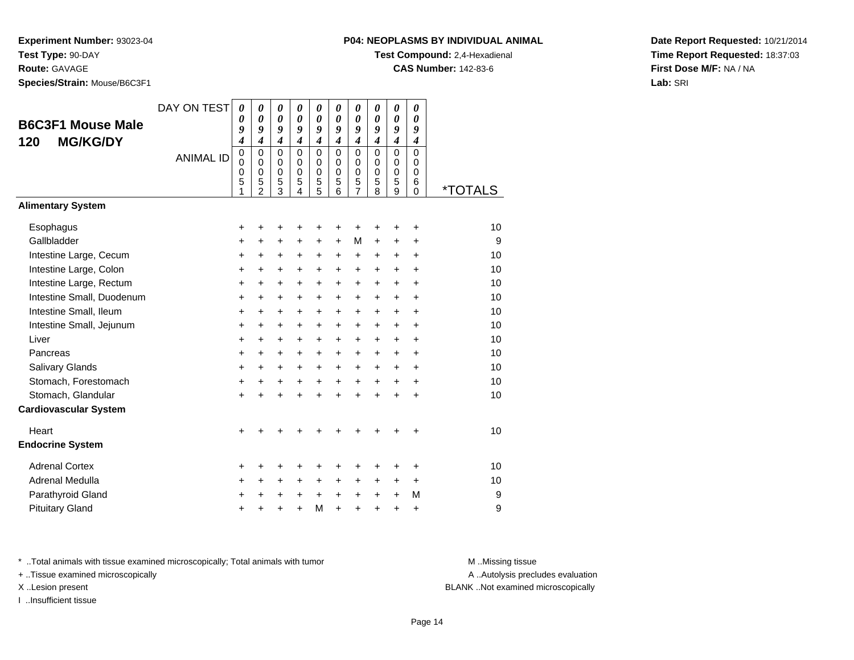# **Route:** GAVAGE

**Species/Strain:** Mouse/B6C3F1

# **P04: NEOPLASMS BY INDIVIDUAL ANIMAL**

**Test Compound:** 2,4-Hexadienal

**CAS Number:** 142-83-6

**Date Report Requested:** 10/21/2014**Time Report Requested:** 18:37:03**First Dose M/F:** NA / NA**Lab:** SRI

| <b>B6C3F1 Mouse Male</b><br><b>MG/KG/DY</b><br>120 | DAY ON TEST<br><b>ANIMAL ID</b> | 0<br>0<br>9<br>4<br>$\pmb{0}$<br>0<br>0<br>5<br>1 | 0<br>$\boldsymbol{\theta}$<br>9<br>$\boldsymbol{4}$<br>$\Omega$<br>$\mathbf 0$<br>$\pmb{0}$<br>5<br>$\mathfrak{p}$ | 0<br>$\boldsymbol{\theta}$<br>9<br>$\boldsymbol{4}$<br>$\mathbf 0$<br>$\pmb{0}$<br>$\mathbf 0$<br>5<br>3 | 0<br>$\boldsymbol{\theta}$<br>9<br>$\boldsymbol{4}$<br>$\Omega$<br>$\mathbf 0$<br>$\mathbf 0$<br>5<br>4 | 0<br>$\boldsymbol{\theta}$<br>9<br>4<br>$\mathbf 0$<br>$\mathbf 0$<br>$\mathbf 0$<br>5<br>$\overline{5}$ | 0<br>$\boldsymbol{\theta}$<br>9<br>$\boldsymbol{4}$<br>$\Omega$<br>$\mathbf 0$<br>$\mathbf 0$<br>5<br>6 | 0<br>$\boldsymbol{\theta}$<br>9<br>$\boldsymbol{4}$<br>$\mathbf 0$<br>$\mathbf 0$<br>$\mathbf 0$<br>5<br>$\overline{7}$ | 0<br>$\boldsymbol{\theta}$<br>9<br>$\boldsymbol{4}$<br>$\Omega$<br>$\mathbf 0$<br>$\mathbf 0$<br>5<br>8 | 0<br>$\boldsymbol{\theta}$<br>9<br>4<br>0<br>0<br>$\mathbf 0$<br>5<br>9 | 0<br>0<br>9<br>4<br>$\Omega$<br>$\mathbf 0$<br>$\mathbf 0$<br>6<br>0 | <i><b>*TOTALS</b></i> |
|----------------------------------------------------|---------------------------------|---------------------------------------------------|--------------------------------------------------------------------------------------------------------------------|----------------------------------------------------------------------------------------------------------|---------------------------------------------------------------------------------------------------------|----------------------------------------------------------------------------------------------------------|---------------------------------------------------------------------------------------------------------|-------------------------------------------------------------------------------------------------------------------------|---------------------------------------------------------------------------------------------------------|-------------------------------------------------------------------------|----------------------------------------------------------------------|-----------------------|
| <b>Alimentary System</b>                           |                                 |                                                   |                                                                                                                    |                                                                                                          |                                                                                                         |                                                                                                          |                                                                                                         |                                                                                                                         |                                                                                                         |                                                                         |                                                                      |                       |
| Esophagus                                          |                                 | +                                                 | +                                                                                                                  | $\ddot{}$                                                                                                | +                                                                                                       | +                                                                                                        | +                                                                                                       | $\ddot{}$                                                                                                               | +                                                                                                       | +                                                                       | +                                                                    | 10                    |
| Gallbladder                                        |                                 | +                                                 | +                                                                                                                  | +                                                                                                        | +                                                                                                       | +                                                                                                        | +                                                                                                       | M                                                                                                                       | +                                                                                                       | +                                                                       | +                                                                    | 9                     |
| Intestine Large, Cecum                             |                                 | +                                                 | $\ddot{}$                                                                                                          | $\ddot{}$                                                                                                | $\ddot{}$                                                                                               | $\ddot{}$                                                                                                | +                                                                                                       | +                                                                                                                       | +                                                                                                       | +                                                                       | +                                                                    | 10                    |
| Intestine Large, Colon                             |                                 | $\ddot{}$                                         | $\ddot{}$                                                                                                          | $\ddot{}$                                                                                                | $\ddot{}$                                                                                               | $\ddot{}$                                                                                                | $\ddot{}$                                                                                               | $\ddot{}$                                                                                                               | $\ddot{}$                                                                                               | $\ddot{}$                                                               | $\ddot{}$                                                            | 10                    |
| Intestine Large, Rectum                            |                                 | +                                                 | $\ddot{}$                                                                                                          | +                                                                                                        | $\ddot{}$                                                                                               | $\ddot{}$                                                                                                | +                                                                                                       | +                                                                                                                       | $\ddot{}$                                                                                               | +                                                                       | +                                                                    | 10                    |
| Intestine Small, Duodenum                          |                                 | $\ddot{}$                                         | $\ddot{}$                                                                                                          | $\ddot{}$                                                                                                | $\ddot{}$                                                                                               | $\ddot{}$                                                                                                | $\ddot{}$                                                                                               | $\ddot{}$                                                                                                               | $\ddot{}$                                                                                               | $\ddot{}$                                                               | ÷                                                                    | 10                    |
| Intestine Small, Ileum                             |                                 | $\ddot{}$                                         | $\ddot{}$                                                                                                          | $\ddot{}$                                                                                                | $\ddot{}$                                                                                               | $\ddot{}$                                                                                                | $\ddot{}$                                                                                               | $\ddot{}$                                                                                                               | $\ddot{}$                                                                                               | $\ddot{}$                                                               | ÷                                                                    | 10                    |
| Intestine Small, Jejunum                           |                                 | +                                                 | +                                                                                                                  | +                                                                                                        | +                                                                                                       | +                                                                                                        | $\ddot{}$                                                                                               | $\ddot{}$                                                                                                               | $\ddot{}$                                                                                               | $\pm$                                                                   | +                                                                    | 10                    |
| Liver                                              |                                 | +                                                 | +                                                                                                                  | $\ddot{}$                                                                                                | +                                                                                                       | $\ddot{}$                                                                                                | +                                                                                                       | +                                                                                                                       | $\ddot{}$                                                                                               | +                                                                       | +                                                                    | 10                    |
| Pancreas                                           |                                 | +                                                 | +                                                                                                                  | $\ddot{}$                                                                                                | $\ddot{}$                                                                                               | $\ddot{}$                                                                                                | $\ddot{}$                                                                                               | $\ddot{}$                                                                                                               | $\ddot{}$                                                                                               | $\ddot{}$                                                               | $\ddot{}$                                                            | 10                    |
| Salivary Glands                                    |                                 | $\ddot{}$                                         | +                                                                                                                  | $\ddot{}$                                                                                                | $\ddot{}$                                                                                               | $\ddot{}$                                                                                                | $\ddot{}$                                                                                               | $\ddot{}$                                                                                                               | $\ddot{}$                                                                                               | +                                                                       | $\ddot{}$                                                            | 10                    |
| Stomach, Forestomach                               |                                 | +                                                 | +                                                                                                                  | $\ddot{}$                                                                                                | $\ddot{}$                                                                                               | $\ddot{}$                                                                                                | $\ddot{}$                                                                                               | $\ddot{}$                                                                                                               | $\ddot{}$                                                                                               | $\ddot{}$                                                               | $\ddot{}$                                                            | 10                    |
| Stomach, Glandular                                 |                                 | $\ddot{}$                                         |                                                                                                                    |                                                                                                          |                                                                                                         | $\ddot{}$                                                                                                | $\ddot{}$                                                                                               | $\ddot{}$                                                                                                               | $\ddot{}$                                                                                               | $\ddot{}$                                                               | $\ddot{}$                                                            | 10                    |
| <b>Cardiovascular System</b>                       |                                 |                                                   |                                                                                                                    |                                                                                                          |                                                                                                         |                                                                                                          |                                                                                                         |                                                                                                                         |                                                                                                         |                                                                         |                                                                      |                       |
| Heart                                              |                                 | +                                                 |                                                                                                                    |                                                                                                          |                                                                                                         |                                                                                                          |                                                                                                         |                                                                                                                         |                                                                                                         |                                                                         | +                                                                    | 10                    |
| <b>Endocrine System</b>                            |                                 |                                                   |                                                                                                                    |                                                                                                          |                                                                                                         |                                                                                                          |                                                                                                         |                                                                                                                         |                                                                                                         |                                                                         |                                                                      |                       |
| <b>Adrenal Cortex</b>                              |                                 | +                                                 | +                                                                                                                  | +                                                                                                        | +                                                                                                       | +                                                                                                        | ٠                                                                                                       | +                                                                                                                       | +                                                                                                       | ٠                                                                       | ٠                                                                    | 10                    |
| Adrenal Medulla                                    |                                 | +                                                 | +                                                                                                                  | +                                                                                                        | $\ddot{}$                                                                                               | +                                                                                                        | +                                                                                                       | +                                                                                                                       | +                                                                                                       | +                                                                       | +                                                                    | 10                    |
| Parathyroid Gland                                  |                                 | +                                                 | +                                                                                                                  | +                                                                                                        | +                                                                                                       | $\ddot{}$                                                                                                | +                                                                                                       | +                                                                                                                       | $\ddot{}$                                                                                               | +                                                                       | M                                                                    | 9                     |
| <b>Pituitary Gland</b>                             |                                 |                                                   |                                                                                                                    |                                                                                                          | ÷                                                                                                       | M                                                                                                        | $\ddot{}$                                                                                               | $\ddot{}$                                                                                                               | ÷                                                                                                       | $\ddot{}$                                                               | +                                                                    | 9                     |

\* ..Total animals with tissue examined microscopically; Total animals with tumor **M** . Missing tissue M ..Missing tissue

+ ..Tissue examined microscopically

I ..Insufficient tissue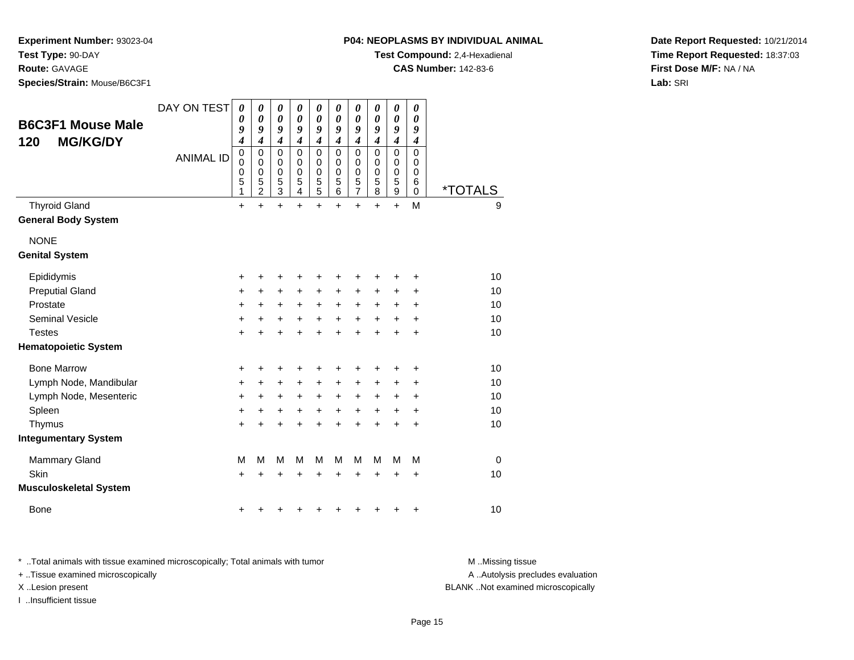**P04: NEOPLASMS BY INDIVIDUAL ANIMAL**

**Test Compound:** 2,4-Hexadienal

**CAS Number:** 142-83-6

**Experiment Number:** 93023-04**Test Type:** 90-DAY

**Route:** GAVAGE

**Species/Strain:** Mouse/B6C3F1

**Date Report Requested:** 10/21/2014**Time Report Requested:** 18:37:03**First Dose M/F:** NA / NA**Lab:** SRI

| <b>B6C3F1 Mouse Male</b><br><b>MG/KG/DY</b><br>120 | DAY ON TEST      | $\boldsymbol{\theta}$<br>$\boldsymbol{\theta}$<br>9<br>4 | $\boldsymbol{\theta}$<br>0<br>9<br>$\boldsymbol{4}$    | 0<br>$\boldsymbol{\theta}$<br>9<br>4             | 0<br>$\boldsymbol{\theta}$<br>9<br>$\boldsymbol{4}$ | 0<br>0<br>9<br>$\boldsymbol{4}$                | 0<br>0<br>9<br>4                       | $\boldsymbol{\theta}$<br>0<br>9<br>$\boldsymbol{4}$ | 0<br>0<br>9<br>$\boldsymbol{4}$ | 0<br>0<br>9<br>4              | 0<br>0<br>9<br>$\boldsymbol{4}$           |             |
|----------------------------------------------------|------------------|----------------------------------------------------------|--------------------------------------------------------|--------------------------------------------------|-----------------------------------------------------|------------------------------------------------|----------------------------------------|-----------------------------------------------------|---------------------------------|-------------------------------|-------------------------------------------|-------------|
|                                                    | <b>ANIMAL ID</b> | $\pmb{0}$<br>0<br>$\mathbf 0$<br>5<br>1                  | $\mathbf 0$<br>0<br>$\mathbf 0$<br>5<br>$\overline{2}$ | $\mathbf 0$<br>0<br>$\mathbf 0$<br>$\frac{5}{3}$ | $\Omega$<br>0<br>$\mathbf 0$<br>5<br>4              | $\mathbf 0$<br>0<br>$\pmb{0}$<br>$\frac{5}{5}$ | $\Omega$<br>0<br>$\mathbf 0$<br>5<br>6 | $\mathbf 0$<br>0<br>$\pmb{0}$<br>$\frac{5}{7}$      | $\mathbf 0$<br>0<br>0<br>5<br>8 | 0<br>0<br>$\pmb{0}$<br>5<br>9 | $\mathbf 0$<br>0<br>$\mathbf 0$<br>6<br>0 | *TOTALS     |
| <b>Thyroid Gland</b>                               |                  | $\ddot{}$                                                | $\ddot{}$                                              | $\ddot{}$                                        | $\ddot{}$                                           | $\ddot{}$                                      | $\ddot{}$                              | $\ddot{}$                                           | $\ddot{}$                       | $+$                           | M                                         | 9           |
| <b>General Body System</b>                         |                  |                                                          |                                                        |                                                  |                                                     |                                                |                                        |                                                     |                                 |                               |                                           |             |
| <b>NONE</b>                                        |                  |                                                          |                                                        |                                                  |                                                     |                                                |                                        |                                                     |                                 |                               |                                           |             |
| <b>Genital System</b>                              |                  |                                                          |                                                        |                                                  |                                                     |                                                |                                        |                                                     |                                 |                               |                                           |             |
| Epididymis                                         |                  | +                                                        | +                                                      | +                                                | +                                                   | +                                              | +                                      | +                                                   |                                 | +                             | ٠                                         | 10          |
| <b>Preputial Gland</b>                             |                  | +                                                        | +                                                      | +                                                | +                                                   | +                                              | +                                      | +                                                   | +                               | +                             | +                                         | 10          |
| Prostate                                           |                  | $\ddot{}$                                                | $\ddot{}$                                              | $\ddot{}$                                        | +                                                   | $\ddot{}$                                      | $\ddot{}$                              | $\ddot{}$                                           | $\ddot{}$                       | $\pm$                         | $\ddot{}$                                 | 10          |
| <b>Seminal Vesicle</b>                             |                  | +                                                        | +                                                      | +                                                | +                                                   | +                                              | $\ddot{}$                              | $\ddot{}$                                           | +                               | +                             | $\ddot{}$                                 | 10          |
| <b>Testes</b>                                      |                  | $\ddot{}$                                                | +                                                      | +                                                | +                                                   | $\ddot{}$                                      | $\ddot{}$                              | $\ddot{}$                                           | $\ddot{}$                       | +                             | $\ddot{}$                                 | 10          |
| <b>Hematopoietic System</b>                        |                  |                                                          |                                                        |                                                  |                                                     |                                                |                                        |                                                     |                                 |                               |                                           |             |
| <b>Bone Marrow</b>                                 |                  | +                                                        | +                                                      | +                                                | +                                                   | +                                              | +                                      | +                                                   | +                               | +                             | +                                         | 10          |
| Lymph Node, Mandibular                             |                  | +                                                        | +                                                      | +                                                | $\pm$                                               | $\ddot{}$                                      | +                                      | +                                                   | $\pm$                           | $\pm$                         | +                                         | 10          |
| Lymph Node, Mesenteric                             |                  | +                                                        | +                                                      | $\ddot{}$                                        | +                                                   | $\ddot{}$                                      | +                                      | +                                                   | +                               | +                             | $\ddot{}$                                 | 10          |
| Spleen                                             |                  | +                                                        | +                                                      | +                                                | +                                                   | +                                              | +                                      | +                                                   | +                               | +                             | +                                         | 10          |
| Thymus                                             |                  | $\ddot{}$                                                |                                                        | +                                                | +                                                   | $\ddot{}$                                      | $\ddot{}$                              | $\ddot{}$                                           | $\ddot{}$                       | $\ddot{}$                     | $\ddot{}$                                 | 10          |
| <b>Integumentary System</b>                        |                  |                                                          |                                                        |                                                  |                                                     |                                                |                                        |                                                     |                                 |                               |                                           |             |
| Mammary Gland                                      |                  | M                                                        | M                                                      | M                                                | M                                                   | M                                              | М                                      | М                                                   | M                               | M                             | M                                         | $\mathbf 0$ |
| Skin                                               |                  | $\ddot{}$                                                |                                                        | +                                                |                                                     | +                                              | +                                      | +                                                   | +                               | +                             | +                                         | 10          |
| <b>Musculoskeletal System</b>                      |                  |                                                          |                                                        |                                                  |                                                     |                                                |                                        |                                                     |                                 |                               |                                           |             |
| <b>Bone</b>                                        |                  | +                                                        |                                                        |                                                  |                                                     | ٠                                              | +                                      | +                                                   | +                               | +                             | +                                         | 10          |

\* ..Total animals with tissue examined microscopically; Total animals with tumor **M** . Missing tissue M ..Missing tissue

+ ..Tissue examined microscopically

I ..Insufficient tissue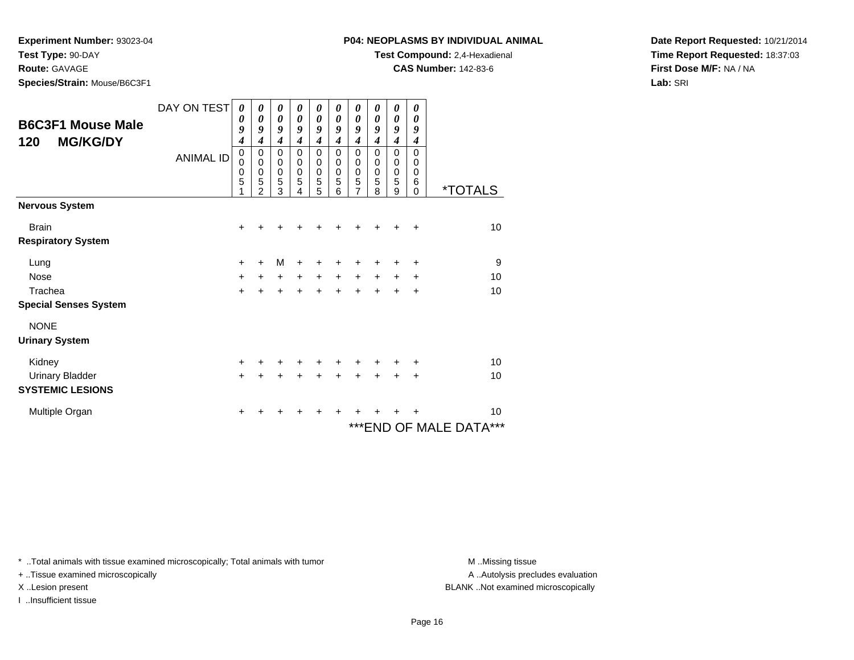**Test Type:** 90-DAY

# **Route:** GAVAGE

**Species/Strain:** Mouse/B6C3F1

# **Test Compound:** 2,4-Hexadienal

**CAS Number:** 142-83-6

**Date Report Requested:** 10/21/2014**Time Report Requested:** 18:37:03**First Dose M/F:** NA / NA**Lab:** SRI

|                              | DAY ON TEST      | 0<br>$\boldsymbol{\theta}$ | 0<br>$\boldsymbol{\theta}$ | 0<br>$\boldsymbol{\theta}$ | 0<br>$\boldsymbol{\theta}$ | 0<br>$\boldsymbol{\theta}$ | 0<br>0               | 0<br>$\boldsymbol{\theta}$ | 0<br>0        | 0<br>$\boldsymbol{\theta}$      | 0<br>$\boldsymbol{\theta}$ |                            |
|------------------------------|------------------|----------------------------|----------------------------|----------------------------|----------------------------|----------------------------|----------------------|----------------------------|---------------|---------------------------------|----------------------------|----------------------------|
| <b>B6C3F1 Mouse Male</b>     |                  | 9                          | 9                          | 9                          | $\boldsymbol{g}$           | 9                          | 9                    | 9                          | 9             | 9                               | 9                          |                            |
| <b>MG/KG/DY</b><br>120       |                  | 4                          | $\boldsymbol{4}$           | $\boldsymbol{4}$           | 4                          | $\boldsymbol{4}$           | 4                    | 4                          | 4             | $\boldsymbol{4}$                | $\boldsymbol{4}$           |                            |
|                              | <b>ANIMAL ID</b> | $\pmb{0}$<br>$\mathbf 0$   | 0<br>$\pmb{0}$             | $\mathbf 0$<br>$\pmb{0}$   | $\mathbf 0$<br>0           | $\mathbf 0$<br>0           | $\Omega$<br>$\Omega$ | $\mathbf 0$<br>0           | $\Omega$<br>0 | $\mathbf 0$<br>$\boldsymbol{0}$ | $\mathbf 0$<br>0           |                            |
|                              |                  | $\mathbf 0$                | $\pmb{0}$                  | $\mathbf 0$                | $\mathbf 0$                | $\pmb{0}$                  | 0                    | 0                          | 0             | $\pmb{0}$                       | 0                          |                            |
|                              |                  | 5                          | 5<br>$\overline{2}$        | 5<br>3                     | 5<br>4                     | 5<br>5                     | 5<br>6               | 5<br>7                     | 5<br>8        | 5<br>9                          | 6<br>$\Omega$              | <i><b>*TOTALS</b></i>      |
| <b>Nervous System</b>        |                  |                            |                            |                            |                            |                            |                      |                            |               |                                 |                            |                            |
| <b>Brain</b>                 |                  | +                          |                            |                            |                            |                            |                      |                            |               |                                 | $\div$                     | 10                         |
| <b>Respiratory System</b>    |                  |                            |                            |                            |                            |                            |                      |                            |               |                                 |                            |                            |
| Lung                         |                  | $\ddot{}$                  | $\ddot{}$                  | M                          | +                          | +                          | +                    | +                          | ÷             | +                               | $\ddot{}$                  | 9                          |
| <b>Nose</b>                  |                  | +                          | $\ddot{}$                  | $\ddot{}$                  | $+$                        | $+$                        | $\ddot{}$            | $\ddot{}$                  | $+$           | $+$                             | +                          | 10                         |
| Trachea                      |                  | $\ddot{}$                  |                            |                            |                            | $\ddot{}$                  | ÷                    | $\ddot{}$                  | ÷             | +                               | $\ddot{}$                  | 10                         |
| <b>Special Senses System</b> |                  |                            |                            |                            |                            |                            |                      |                            |               |                                 |                            |                            |
| <b>NONE</b>                  |                  |                            |                            |                            |                            |                            |                      |                            |               |                                 |                            |                            |
| <b>Urinary System</b>        |                  |                            |                            |                            |                            |                            |                      |                            |               |                                 |                            |                            |
| Kidney                       |                  | $\ddot{}$                  |                            | +                          | +                          | +                          | +                    | +                          | ٠             | ٠                               | ÷                          | 10                         |
| <b>Urinary Bladder</b>       |                  | $+$                        | $\div$                     | $\ddot{}$                  | $\pm$                      | $+$                        | $\ddot{}$            | $+$                        | $\ddot{}$     | $+$                             | $\ddot{}$                  | 10                         |
| <b>SYSTEMIC LESIONS</b>      |                  |                            |                            |                            |                            |                            |                      |                            |               |                                 |                            |                            |
| Multiple Organ               |                  | +                          |                            |                            |                            |                            | ٠                    |                            |               |                                 | ٠                          | 10                         |
|                              |                  |                            |                            |                            |                            |                            |                      |                            |               |                                 |                            | ***<br>***END OF MALE DATA |

\* ..Total animals with tissue examined microscopically; Total animals with tumor **M** . Missing tissue M ..Missing tissue

+ ..Tissue examined microscopically

I ..Insufficient tissue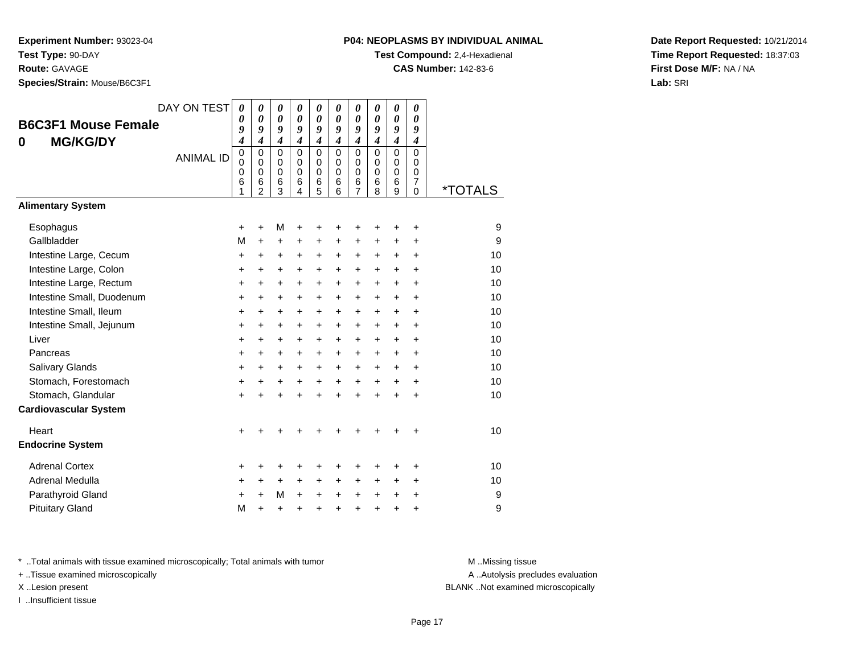**Route:** GAVAGE

**Species/Strain:** Mouse/B6C3F1

# **P04: NEOPLASMS BY INDIVIDUAL ANIMAL**

**Test Compound:** 2,4-Hexadienal

**CAS Number:** 142-83-6

**Date Report Requested:** 10/21/2014**Time Report Requested:** 18:37:03**First Dose M/F:** NA / NA**Lab:** SRI

| <b>B6C3F1 Mouse Female</b><br><b>MG/KG/DY</b><br>0 | DAY ON TEST<br><b>ANIMAL ID</b> | $\boldsymbol{\theta}$<br>0<br>9<br>$\boldsymbol{4}$<br>$\overline{0}$<br>0<br>0<br>6<br>1 | 0<br>0<br>9<br>$\overline{\boldsymbol{4}}$<br>$\mathbf 0$<br>$\mathbf 0$<br>0<br>6<br>$\overline{2}$ | 0<br>$\boldsymbol{\theta}$<br>9<br>$\boldsymbol{4}$<br>$\mathbf 0$<br>0<br>$\mathbf 0$<br>6<br>3 | 0<br>$\boldsymbol{\theta}$<br>9<br>$\overline{\boldsymbol{4}}$<br>$\mathbf 0$<br>$\mathbf 0$<br>$\mathbf 0$<br>6<br>4 | 0<br>0<br>9<br>$\boldsymbol{4}$<br>$\mathbf 0$<br>0<br>$\mathbf 0$<br>6<br>5 | 0<br>$\boldsymbol{\theta}$<br>9<br>$\boldsymbol{4}$<br>$\mathbf 0$<br>$\mathbf 0$<br>$\Omega$<br>6<br>6 | 0<br>$\boldsymbol{\theta}$<br>9<br>$\boldsymbol{4}$<br>$\mathbf 0$<br>$\mathbf 0$<br>$\mathbf 0$<br>6<br>$\overline{7}$ | 0<br>0<br>9<br>$\boldsymbol{4}$<br>$\mathbf 0$<br>$\Omega$<br>$\Omega$<br>6<br>8 | 0<br>$\boldsymbol{\theta}$<br>9<br>$\boldsymbol{4}$<br>$\mathbf 0$<br>$\pmb{0}$<br>$\mathbf 0$<br>6<br>$\overline{9}$ | 0<br>$\boldsymbol{\theta}$<br>9<br>$\boldsymbol{4}$<br>$\overline{0}$<br>$\mathbf 0$<br>$\Omega$<br>$\overline{7}$<br>$\overline{0}$ | <i><b>*TOTALS</b></i> |
|----------------------------------------------------|---------------------------------|-------------------------------------------------------------------------------------------|------------------------------------------------------------------------------------------------------|--------------------------------------------------------------------------------------------------|-----------------------------------------------------------------------------------------------------------------------|------------------------------------------------------------------------------|---------------------------------------------------------------------------------------------------------|-------------------------------------------------------------------------------------------------------------------------|----------------------------------------------------------------------------------|-----------------------------------------------------------------------------------------------------------------------|--------------------------------------------------------------------------------------------------------------------------------------|-----------------------|
| <b>Alimentary System</b>                           |                                 |                                                                                           |                                                                                                      |                                                                                                  |                                                                                                                       |                                                                              |                                                                                                         |                                                                                                                         |                                                                                  |                                                                                                                       |                                                                                                                                      |                       |
| Esophagus                                          |                                 | +                                                                                         | $\ddot{}$                                                                                            | M                                                                                                | $\ddot{}$                                                                                                             | +                                                                            | +                                                                                                       | +                                                                                                                       | +                                                                                | +                                                                                                                     | $\ddot{}$                                                                                                                            | 9                     |
| Gallbladder                                        |                                 | M                                                                                         | $\ddot{}$                                                                                            | $\ddot{}$                                                                                        | $\ddot{}$                                                                                                             | $\ddot{}$                                                                    | $\ddot{}$                                                                                               | $\ddot{}$                                                                                                               | $\ddot{}$                                                                        | $\ddot{}$                                                                                                             | $\ddot{}$                                                                                                                            | 9                     |
| Intestine Large, Cecum                             |                                 | $\ddot{}$                                                                                 | $\ddot{}$                                                                                            | $\ddot{}$                                                                                        | $\ddot{}$                                                                                                             | +                                                                            | +                                                                                                       | $\ddot{}$                                                                                                               | $\ddot{}$                                                                        | $\ddot{}$                                                                                                             | $\ddot{}$                                                                                                                            | 10                    |
| Intestine Large, Colon                             |                                 | +                                                                                         | +                                                                                                    | +                                                                                                | +                                                                                                                     | +                                                                            | +                                                                                                       | +                                                                                                                       | $\ddot{}$                                                                        | $\ddot{}$                                                                                                             | +                                                                                                                                    | 10                    |
| Intestine Large, Rectum                            |                                 | +                                                                                         | $\ddot{}$                                                                                            | $\ddot{}$                                                                                        | $\ddot{}$                                                                                                             | +                                                                            | +                                                                                                       | $\ddot{}$                                                                                                               | $\ddot{}$                                                                        | $\ddot{}$                                                                                                             | $\ddot{}$                                                                                                                            | 10                    |
| Intestine Small, Duodenum                          |                                 | +                                                                                         | +                                                                                                    | +                                                                                                | +                                                                                                                     | +                                                                            | +                                                                                                       | $\ddot{}$                                                                                                               | +                                                                                | $\ddot{}$                                                                                                             | +                                                                                                                                    | 10                    |
| Intestine Small, Ileum                             |                                 | +                                                                                         | +                                                                                                    | +                                                                                                | $\ddot{}$                                                                                                             | $\ddot{}$                                                                    | +                                                                                                       | $\ddot{}$                                                                                                               | +                                                                                | $\ddot{}$                                                                                                             | $\ddot{}$                                                                                                                            | 10                    |
| Intestine Small, Jejunum                           |                                 | $\ddot{}$                                                                                 | $\ddot{}$                                                                                            | $\ddot{}$                                                                                        | $\ddot{}$                                                                                                             | $\ddot{}$                                                                    | $\ddot{}$                                                                                               | $\ddot{}$                                                                                                               | $\ddot{}$                                                                        | $\ddot{}$                                                                                                             | $\ddot{}$                                                                                                                            | 10                    |
| Liver                                              |                                 | $\ddot{}$                                                                                 | $\ddot{}$                                                                                            | $\ddot{}$                                                                                        | $\ddot{}$                                                                                                             | $\ddot{}$                                                                    | $\ddot{}$                                                                                               | $\ddot{}$                                                                                                               | $\ddot{}$                                                                        | $+$                                                                                                                   | $\ddot{}$                                                                                                                            | 10                    |
| Pancreas                                           |                                 | $\ddot{}$                                                                                 | $\ddot{}$                                                                                            | +                                                                                                | $\ddot{}$                                                                                                             | $\ddot{}$                                                                    | $\ddot{}$                                                                                               | $\ddot{}$                                                                                                               | $\ddot{}$                                                                        | $\ddot{}$                                                                                                             | $\ddot{}$                                                                                                                            | 10                    |
| <b>Salivary Glands</b>                             |                                 | +                                                                                         | +                                                                                                    | $\ddot{}$                                                                                        | +                                                                                                                     | +                                                                            | +                                                                                                       | +                                                                                                                       | +                                                                                | $\ddot{}$                                                                                                             | $\ddot{}$                                                                                                                            | 10                    |
| Stomach, Forestomach                               |                                 | +                                                                                         | +                                                                                                    | +                                                                                                | +                                                                                                                     | $\ddot{}$                                                                    | $\ddot{}$                                                                                               | $\ddot{}$                                                                                                               | +                                                                                | $\ddot{}$                                                                                                             | +                                                                                                                                    | 10                    |
| Stomach, Glandular                                 |                                 | +                                                                                         | +                                                                                                    | +                                                                                                | +                                                                                                                     | $\ddot{}$                                                                    |                                                                                                         | $\ddot{}$                                                                                                               | ÷                                                                                | $\ddot{}$                                                                                                             | +                                                                                                                                    | 10                    |
| <b>Cardiovascular System</b>                       |                                 |                                                                                           |                                                                                                      |                                                                                                  |                                                                                                                       |                                                                              |                                                                                                         |                                                                                                                         |                                                                                  |                                                                                                                       |                                                                                                                                      |                       |
| Heart                                              |                                 | +                                                                                         |                                                                                                      |                                                                                                  |                                                                                                                       |                                                                              |                                                                                                         |                                                                                                                         |                                                                                  |                                                                                                                       | ٠                                                                                                                                    | 10                    |
| <b>Endocrine System</b>                            |                                 |                                                                                           |                                                                                                      |                                                                                                  |                                                                                                                       |                                                                              |                                                                                                         |                                                                                                                         |                                                                                  |                                                                                                                       |                                                                                                                                      |                       |
| <b>Adrenal Cortex</b>                              |                                 | +                                                                                         | +                                                                                                    | +                                                                                                | +                                                                                                                     | +                                                                            | +                                                                                                       | +                                                                                                                       | +                                                                                | ٠                                                                                                                     | ٠                                                                                                                                    | 10                    |
| Adrenal Medulla                                    |                                 | +                                                                                         | +                                                                                                    | $\ddot{}$                                                                                        | $\ddot{}$                                                                                                             | $\ddot{}$                                                                    | $\ddot{}$                                                                                               | +                                                                                                                       | $\pm$                                                                            | $\ddot{}$                                                                                                             | $\ddot{}$                                                                                                                            | 10                    |
| Parathyroid Gland                                  |                                 | +                                                                                         | $\ddot{}$                                                                                            | M                                                                                                | $\ddot{}$                                                                                                             | $\ddot{}$                                                                    | $\ddot{}$                                                                                               | $\ddot{}$                                                                                                               | $\ddot{}$                                                                        | +                                                                                                                     | $\ddot{}$                                                                                                                            | 9                     |
| <b>Pituitary Gland</b>                             |                                 | M                                                                                         | ÷                                                                                                    | $\ddot{}$                                                                                        |                                                                                                                       | $\ddot{}$                                                                    |                                                                                                         | $\ddot{}$                                                                                                               | ÷                                                                                | $\ddot{}$                                                                                                             | ÷                                                                                                                                    | 9                     |

\* ..Total animals with tissue examined microscopically; Total animals with tumor **M** . Missing tissue M ..Missing tissue

+ ..Tissue examined microscopically

I ..Insufficient tissue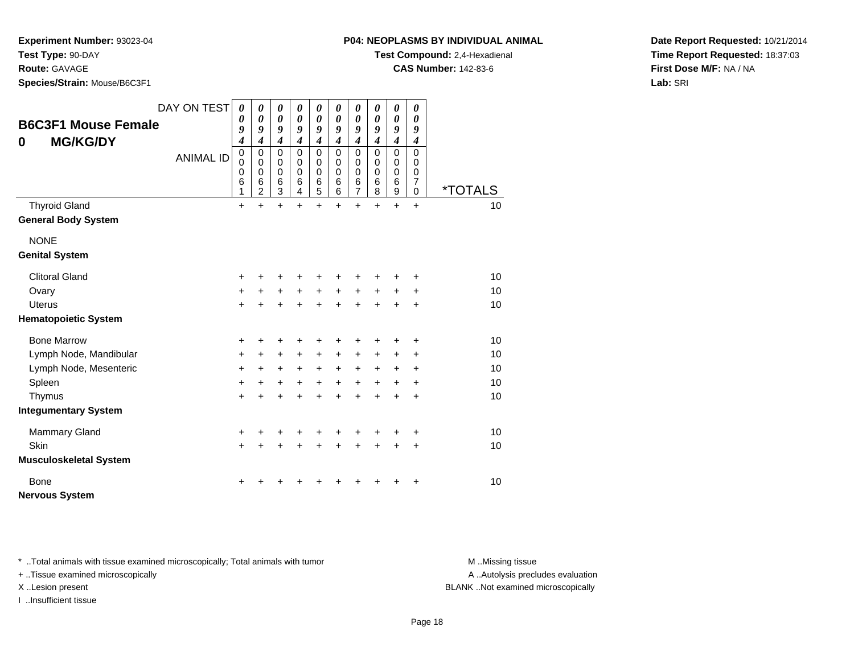**Test Type:** 90-DAY

**Route:** GAVAGE

**Species/Strain:** Mouse/B6C3F1

**Test Compound:** 2,4-Hexadienal

**CAS Number:** 142-83-6

**Date Report Requested:** 10/21/2014**Time Report Requested:** 18:37:03**First Dose M/F:** NA / NA**Lab:** SRI

| 0           | <b>B6C3F1 Mouse Female</b><br><b>MG/KG/DY</b> | DAY ON TEST<br><b>ANIMAL ID</b> | $\boldsymbol{\theta}$<br>$\boldsymbol{\theta}$<br>9<br>4<br>$\mathbf 0$<br>$\mathbf 0$<br>0<br>6<br>1 | $\boldsymbol{\theta}$<br>$\boldsymbol{\theta}$<br>9<br>$\boldsymbol{4}$<br>$\mathbf 0$<br>$\mathbf 0$<br>0<br>6<br>$\overline{2}$ | $\boldsymbol{\theta}$<br>$\boldsymbol{\theta}$<br>9<br>$\boldsymbol{4}$<br>$\mathbf 0$<br>$\pmb{0}$<br>$\mathbf 0$<br>6<br>3 | $\boldsymbol{\theta}$<br>0<br>9<br>$\boldsymbol{4}$<br>$\mathbf 0$<br>$\pmb{0}$<br>$\mathbf 0$<br>6<br>4 | $\pmb{\theta}$<br>$\boldsymbol{\theta}$<br>9<br>$\boldsymbol{4}$<br>$\mathbf 0$<br>$\mathbf 0$<br>0<br>6<br>5 | 0<br>$\boldsymbol{\theta}$<br>9<br>$\boldsymbol{4}$<br>0<br>0<br>0<br>6<br>6 | $\boldsymbol{\theta}$<br>$\boldsymbol{\theta}$<br>9<br>$\boldsymbol{4}$<br>$\mathbf 0$<br>$\mathbf 0$<br>$\mathbf 0$<br>6<br>$\overline{7}$ | 0<br>0<br>9<br>$\boldsymbol{4}$<br>$\mathbf 0$<br>$\mathbf 0$<br>0<br>6<br>8 | 0<br>$\pmb{\theta}$<br>9<br>$\boldsymbol{4}$<br>0<br>0<br>0<br>6<br>9 | 0<br>0<br>9<br>$\boldsymbol{4}$<br>0<br>0<br>0<br>7<br>0 | <i><b>*TOTALS</b></i> |
|-------------|-----------------------------------------------|---------------------------------|-------------------------------------------------------------------------------------------------------|-----------------------------------------------------------------------------------------------------------------------------------|------------------------------------------------------------------------------------------------------------------------------|----------------------------------------------------------------------------------------------------------|---------------------------------------------------------------------------------------------------------------|------------------------------------------------------------------------------|---------------------------------------------------------------------------------------------------------------------------------------------|------------------------------------------------------------------------------|-----------------------------------------------------------------------|----------------------------------------------------------|-----------------------|
|             | <b>Thyroid Gland</b>                          |                                 | $\ddot{}$                                                                                             | $\ddot{}$                                                                                                                         | $\ddot{}$                                                                                                                    | $\ddot{}$                                                                                                | $\ddot{}$                                                                                                     | $\ddot{}$                                                                    | $\ddot{}$                                                                                                                                   | $\ddot{}$                                                                    | $\ddot{}$                                                             | $\ddot{}$                                                | 10                    |
|             | <b>General Body System</b>                    |                                 |                                                                                                       |                                                                                                                                   |                                                                                                                              |                                                                                                          |                                                                                                               |                                                                              |                                                                                                                                             |                                                                              |                                                                       |                                                          |                       |
|             | <b>NONE</b><br><b>Genital System</b>          |                                 |                                                                                                       |                                                                                                                                   |                                                                                                                              |                                                                                                          |                                                                                                               |                                                                              |                                                                                                                                             |                                                                              |                                                                       |                                                          |                       |
|             | <b>Clitoral Gland</b>                         |                                 | +                                                                                                     |                                                                                                                                   |                                                                                                                              |                                                                                                          | +                                                                                                             | +                                                                            | +                                                                                                                                           |                                                                              |                                                                       | ٠                                                        | 10                    |
|             | Ovary                                         |                                 | $\ddot{}$                                                                                             | +                                                                                                                                 | $\ddot{}$                                                                                                                    | +                                                                                                        | $\ddot{}$                                                                                                     | $\ddot{}$                                                                    | $\ddot{}$                                                                                                                                   | $+$                                                                          | $\pm$                                                                 | $\ddot{}$                                                | 10                    |
|             | <b>Uterus</b>                                 |                                 | $\ddot{}$                                                                                             | $\ddot{}$                                                                                                                         | $\ddot{}$                                                                                                                    | $\ddot{}$                                                                                                | $+$                                                                                                           | $\ddot{}$                                                                    | $\ddot{}$                                                                                                                                   | $\ddot{}$                                                                    | $+$                                                                   | $\ddot{}$                                                | 10                    |
|             | <b>Hematopoietic System</b>                   |                                 |                                                                                                       |                                                                                                                                   |                                                                                                                              |                                                                                                          |                                                                                                               |                                                                              |                                                                                                                                             |                                                                              |                                                                       |                                                          |                       |
|             | <b>Bone Marrow</b>                            |                                 | +                                                                                                     | +                                                                                                                                 | +                                                                                                                            | +                                                                                                        | +                                                                                                             | +                                                                            | +                                                                                                                                           |                                                                              | +                                                                     | +                                                        | 10                    |
|             | Lymph Node, Mandibular                        |                                 | +                                                                                                     | +                                                                                                                                 | $\ddot{}$                                                                                                                    | +                                                                                                        | $\ddot{}$                                                                                                     | +                                                                            | $\ddot{}$                                                                                                                                   | +                                                                            | +                                                                     | +                                                        | 10                    |
|             | Lymph Node, Mesenteric                        |                                 | +                                                                                                     | +                                                                                                                                 | $\ddot{}$                                                                                                                    | $+$                                                                                                      | $\ddot{}$                                                                                                     | $+$                                                                          | $\ddot{}$                                                                                                                                   | $\ddot{}$                                                                    | $\ddot{}$                                                             | +                                                        | 10                    |
|             | Spleen                                        |                                 | $\ddot{}$                                                                                             | +                                                                                                                                 | $\ddot{}$                                                                                                                    | $\ddot{}$                                                                                                | $\ddot{}$                                                                                                     | $\ddot{}$                                                                    | $\ddot{}$                                                                                                                                   | $+$                                                                          | $\ddot{}$                                                             | $\ddot{}$                                                | 10                    |
|             | Thymus                                        |                                 | $\ddot{}$                                                                                             | +                                                                                                                                 | $\ddot{}$                                                                                                                    | $\ddot{}$                                                                                                | $\ddot{}$                                                                                                     | $\ddot{}$                                                                    | $\ddot{}$                                                                                                                                   | $\ddot{}$                                                                    | +                                                                     | $\ddot{}$                                                | 10                    |
|             | <b>Integumentary System</b>                   |                                 |                                                                                                       |                                                                                                                                   |                                                                                                                              |                                                                                                          |                                                                                                               |                                                                              |                                                                                                                                             |                                                                              |                                                                       |                                                          |                       |
|             | <b>Mammary Gland</b>                          |                                 | $\ddot{}$                                                                                             | +                                                                                                                                 | +                                                                                                                            |                                                                                                          | +                                                                                                             | +                                                                            | +                                                                                                                                           |                                                                              |                                                                       | +                                                        | 10                    |
| Skin        |                                               |                                 | $\ddot{}$                                                                                             | $\ddot{}$                                                                                                                         | +                                                                                                                            | $\ddot{}$                                                                                                | $\ddot{}$                                                                                                     | $\ddot{}$                                                                    | $\ddot{}$                                                                                                                                   | $\ddot{}$                                                                    | $\ddot{}$                                                             | $\ddot{}$                                                | 10                    |
|             | <b>Musculoskeletal System</b>                 |                                 |                                                                                                       |                                                                                                                                   |                                                                                                                              |                                                                                                          |                                                                                                               |                                                                              |                                                                                                                                             |                                                                              |                                                                       |                                                          |                       |
| <b>Bone</b> |                                               |                                 | +                                                                                                     |                                                                                                                                   |                                                                                                                              |                                                                                                          |                                                                                                               |                                                                              |                                                                                                                                             |                                                                              |                                                                       | +                                                        | 10                    |
|             | <b>Nervous System</b>                         |                                 |                                                                                                       |                                                                                                                                   |                                                                                                                              |                                                                                                          |                                                                                                               |                                                                              |                                                                                                                                             |                                                                              |                                                                       |                                                          |                       |

\* ..Total animals with tissue examined microscopically; Total animals with tumor **M** . Missing tissue M ..Missing tissue

+ ..Tissue examined microscopically

I ..Insufficient tissue

A ..Autolysis precludes evaluation

X ..Lesion present BLANK ..Not examined microscopically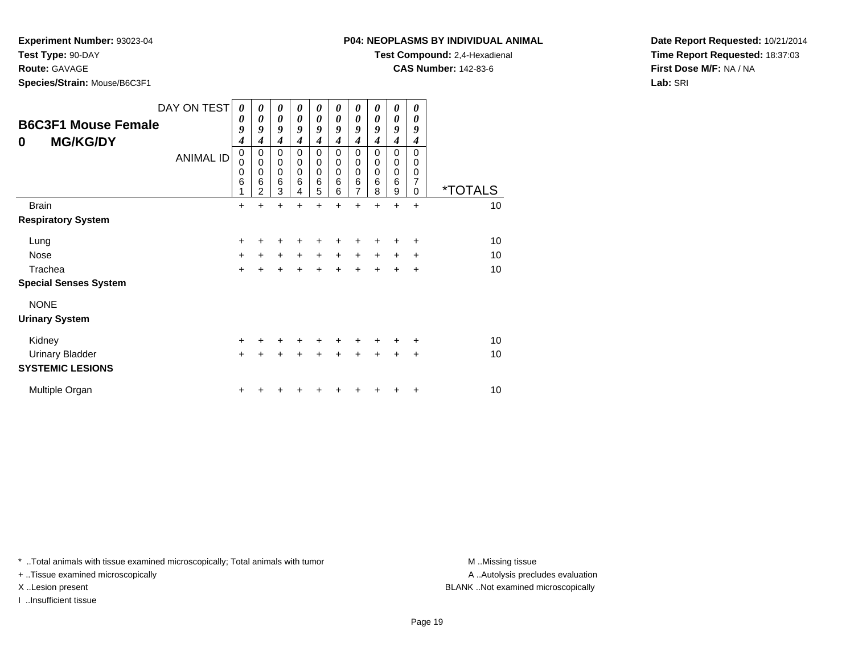**Test Type:** 90-DAY

**Route:** GAVAGE

**Species/Strain:** Mouse/B6C3F1

**Test Compound:** 2,4-Hexadienal

**CAS Number:** 142-83-6

**Date Report Requested:** 10/21/2014**Time Report Requested:** 18:37:03**First Dose M/F:** NA / NA**Lab:** SRI

| <b>B6C3F1 Mouse Female</b><br><b>MG/KG/DY</b><br>0 | DAY ON TEST<br><b>ANIMAL ID</b> | 0<br>0<br>9<br>$\boldsymbol{4}$<br>0<br>$\mathbf 0$<br>$\mathbf 0$<br>$6\phantom{1}6$<br>1 | 0<br>0<br>9<br>4<br>0<br>$\mathbf 0$<br>$\mathbf 0$<br>6<br>$\mathfrak{p}$ | 0<br>0<br>9<br>$\boldsymbol{4}$<br>0<br>$\mathbf 0$<br>$\pmb{0}$<br>$\,6$<br>3 | 0<br>0<br>9<br>4<br>0<br>0<br>$\mathbf 0$<br>6<br>4 | 0<br>0<br>9<br>4<br>0<br>0<br>$\mathbf 0$<br>6<br>5 | 0<br>0<br>9<br>4<br>$\Omega$<br>0<br>0<br>6<br>6 | 0<br>0<br>9<br>$\boldsymbol{4}$<br>0<br>0<br>0<br>6<br>$\overline{7}$ | 0<br>0<br>9<br>4<br>$\Omega$<br>0<br>$\mathbf 0$<br>6<br>8 | 0<br>0<br>9<br>4<br>0<br>0<br>0<br>6<br>9 | 0<br>0<br>9<br>4<br>$\Omega$<br>0<br>$\pmb{0}$<br>$\overline{7}$<br>$\Omega$ | <i><b>*TOTALS</b></i> |
|----------------------------------------------------|---------------------------------|--------------------------------------------------------------------------------------------|----------------------------------------------------------------------------|--------------------------------------------------------------------------------|-----------------------------------------------------|-----------------------------------------------------|--------------------------------------------------|-----------------------------------------------------------------------|------------------------------------------------------------|-------------------------------------------|------------------------------------------------------------------------------|-----------------------|
| <b>Brain</b>                                       |                                 | $\ddot{}$                                                                                  |                                                                            | $\div$                                                                         |                                                     | $\ddot{}$                                           | +                                                | $\ddot{}$                                                             | $\ddot{}$                                                  | $\ddot{}$                                 | $+$                                                                          | 10                    |
| <b>Respiratory System</b>                          |                                 |                                                                                            |                                                                            |                                                                                |                                                     |                                                     |                                                  |                                                                       |                                                            |                                           |                                                                              |                       |
| Lung                                               |                                 | +                                                                                          |                                                                            |                                                                                |                                                     |                                                     |                                                  |                                                                       |                                                            |                                           | ٠                                                                            | 10                    |
| Nose                                               |                                 | $\ddot{}$                                                                                  | $\ddot{}$                                                                  | $\ddot{}$                                                                      | $\ddot{}$                                           | $\ddot{}$                                           | $\ddot{}$                                        | $\ddot{}$                                                             | $\ddot{}$                                                  | $\ddot{}$                                 | $\ddot{}$                                                                    | 10                    |
| Trachea                                            |                                 | $\ddot{}$                                                                                  |                                                                            |                                                                                |                                                     | $\ddot{}$                                           | $\ddot{}$                                        | $\ddot{}$                                                             |                                                            | $\ddot{}$                                 | $\ddot{}$                                                                    | 10                    |
| <b>Special Senses System</b>                       |                                 |                                                                                            |                                                                            |                                                                                |                                                     |                                                     |                                                  |                                                                       |                                                            |                                           |                                                                              |                       |
| <b>NONE</b>                                        |                                 |                                                                                            |                                                                            |                                                                                |                                                     |                                                     |                                                  |                                                                       |                                                            |                                           |                                                                              |                       |
| <b>Urinary System</b>                              |                                 |                                                                                            |                                                                            |                                                                                |                                                     |                                                     |                                                  |                                                                       |                                                            |                                           |                                                                              |                       |
| Kidney                                             |                                 | $\ddot{}$                                                                                  |                                                                            |                                                                                |                                                     |                                                     |                                                  |                                                                       |                                                            |                                           | ٠                                                                            | 10                    |
| <b>Urinary Bladder</b>                             |                                 | $\ddot{}$                                                                                  |                                                                            |                                                                                |                                                     | +                                                   | ÷                                                | $\ddot{}$                                                             | $\ddot{}$                                                  | +                                         | $\ddot{}$                                                                    | 10                    |
| <b>SYSTEMIC LESIONS</b>                            |                                 |                                                                                            |                                                                            |                                                                                |                                                     |                                                     |                                                  |                                                                       |                                                            |                                           |                                                                              |                       |
| Multiple Organ                                     |                                 |                                                                                            |                                                                            |                                                                                |                                                     |                                                     |                                                  |                                                                       |                                                            |                                           | +                                                                            | 10                    |

\* ..Total animals with tissue examined microscopically; Total animals with tumor **M** . Missing tissue M ..Missing tissue

+ ..Tissue examined microscopically

I ..Insufficient tissue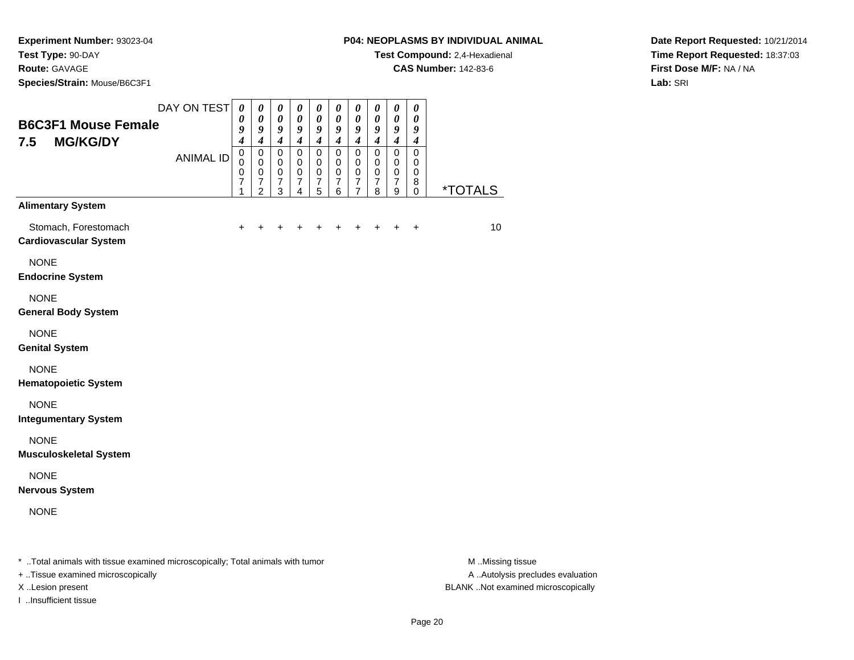**Species/Strain:** Mouse/B6C3F1

**Test Compound:** 2,4-Hexadienal

**CAS Number:** 142-83-6

**Date Report Requested:** 10/21/2014**Time Report Requested:** 18:37:03**First Dose M/F:** NA / NA**Lab:** SRI

| <b>B6C3F1 Mouse Female</b><br>7.5<br><b>MG/KG/DY</b> | DAY ON TEST      | $\boldsymbol{\theta}$<br>0<br>9<br>$\overline{\mathbf{4}}$ | $\pmb{\theta}$<br>$\boldsymbol{\theta}$<br>9<br>$\boldsymbol{4}$    | $\boldsymbol{\theta}$<br>$\boldsymbol{\theta}$<br>9<br>$\boldsymbol{4}$ | $\pmb{\theta}$<br>$\boldsymbol{\theta}$<br>9<br>$\boldsymbol{4}$    | $\pmb{\theta}$<br>$\boldsymbol{\theta}$<br>9<br>$\boldsymbol{4}$ | $\boldsymbol{\theta}$<br>0<br>9<br>$\boldsymbol{4}$ | $\boldsymbol{\theta}$<br>$\boldsymbol{\theta}$<br>9<br>$\boldsymbol{4}$     | 0<br>$\boldsymbol{\theta}$<br>9<br>$\boldsymbol{4}$              | $\boldsymbol{\theta}$<br>$\boldsymbol{\theta}$<br>9<br>$\boldsymbol{4}$ | 0<br>$\boldsymbol{\theta}$<br>9<br>$\boldsymbol{4}$ |                       |
|------------------------------------------------------|------------------|------------------------------------------------------------|---------------------------------------------------------------------|-------------------------------------------------------------------------|---------------------------------------------------------------------|------------------------------------------------------------------|-----------------------------------------------------|-----------------------------------------------------------------------------|------------------------------------------------------------------|-------------------------------------------------------------------------|-----------------------------------------------------|-----------------------|
|                                                      | <b>ANIMAL ID</b> | $\mathbf 0$<br>$\Omega$<br>0<br>7<br>1                     | $\mathbf 0$<br>$\mathbf 0$<br>0<br>$\overline{7}$<br>$\overline{2}$ | $\mathbf 0$<br>$\mathbf 0$<br>$\pmb{0}$<br>$\overline{7}$<br>3          | $\mathbf 0$<br>$\mathbf 0$<br>0<br>$\overline{7}$<br>$\overline{4}$ | $\mathbf 0$<br>$\mathbf 0$<br>0<br>$\overline{7}$<br>5           | 0<br>$\mathbf 0$<br>0<br>$\overline{7}$<br>6        | $\mathbf 0$<br>$\mathbf 0$<br>$\pmb{0}$<br>$\overline{7}$<br>$\overline{7}$ | $\mathbf 0$<br>$\mathbf 0$<br>$\mathbf 0$<br>$\overline{7}$<br>8 | $\mathbf 0$<br>$\mathbf 0$<br>$\pmb{0}$<br>$\overline{7}$<br>9          | $\mathbf 0$<br>$\mathbf 0$<br>0<br>8<br>0           | <i><b>*TOTALS</b></i> |
| <b>Alimentary System</b>                             |                  |                                                            |                                                                     |                                                                         |                                                                     |                                                                  |                                                     |                                                                             |                                                                  |                                                                         |                                                     |                       |
| Stomach, Forestomach<br><b>Cardiovascular System</b> |                  | $+$                                                        | $\ddot{}$                                                           | +                                                                       | +                                                                   | +                                                                | +                                                   |                                                                             |                                                                  | $\div$                                                                  | $\ddot{}$                                           | 10                    |
| <b>NONE</b><br><b>Endocrine System</b>               |                  |                                                            |                                                                     |                                                                         |                                                                     |                                                                  |                                                     |                                                                             |                                                                  |                                                                         |                                                     |                       |
| <b>NONE</b><br><b>General Body System</b>            |                  |                                                            |                                                                     |                                                                         |                                                                     |                                                                  |                                                     |                                                                             |                                                                  |                                                                         |                                                     |                       |
| <b>NONE</b><br><b>Genital System</b>                 |                  |                                                            |                                                                     |                                                                         |                                                                     |                                                                  |                                                     |                                                                             |                                                                  |                                                                         |                                                     |                       |
| <b>NONE</b><br><b>Hematopoietic System</b>           |                  |                                                            |                                                                     |                                                                         |                                                                     |                                                                  |                                                     |                                                                             |                                                                  |                                                                         |                                                     |                       |
| <b>NONE</b><br><b>Integumentary System</b>           |                  |                                                            |                                                                     |                                                                         |                                                                     |                                                                  |                                                     |                                                                             |                                                                  |                                                                         |                                                     |                       |
| <b>NONE</b><br><b>Musculoskeletal System</b>         |                  |                                                            |                                                                     |                                                                         |                                                                     |                                                                  |                                                     |                                                                             |                                                                  |                                                                         |                                                     |                       |
| <b>NONE</b><br><b>Nervous System</b>                 |                  |                                                            |                                                                     |                                                                         |                                                                     |                                                                  |                                                     |                                                                             |                                                                  |                                                                         |                                                     |                       |
| <b>NONE</b>                                          |                  |                                                            |                                                                     |                                                                         |                                                                     |                                                                  |                                                     |                                                                             |                                                                  |                                                                         |                                                     |                       |
|                                                      |                  |                                                            |                                                                     |                                                                         |                                                                     |                                                                  |                                                     |                                                                             |                                                                  |                                                                         |                                                     |                       |

\* ..Total animals with tissue examined microscopically; Total animals with tumor **M** ...Missing tissue M ...Missing tissue

+ ..Tissue examined microscopically

I ..Insufficient tissue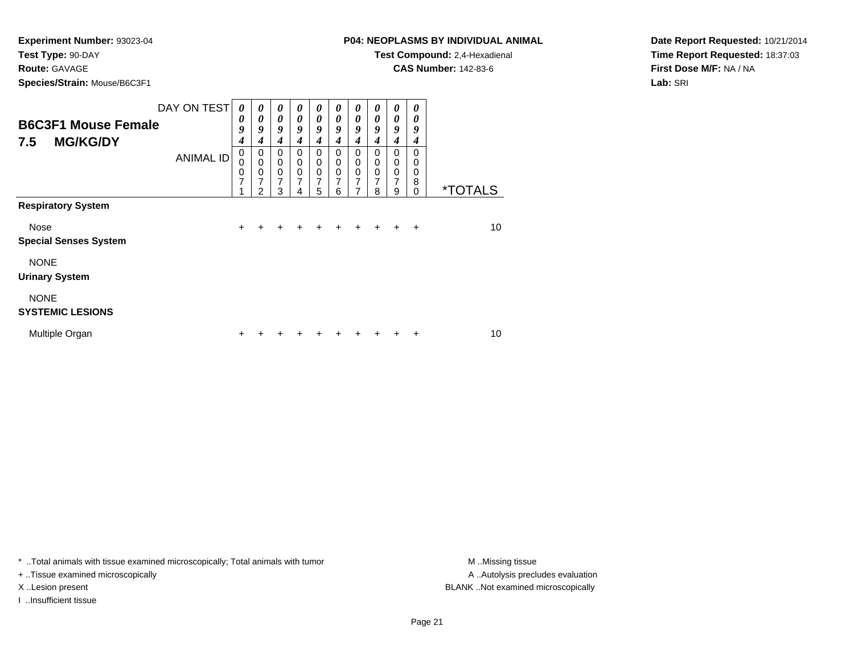**Route:** GAVAGE

**Species/Strain:** Mouse/B6C3F1

# **P04: NEOPLASMS BY INDIVIDUAL ANIMAL**

**Test Compound:** 2,4-Hexadienal

**CAS Number:** 142-83-6

**Date Report Requested:** 10/21/2014**Time Report Requested:** 18:37:03**First Dose M/F:** NA / NA**Lab:** SRI

| <b>B6C3F1 Mouse Female</b><br><b>MG/KG/DY</b><br>7.5 | DAY ON TEST<br><b>ANIMAL ID</b> | 0<br>0<br>9<br>4<br>$\mathbf 0$<br>0<br>0<br>$\overline{7}$<br>4 | 0<br>0<br>9<br>4<br>0<br>0<br>0<br>$\overline{7}$<br>2 | 0<br>$\boldsymbol{\theta}$<br>9<br>4<br>$\Omega$<br>0<br>$\mathbf 0$<br>7<br>3 | $\boldsymbol{\theta}$<br>0<br>9<br>4<br>$\Omega$<br>0<br>0<br>7<br>4 | 0<br>$\boldsymbol{\theta}$<br>9<br>4<br>0<br>$\mathbf 0$<br>$\pmb{0}$<br>7<br>5 | 0<br>0<br>9<br>4<br>$\Omega$<br>0<br>0<br>$\overline{7}$<br>6 | 0<br>$\boldsymbol{\theta}$<br>9<br>$\boldsymbol{4}$<br>0<br>0<br>$\pmb{0}$<br>$\overline{7}$<br>7 | 0<br>0<br>9<br>4<br>0<br>0<br>0<br>$\overline{7}$<br>8 | 0<br>0<br>9<br>4<br>0<br>0<br>$\mathbf 0$<br>7<br>9 | 0<br>0<br>9<br>4<br>0<br>0<br>0<br>8<br>0 | <i><b>*TOTALS</b></i> |
|------------------------------------------------------|---------------------------------|------------------------------------------------------------------|--------------------------------------------------------|--------------------------------------------------------------------------------|----------------------------------------------------------------------|---------------------------------------------------------------------------------|---------------------------------------------------------------|---------------------------------------------------------------------------------------------------|--------------------------------------------------------|-----------------------------------------------------|-------------------------------------------|-----------------------|
| <b>Respiratory System</b>                            |                                 |                                                                  |                                                        |                                                                                |                                                                      |                                                                                 |                                                               |                                                                                                   |                                                        |                                                     |                                           |                       |
| Nose<br><b>Special Senses System</b>                 |                                 | $+$                                                              | +                                                      | +                                                                              | ÷                                                                    |                                                                                 |                                                               |                                                                                                   |                                                        |                                                     | $\div$                                    | 10                    |
| <b>NONE</b><br><b>Urinary System</b>                 |                                 |                                                                  |                                                        |                                                                                |                                                                      |                                                                                 |                                                               |                                                                                                   |                                                        |                                                     |                                           |                       |
| <b>NONE</b><br><b>SYSTEMIC LESIONS</b>               |                                 |                                                                  |                                                        |                                                                                |                                                                      |                                                                                 |                                                               |                                                                                                   |                                                        |                                                     |                                           |                       |
| Multiple Organ                                       |                                 | ÷                                                                |                                                        |                                                                                |                                                                      |                                                                                 |                                                               |                                                                                                   |                                                        |                                                     | ٠                                         | 10                    |

\* ..Total animals with tissue examined microscopically; Total animals with tumor **M** . Missing tissue M ..Missing tissue

+ ..Tissue examined microscopically

I ..Insufficient tissue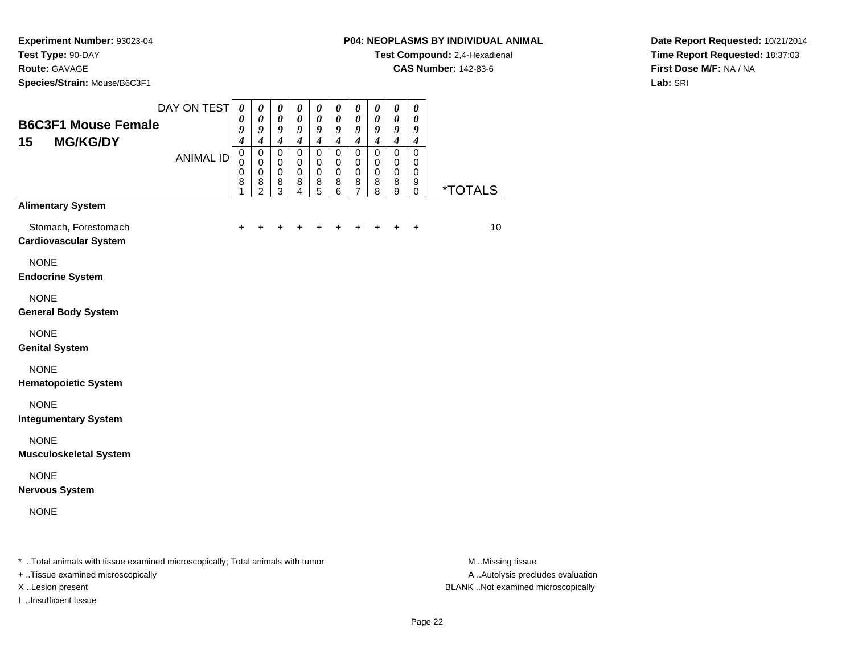**Route:** GAVAGE

**Species/Strain:** Mouse/B6C3F1

**Test Compound:** 2,4-Hexadienal

**CAS Number:** 142-83-6

**Date Report Requested:** 10/21/2014**Time Report Requested:** 18:37:03**First Dose M/F:** NA / NA**Lab:** SRI

| <b>B6C3F1 Mouse Female</b><br><b>MG/KG/DY</b><br>15                                                            | DAY ON TEST      | $\boldsymbol{\theta}$<br>0<br>9<br>$\boldsymbol{4}$ | $\boldsymbol{\theta}$<br>$\boldsymbol{\theta}$<br>9<br>$\boldsymbol{4}$ | $\boldsymbol{\theta}$<br>$\boldsymbol{\theta}$<br>9<br>$\boldsymbol{4}$ | $\pmb{\theta}$<br>$\pmb{\theta}$<br>9<br>$\boldsymbol{4}$       | 0<br>$\boldsymbol{\theta}$<br>9<br>$\boldsymbol{4}$ | 0<br>$\boldsymbol{\theta}$<br>9<br>$\boldsymbol{4}$ | 0<br>$\boldsymbol{\theta}$<br>9<br>$\overline{4}$      | $\boldsymbol{\theta}$<br>$\boldsymbol{\theta}$<br>9<br>$\boldsymbol{4}$ | $\boldsymbol{\theta}$<br>0<br>9<br>$\boldsymbol{4}$ | $\boldsymbol{\theta}$<br>$\boldsymbol{\theta}$<br>9<br>$\boldsymbol{4}$ |                       |
|----------------------------------------------------------------------------------------------------------------|------------------|-----------------------------------------------------|-------------------------------------------------------------------------|-------------------------------------------------------------------------|-----------------------------------------------------------------|-----------------------------------------------------|-----------------------------------------------------|--------------------------------------------------------|-------------------------------------------------------------------------|-----------------------------------------------------|-------------------------------------------------------------------------|-----------------------|
|                                                                                                                | <b>ANIMAL ID</b> | $\mathbf 0$<br>$\mathbf 0$<br>$\mathbf 0$<br>8<br>1 | $\mathbf 0$<br>0<br>$\mathbf 0$<br>8<br>$\overline{2}$                  | $\mathbf 0$<br>0<br>$\mathbf 0$<br>8<br>3                               | $\mathsf 0$<br>0<br>$\mathbf 0$<br>8<br>$\overline{\mathbf{4}}$ | 0<br>0<br>$\mathbf 0$<br>8<br>5                     | $\mathbf 0$<br>0<br>$\mathbf 0$<br>8<br>6           | $\mathbf 0$<br>0<br>$\mathbf 0$<br>8<br>$\overline{7}$ | $\mathbf 0$<br>0<br>$\mathbf 0$<br>8<br>8                               | $\mathbf 0$<br>0<br>$\mathbf 0$<br>8<br>9           | $\mathbf 0$<br>0<br>$\mathbf 0$<br>9<br>$\mathbf 0$                     | <i><b>*TOTALS</b></i> |
| <b>Alimentary System</b>                                                                                       |                  |                                                     |                                                                         |                                                                         |                                                                 |                                                     |                                                     |                                                        |                                                                         |                                                     |                                                                         |                       |
| Stomach, Forestomach<br><b>Cardiovascular System</b>                                                           |                  | $\ddot{}$                                           | $\ddot{}$                                                               | +                                                                       | $\pm$                                                           | +                                                   | +                                                   |                                                        | $\pm$                                                                   | $\ddot{}$                                           | $\ddot{}$                                                               | 10                    |
| <b>NONE</b><br><b>Endocrine System</b>                                                                         |                  |                                                     |                                                                         |                                                                         |                                                                 |                                                     |                                                     |                                                        |                                                                         |                                                     |                                                                         |                       |
| <b>NONE</b><br><b>General Body System</b>                                                                      |                  |                                                     |                                                                         |                                                                         |                                                                 |                                                     |                                                     |                                                        |                                                                         |                                                     |                                                                         |                       |
| <b>NONE</b><br><b>Genital System</b>                                                                           |                  |                                                     |                                                                         |                                                                         |                                                                 |                                                     |                                                     |                                                        |                                                                         |                                                     |                                                                         |                       |
| <b>NONE</b><br><b>Hematopoietic System</b>                                                                     |                  |                                                     |                                                                         |                                                                         |                                                                 |                                                     |                                                     |                                                        |                                                                         |                                                     |                                                                         |                       |
| <b>NONE</b><br><b>Integumentary System</b>                                                                     |                  |                                                     |                                                                         |                                                                         |                                                                 |                                                     |                                                     |                                                        |                                                                         |                                                     |                                                                         |                       |
| <b>NONE</b><br><b>Musculoskeletal System</b>                                                                   |                  |                                                     |                                                                         |                                                                         |                                                                 |                                                     |                                                     |                                                        |                                                                         |                                                     |                                                                         |                       |
| <b>NONE</b><br><b>Nervous System</b>                                                                           |                  |                                                     |                                                                         |                                                                         |                                                                 |                                                     |                                                     |                                                        |                                                                         |                                                     |                                                                         |                       |
| <b>NONE</b>                                                                                                    |                  |                                                     |                                                                         |                                                                         |                                                                 |                                                     |                                                     |                                                        |                                                                         |                                                     |                                                                         |                       |
| , † 1982 pro stanovnik postali stanovni postali su stanovni su stanovni su † 1982 pro stanovni su stati su sta |                  |                                                     |                                                                         |                                                                         |                                                                 |                                                     |                                                     |                                                        |                                                                         |                                                     |                                                                         | <b>BA BALL</b>        |

..Total animals with tissue examined microscopically; Total animals with tumor M ..Missing tissue M ..Missing tissue

+ ..Tissue examined microscopically

I ..Insufficient tissue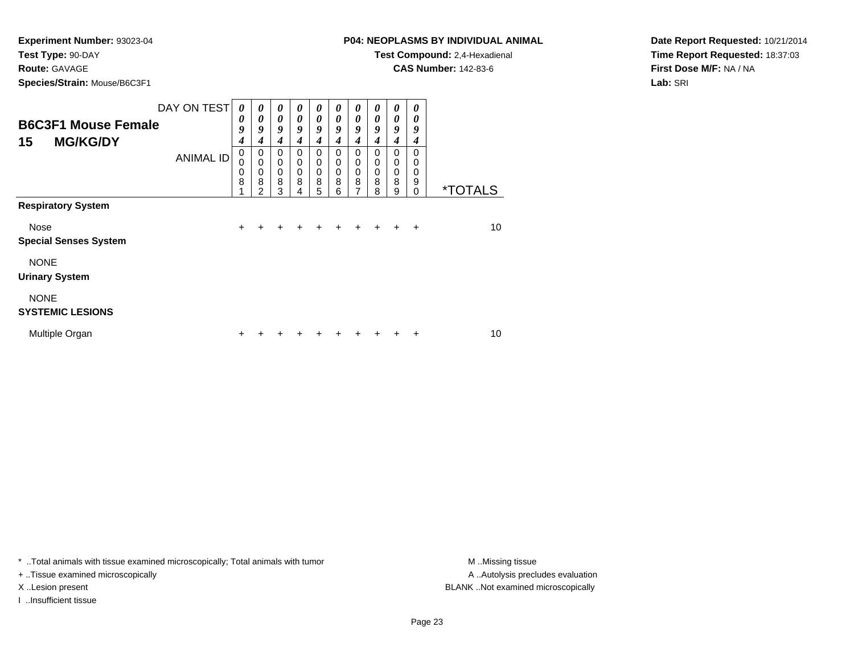**Route:** GAVAGE

**Species/Strain:** Mouse/B6C3F1

**Test Compound:** 2,4-Hexadienal

**CAS Number:** 142-83-6

**Date Report Requested:** 10/21/2014**Time Report Requested:** 18:37:03**First Dose M/F:** NA / NA**Lab:** SRI

| <b>B6C3F1 Mouse Female</b><br><b>MG/KG/DY</b><br>15 | DAY ON TEST<br><b>ANIMAL ID</b> | $\boldsymbol{\theta}$<br>0<br>9<br>4<br>0<br>0<br>0 | $\boldsymbol{\theta}$<br>0<br>9<br>4<br>0<br>$\mathbf 0$<br>0 | $\boldsymbol{\theta}$<br>$\boldsymbol{\theta}$<br>9<br>4<br>$\Omega$<br>0<br>0 | 0<br>$\theta$<br>9<br>4<br>$\Omega$<br>0<br>$\mathbf 0$ | 0<br>$\boldsymbol{\theta}$<br>9<br>$\boldsymbol{4}$<br>$\Omega$<br>0<br>$\mathbf 0$ | 0<br>0<br>9<br>4<br>0<br>0<br>0 | 0<br>$\boldsymbol{\theta}$<br>9<br>4<br>0<br>0<br>$\mathbf 0$<br>8 | 0<br>0<br>9<br>4<br>0<br>0<br>0 | 0<br>0<br>9<br>4<br>0<br>0<br>0<br>8 | 0<br>0<br>9<br>4<br>0<br>0<br>0 |                       |
|-----------------------------------------------------|---------------------------------|-----------------------------------------------------|---------------------------------------------------------------|--------------------------------------------------------------------------------|---------------------------------------------------------|-------------------------------------------------------------------------------------|---------------------------------|--------------------------------------------------------------------|---------------------------------|--------------------------------------|---------------------------------|-----------------------|
|                                                     |                                 | 8                                                   | 8<br>$\mathfrak{p}$                                           | 8<br>3                                                                         | 8                                                       | 8<br>5                                                                              | 8<br>6                          | $\overline{7}$                                                     | 8<br>8                          | 9                                    | 9<br>$\Omega$                   | <i><b>*TOTALS</b></i> |
| <b>Respiratory System</b>                           |                                 |                                                     |                                                               |                                                                                |                                                         |                                                                                     |                                 |                                                                    |                                 |                                      |                                 |                       |
| Nose<br><b>Special Senses System</b>                |                                 | $\ddot{}$                                           |                                                               |                                                                                |                                                         |                                                                                     |                                 |                                                                    |                                 |                                      | $\div$                          | 10                    |
| <b>NONE</b><br><b>Urinary System</b>                |                                 |                                                     |                                                               |                                                                                |                                                         |                                                                                     |                                 |                                                                    |                                 |                                      |                                 |                       |
| <b>NONE</b><br><b>SYSTEMIC LESIONS</b>              |                                 |                                                     |                                                               |                                                                                |                                                         |                                                                                     |                                 |                                                                    |                                 |                                      |                                 |                       |
| Multiple Organ                                      |                                 | ٠                                                   |                                                               |                                                                                |                                                         |                                                                                     |                                 |                                                                    |                                 |                                      | ٠                               | 10                    |

\* ..Total animals with tissue examined microscopically; Total animals with tumor **M** . Missing tissue M ..Missing tissue

+ ..Tissue examined microscopically

I ..Insufficient tissue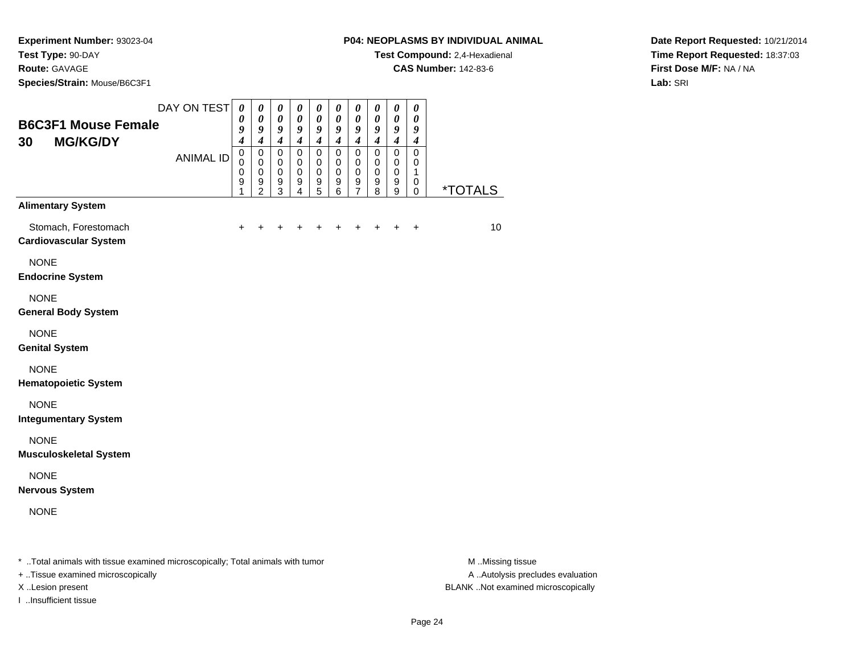**Species/Strain:** Mouse/B6C3F1

### **P04: NEOPLASMS BY INDIVIDUAL ANIMAL**

**Test Compound:** 2,4-Hexadienal

**CAS Number:** 142-83-6

**Date Report Requested:** 10/21/2014**Time Report Requested:** 18:37:03**First Dose M/F:** NA / NA**Lab:** SRI

| <b>B6C3F1 Mouse Female</b><br><b>MG/KG/DY</b><br>30  | DAY ON TEST                                                                                                     | $\boldsymbol{\theta}$<br>0<br>9<br>$\boldsymbol{4}$ | $\boldsymbol{\theta}$<br>0<br>9<br>$\boldsymbol{4}$            | 0<br>$\boldsymbol{\theta}$<br>9<br>$\boldsymbol{4}$ | 0<br>$\boldsymbol{\theta}$<br>9<br>$\boldsymbol{4}$ | $\boldsymbol{\theta}$<br>0<br>9<br>$\boldsymbol{4}$    | $\boldsymbol{\theta}$<br>$\boldsymbol{\theta}$<br>9<br>$\boldsymbol{4}$ | $\pmb{\theta}$<br>0<br>$\boldsymbol{9}$<br>$\boldsymbol{4}$ | $\boldsymbol{\theta}$<br>$\boldsymbol{\theta}$<br>9<br>$\boldsymbol{4}$ | $\pmb{\theta}$<br>$\boldsymbol{\theta}$<br>$\boldsymbol{g}$<br>$\boldsymbol{4}$ | $\boldsymbol{\theta}$<br>0<br>9<br>$\boldsymbol{4}$ |                       |
|------------------------------------------------------|-----------------------------------------------------------------------------------------------------------------|-----------------------------------------------------|----------------------------------------------------------------|-----------------------------------------------------|-----------------------------------------------------|--------------------------------------------------------|-------------------------------------------------------------------------|-------------------------------------------------------------|-------------------------------------------------------------------------|---------------------------------------------------------------------------------|-----------------------------------------------------|-----------------------|
|                                                      | <b>ANIMAL ID</b>                                                                                                | $\mathbf 0$<br>$\mathbf 0$<br>0<br>9<br>1           | $\mathbf 0$<br>$\mathbf 0$<br>$\pmb{0}$<br>9<br>$\overline{2}$ | 0<br>0<br>$\pmb{0}$<br>9<br>3                       | $\mathbf 0$<br>$\mathbf 0$<br>$\mathbf 0$<br>9<br>4 | $\pmb{0}$<br>0<br>$\mathbf 0$<br>$\boldsymbol{9}$<br>5 | $\pmb{0}$<br>0<br>$\pmb{0}$<br>9<br>6                                   | $\mathbf 0$<br>0<br>$\mathbf 0$<br>9<br>7                   | $\mathbf 0$<br>0<br>$\mathbf 0$<br>9<br>8                               | $\mathbf 0$<br>0<br>$\pmb{0}$<br>$\boldsymbol{9}$<br>9                          | $\mathbf 0$<br>$\mathbf 0$<br>1<br>0<br>$\mathbf 0$ | <i><b>*TOTALS</b></i> |
| <b>Alimentary System</b>                             |                                                                                                                 |                                                     |                                                                |                                                     |                                                     |                                                        |                                                                         |                                                             |                                                                         |                                                                                 |                                                     |                       |
| Stomach, Forestomach<br><b>Cardiovascular System</b> |                                                                                                                 | $\ddot{}$                                           | +                                                              | +                                                   | +                                                   | $\ddot{}$                                              | $\ddot{}$                                                               | $\ddot{}$                                                   | +                                                                       | $\ddot{}$                                                                       | $\ddot{}$                                           | 10                    |
| <b>NONE</b><br><b>Endocrine System</b>               |                                                                                                                 |                                                     |                                                                |                                                     |                                                     |                                                        |                                                                         |                                                             |                                                                         |                                                                                 |                                                     |                       |
| <b>NONE</b><br><b>General Body System</b>            |                                                                                                                 |                                                     |                                                                |                                                     |                                                     |                                                        |                                                                         |                                                             |                                                                         |                                                                                 |                                                     |                       |
| <b>NONE</b><br><b>Genital System</b>                 |                                                                                                                 |                                                     |                                                                |                                                     |                                                     |                                                        |                                                                         |                                                             |                                                                         |                                                                                 |                                                     |                       |
| <b>NONE</b><br><b>Hematopoietic System</b>           |                                                                                                                 |                                                     |                                                                |                                                     |                                                     |                                                        |                                                                         |                                                             |                                                                         |                                                                                 |                                                     |                       |
| <b>NONE</b><br><b>Integumentary System</b>           |                                                                                                                 |                                                     |                                                                |                                                     |                                                     |                                                        |                                                                         |                                                             |                                                                         |                                                                                 |                                                     |                       |
| <b>NONE</b><br><b>Musculoskeletal System</b>         |                                                                                                                 |                                                     |                                                                |                                                     |                                                     |                                                        |                                                                         |                                                             |                                                                         |                                                                                 |                                                     |                       |
| <b>NONE</b><br><b>Nervous System</b>                 |                                                                                                                 |                                                     |                                                                |                                                     |                                                     |                                                        |                                                                         |                                                             |                                                                         |                                                                                 |                                                     |                       |
| <b>NONE</b>                                          |                                                                                                                 |                                                     |                                                                |                                                     |                                                     |                                                        |                                                                         |                                                             |                                                                         |                                                                                 |                                                     |                       |
|                                                      | the contract of the contract of the contract of the contract of the contract of the contract of the contract of |                                                     |                                                                |                                                     |                                                     |                                                        |                                                                         |                                                             |                                                                         |                                                                                 |                                                     | .                     |

\* ..Total animals with tissue examined microscopically; Total animals with tumor **M** ...Missing tissue M ...Missing tissue

+ ..Tissue examined microscopically

I ..Insufficient tissue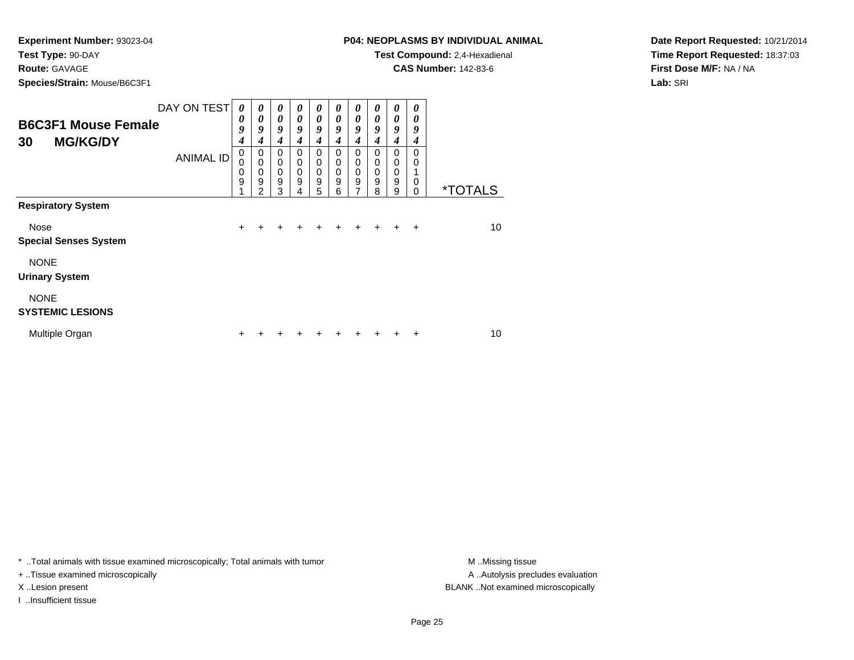**Route:** GAVAGE

**Species/Strain:** Mouse/B6C3F1

# **P04: NEOPLASMS BY INDIVIDUAL ANIMAL**

**Test Compound:** 2,4-Hexadienal

**CAS Number:** 142-83-6

**Date Report Requested:** 10/21/2014**Time Report Requested:** 18:37:03**First Dose M/F:** NA / NA**Lab:** SRI

| <b>B6C3F1 Mouse Female</b><br><b>MG/KG/DY</b><br>30 | DAY ON TEST      | $\boldsymbol{\theta}$<br>0<br>9<br>4 | $\boldsymbol{\theta}$<br>$\boldsymbol{\theta}$<br>9<br>4 | $\boldsymbol{\theta}$<br>$\theta$<br>9<br>4 | 0<br>0<br>9<br>4      | 0<br>$\boldsymbol{\theta}$<br>9<br>$\boldsymbol{4}$                | 0<br>0<br>9<br>4                       | $\boldsymbol{\theta}$<br>$\boldsymbol{\theta}$<br>9<br>$\boldsymbol{4}$ | 0<br>0<br>9<br>4      | 0<br>0<br>9<br>4      | 0<br>0<br>9<br>4        |                       |
|-----------------------------------------------------|------------------|--------------------------------------|----------------------------------------------------------|---------------------------------------------|-----------------------|--------------------------------------------------------------------|----------------------------------------|-------------------------------------------------------------------------|-----------------------|-----------------------|-------------------------|-----------------------|
|                                                     | <b>ANIMAL ID</b> | 0<br>0<br>0<br>9                     | 0<br>$\mathbf 0$<br>0<br>9<br>$\mathfrak{p}$             | 0<br>$\mathbf 0$<br>$\mathbf 0$<br>9<br>3   | 0<br>0<br>0<br>9<br>4 | $\mathbf 0$<br>$\mathbf 0$<br>$\mathbf 0$<br>$\boldsymbol{9}$<br>5 | $\Omega$<br>0<br>$\mathbf 0$<br>9<br>6 | $\Omega$<br>0<br>0<br>$\mathsf g$<br>7                                  | 0<br>0<br>0<br>9<br>8 | 0<br>0<br>0<br>9<br>9 | $\Omega$<br>0<br>0<br>0 | <i><b>*TOTALS</b></i> |
| <b>Respiratory System</b>                           |                  |                                      |                                                          |                                             |                       |                                                                    |                                        |                                                                         |                       |                       |                         |                       |
| Nose<br><b>Special Senses System</b>                |                  | $\ddot{}$                            | +                                                        | ÷                                           | +                     | ÷                                                                  | ÷                                      | $\pm$                                                                   | $\ddot{}$             | $\pm$                 | $\div$                  | 10                    |
| <b>NONE</b><br><b>Urinary System</b>                |                  |                                      |                                                          |                                             |                       |                                                                    |                                        |                                                                         |                       |                       |                         |                       |
| <b>NONE</b><br><b>SYSTEMIC LESIONS</b>              |                  |                                      |                                                          |                                             |                       |                                                                    |                                        |                                                                         |                       |                       |                         |                       |
| Multiple Organ                                      |                  | +                                    |                                                          |                                             |                       |                                                                    |                                        |                                                                         |                       |                       | +                       | 10                    |

\* ..Total animals with tissue examined microscopically; Total animals with tumor **M** . Missing tissue M ..Missing tissue

+ ..Tissue examined microscopically

I ..Insufficient tissue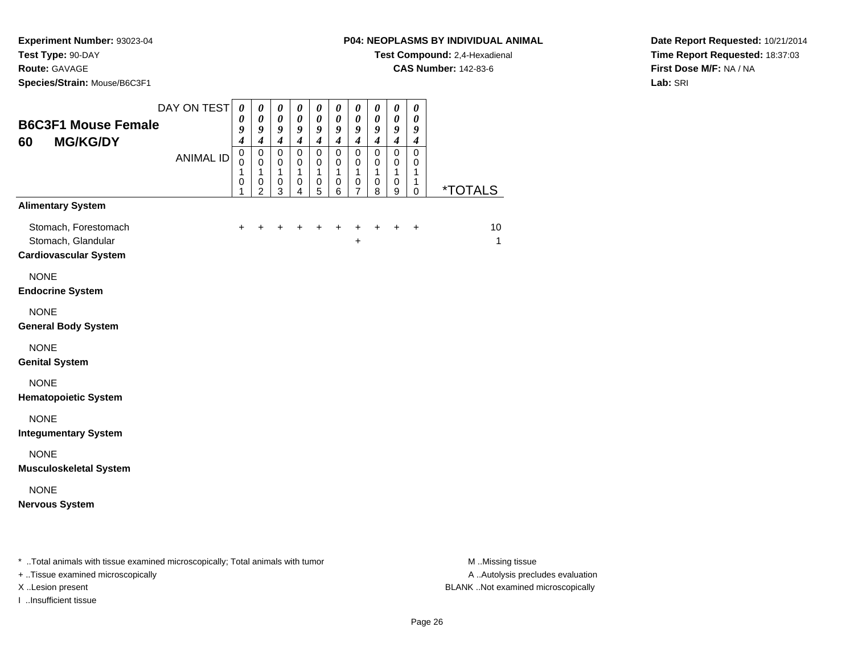**Species/Strain:** Mouse/B6C3F1

### **P04: NEOPLASMS BY INDIVIDUAL ANIMAL**

**Test Compound:** 2,4-Hexadienal

**CAS Number:** 142-83-6

**Date Report Requested:** 10/21/2014**Time Report Requested:** 18:37:03**First Dose M/F:** NA / NA**Lab:** SRI

| <b>B6C3F1 Mouse Female</b><br><b>MG/KG/DY</b><br>60                        | DAY ON TEST      | $\boldsymbol{\theta}$<br>0<br>9<br>$\boldsymbol{4}$ | 0<br>0<br>9<br>4                   | 0<br>$\pmb{\theta}$<br>9<br>$\boldsymbol{4}$ | 0<br>$\boldsymbol{\theta}$<br>9<br>$\boldsymbol{4}$ | 0<br>$\boldsymbol{\theta}$<br>9<br>$\boldsymbol{4}$ | 0<br>$\boldsymbol{\theta}$<br>9<br>$\boldsymbol{4}$ | $\boldsymbol{\theta}$<br>$\boldsymbol{\theta}$<br>9<br>$\boldsymbol{4}$ | $\boldsymbol{\theta}$<br>$\boldsymbol{\theta}$<br>9<br>$\boldsymbol{4}$ | $\pmb{\theta}$<br>$\pmb{\theta}$<br>9<br>$\boldsymbol{4}$ | $\boldsymbol{\theta}$<br>$\boldsymbol{\theta}$<br>9<br>$\boldsymbol{4}$ |                       |
|----------------------------------------------------------------------------|------------------|-----------------------------------------------------|------------------------------------|----------------------------------------------|-----------------------------------------------------|-----------------------------------------------------|-----------------------------------------------------|-------------------------------------------------------------------------|-------------------------------------------------------------------------|-----------------------------------------------------------|-------------------------------------------------------------------------|-----------------------|
|                                                                            | <b>ANIMAL ID</b> | $\pmb{0}$<br>$\Omega$<br>1<br>0<br>1                | 0<br>0<br>1<br>0<br>$\overline{2}$ | 0<br>0<br>1<br>0<br>3                        | $\mathbf 0$<br>0<br>$\mathbf{1}$<br>0<br>4          | $\mathbf 0$<br>0<br>$\mathbf{1}$<br>0<br>5          | $\mathbf 0$<br>0<br>$\mathbf{1}$<br>0<br>6          | $\mathbf 0$<br>0<br>$\mathbf{1}$<br>0<br>$\overline{7}$                 | $\mathbf 0$<br>0<br>$\mathbf{1}$<br>0<br>8                              | $\pmb{0}$<br>0<br>$\mathbf{1}$<br>0<br>9                  | $\mathbf 0$<br>0<br>1<br>1<br>$\mathbf 0$                               | <i><b>*TOTALS</b></i> |
| <b>Alimentary System</b>                                                   |                  |                                                     |                                    |                                              |                                                     |                                                     |                                                     |                                                                         |                                                                         |                                                           |                                                                         |                       |
| Stomach, Forestomach<br>Stomach, Glandular<br><b>Cardiovascular System</b> |                  | +                                                   |                                    |                                              |                                                     |                                                     | +                                                   | +<br>$\ddot{}$                                                          | $\ddot{}$                                                               | $\ddot{}$                                                 | $\ddot{}$                                                               | 10<br>$\mathbf{1}$    |
| <b>NONE</b><br><b>Endocrine System</b>                                     |                  |                                                     |                                    |                                              |                                                     |                                                     |                                                     |                                                                         |                                                                         |                                                           |                                                                         |                       |
| <b>NONE</b><br><b>General Body System</b>                                  |                  |                                                     |                                    |                                              |                                                     |                                                     |                                                     |                                                                         |                                                                         |                                                           |                                                                         |                       |
| <b>NONE</b><br><b>Genital System</b>                                       |                  |                                                     |                                    |                                              |                                                     |                                                     |                                                     |                                                                         |                                                                         |                                                           |                                                                         |                       |
| <b>NONE</b><br><b>Hematopoietic System</b>                                 |                  |                                                     |                                    |                                              |                                                     |                                                     |                                                     |                                                                         |                                                                         |                                                           |                                                                         |                       |
| <b>NONE</b><br><b>Integumentary System</b>                                 |                  |                                                     |                                    |                                              |                                                     |                                                     |                                                     |                                                                         |                                                                         |                                                           |                                                                         |                       |
| <b>NONE</b><br><b>Musculoskeletal System</b>                               |                  |                                                     |                                    |                                              |                                                     |                                                     |                                                     |                                                                         |                                                                         |                                                           |                                                                         |                       |
| <b>NONE</b><br><b>Nervous System</b>                                       |                  |                                                     |                                    |                                              |                                                     |                                                     |                                                     |                                                                         |                                                                         |                                                           |                                                                         |                       |
|                                                                            |                  |                                                     |                                    |                                              |                                                     |                                                     |                                                     |                                                                         |                                                                         |                                                           |                                                                         |                       |

\* ..Total animals with tissue examined microscopically; Total animals with tumor **M** . Missing tissue M ..Missing tissue

+ ..Tissue examined microscopically

I ..Insufficient tissue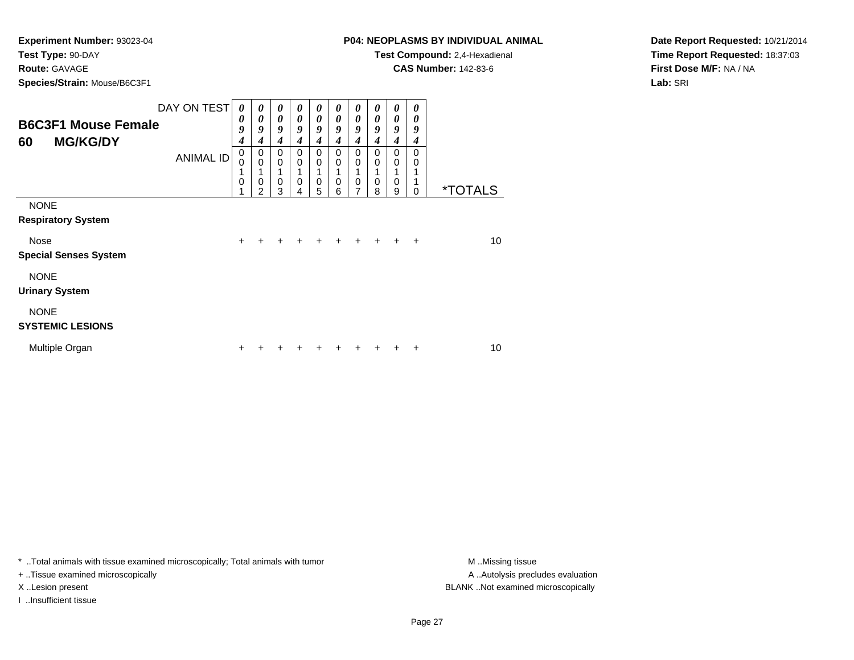**Route:** GAVAGE

**Species/Strain:** Mouse/B6C3F1

# **P04: NEOPLASMS BY INDIVIDUAL ANIMAL**

**Test Compound:** 2,4-Hexadienal

**CAS Number:** 142-83-6

**Date Report Requested:** 10/21/2014**Time Report Requested:** 18:37:03**First Dose M/F:** NA / NA**Lab:** SRI

| <b>B6C3F1 Mouse Female</b><br><b>MG/KG/DY</b><br>60 | DAY ON TEST<br><b>ANIMAL ID</b> | 0<br>0<br>9<br>4<br>0<br>$\Omega$<br>1<br>0 | 0<br>0<br>9<br>4<br>0<br>$\mathbf 0$<br>0 | $\boldsymbol{\theta}$<br>$\boldsymbol{\theta}$<br>9<br>$\boldsymbol{4}$<br>0<br>$\mathbf 0$<br>$\mathbf 0$ | 0<br>$\boldsymbol{\theta}$<br>9<br>4<br>0<br>$\Omega$<br>0 | $\boldsymbol{\theta}$<br>$\boldsymbol{\theta}$<br>9<br>$\boldsymbol{4}$<br>0<br>$\mathbf 0$<br>$\mathbf 0$ | $\boldsymbol{\theta}$<br>$\boldsymbol{\theta}$<br>9<br>4<br>0<br>$\mathbf 0$<br>$\mathbf 0$ | $\boldsymbol{\theta}$<br>$\boldsymbol{\theta}$<br>9<br>$\boldsymbol{4}$<br>$\Omega$<br>$\mathbf 0$<br>$\mathbf 0$ | $\boldsymbol{\theta}$<br>$\boldsymbol{\theta}$<br>9<br>4<br>$\Omega$<br>$\mathbf 0$<br>0 | 0<br>0<br>9<br>$\boldsymbol{4}$<br>$\mathbf 0$<br>$\mathbf 0$<br>1<br>$\mathbf 0$ | 0<br>0<br>9<br>4<br>0<br>0 |                       |
|-----------------------------------------------------|---------------------------------|---------------------------------------------|-------------------------------------------|------------------------------------------------------------------------------------------------------------|------------------------------------------------------------|------------------------------------------------------------------------------------------------------------|---------------------------------------------------------------------------------------------|-------------------------------------------------------------------------------------------------------------------|------------------------------------------------------------------------------------------|-----------------------------------------------------------------------------------|----------------------------|-----------------------|
|                                                     |                                 |                                             | $\mathfrak{p}$                            | 3                                                                                                          | 4                                                          | 5                                                                                                          | 6                                                                                           | 7                                                                                                                 | 8                                                                                        | 9                                                                                 | 0                          | <i><b>*TOTALS</b></i> |
| <b>NONE</b><br><b>Respiratory System</b>            |                                 |                                             |                                           |                                                                                                            |                                                            |                                                                                                            |                                                                                             |                                                                                                                   |                                                                                          |                                                                                   |                            |                       |
| Nose                                                |                                 | $+$                                         | +                                         | ÷                                                                                                          | ٠                                                          | +                                                                                                          | ٠                                                                                           | $\ddot{}$                                                                                                         |                                                                                          | $\ddot{}$                                                                         | $\ddot{}$                  | 10                    |
| <b>Special Senses System</b>                        |                                 |                                             |                                           |                                                                                                            |                                                            |                                                                                                            |                                                                                             |                                                                                                                   |                                                                                          |                                                                                   |                            |                       |
| <b>NONE</b><br><b>Urinary System</b>                |                                 |                                             |                                           |                                                                                                            |                                                            |                                                                                                            |                                                                                             |                                                                                                                   |                                                                                          |                                                                                   |                            |                       |
| <b>NONE</b><br><b>SYSTEMIC LESIONS</b>              |                                 |                                             |                                           |                                                                                                            |                                                            |                                                                                                            |                                                                                             |                                                                                                                   |                                                                                          |                                                                                   |                            |                       |
| Multiple Organ                                      |                                 | ٠                                           |                                           |                                                                                                            |                                                            |                                                                                                            |                                                                                             |                                                                                                                   |                                                                                          |                                                                                   | ٠                          | 10                    |

\* ..Total animals with tissue examined microscopically; Total animals with tumor **M** . Missing tissue M ..Missing tissue

+ ..Tissue examined microscopically

I ..Insufficient tissue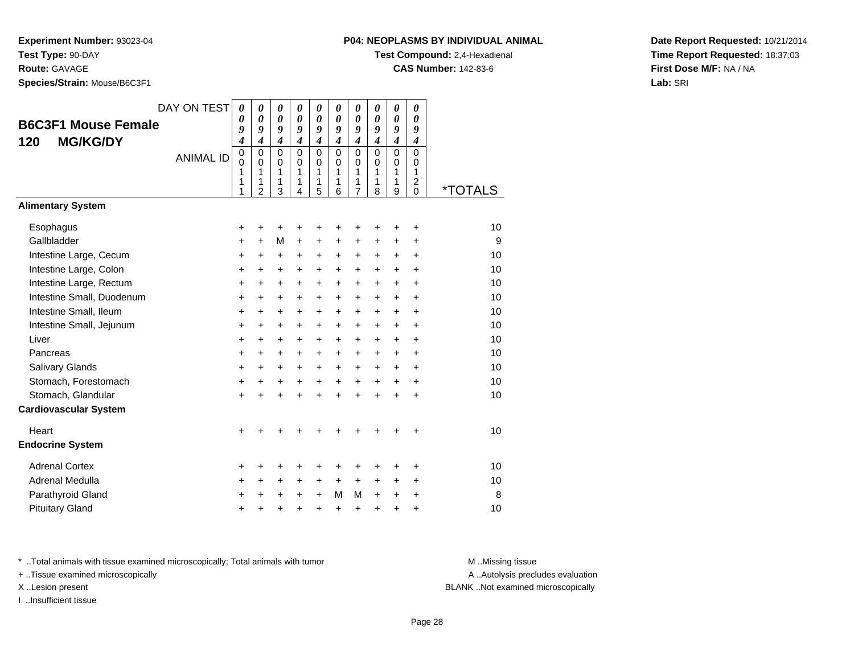**Route:** GAVAGE

**Species/Strain:** Mouse/B6C3F1

# **P04: NEOPLASMS BY INDIVIDUAL ANIMAL**

**Test Compound:** 2,4-Hexadienal

**CAS Number:** 142-83-6

**Date Report Requested:** 10/21/2014**Time Report Requested:** 18:37:03**First Dose M/F:** NA / NA**Lab:** SRI

| <b>B6C3F1 Mouse Female</b><br><b>MG/KG/DY</b><br>120<br><b>Alimentary System</b> | DAY ON TEST<br><b>ANIMAL ID</b> | 0<br>$\boldsymbol{\theta}$<br>9<br>$\boldsymbol{4}$<br>0<br>$\mathbf 0$<br>1<br>1<br>1 | $\boldsymbol{\theta}$<br>$\boldsymbol{\theta}$<br>9<br>$\boldsymbol{4}$<br>$\mathbf 0$<br>$\Omega$<br>1<br>1<br>$\overline{2}$ | 0<br>$\boldsymbol{\theta}$<br>9<br>$\boldsymbol{4}$<br>$\mathbf 0$<br>0<br>1<br>1<br>3 | 0<br>$\boldsymbol{\theta}$<br>9<br>$\boldsymbol{4}$<br>$\mathbf 0$<br>$\Omega$<br>1<br>1<br>4 | 0<br>$\boldsymbol{\theta}$<br>9<br>$\boldsymbol{4}$<br>$\mathbf 0$<br>0<br>1<br>1<br>5 | 0<br>$\boldsymbol{\theta}$<br>9<br>$\boldsymbol{4}$<br>$\Omega$<br>$\Omega$<br>1<br>1<br>6 | 0<br>$\boldsymbol{\theta}$<br>9<br>$\boldsymbol{4}$<br>$\mathbf 0$<br>0<br>1<br>1<br>$\overline{7}$ | 0<br>$\boldsymbol{\theta}$<br>9<br>$\boldsymbol{4}$<br>$\mathbf 0$<br>$\Omega$<br>1<br>1<br>8 | 0<br>$\pmb{\theta}$<br>9<br>$\boldsymbol{4}$<br>$\mathbf 0$<br>$\mathbf 0$<br>1<br>1<br>9 | 0<br>$\boldsymbol{\theta}$<br>9<br>$\boldsymbol{4}$<br>$\mathbf 0$<br>$\Omega$<br>1<br>$\overline{2}$<br>$\Omega$ | <i><b>*TOTALS</b></i> |
|----------------------------------------------------------------------------------|---------------------------------|----------------------------------------------------------------------------------------|--------------------------------------------------------------------------------------------------------------------------------|----------------------------------------------------------------------------------------|-----------------------------------------------------------------------------------------------|----------------------------------------------------------------------------------------|--------------------------------------------------------------------------------------------|-----------------------------------------------------------------------------------------------------|-----------------------------------------------------------------------------------------------|-------------------------------------------------------------------------------------------|-------------------------------------------------------------------------------------------------------------------|-----------------------|
|                                                                                  |                                 |                                                                                        |                                                                                                                                |                                                                                        |                                                                                               |                                                                                        |                                                                                            |                                                                                                     |                                                                                               |                                                                                           |                                                                                                                   |                       |
| Esophagus                                                                        |                                 | $\ddot{}$                                                                              | +                                                                                                                              | +                                                                                      | +                                                                                             | +                                                                                      | +                                                                                          | +                                                                                                   | +                                                                                             | +                                                                                         | +                                                                                                                 | 10                    |
| Gallbladder                                                                      |                                 | +                                                                                      | $\ddot{}$                                                                                                                      | M                                                                                      | $\ddot{}$                                                                                     | +                                                                                      | +                                                                                          | +                                                                                                   | +                                                                                             | +                                                                                         | +                                                                                                                 | 9                     |
| Intestine Large, Cecum<br>Intestine Large, Colon                                 |                                 | $\ddot{}$                                                                              | $\ddot{}$                                                                                                                      | $\ddot{}$                                                                              | $\ddot{}$                                                                                     | $\ddot{}$<br>$\ddot{}$                                                                 | +<br>$\ddot{}$                                                                             | $\ddot{}$<br>$\ddot{}$                                                                              | $\ddot{}$<br>$\ddot{}$                                                                        | $\ddot{}$<br>$\ddot{}$                                                                    | $\ddot{}$<br>$\ddot{}$                                                                                            | 10<br>10              |
| Intestine Large, Rectum                                                          |                                 | $\ddot{}$<br>$\ddot{}$                                                                 | $\ddot{}$<br>$\ddot{}$                                                                                                         | $\ddot{}$<br>$\ddot{}$                                                                 | $\ddot{}$<br>$\ddot{}$                                                                        | $\ddot{}$                                                                              | $\ddot{}$                                                                                  | $\ddot{}$                                                                                           | $\ddot{}$                                                                                     | $\ddot{}$                                                                                 | $\ddot{}$                                                                                                         | 10                    |
| Intestine Small, Duodenum                                                        |                                 | $\ddot{}$                                                                              | $\ddot{}$                                                                                                                      | $\ddot{}$                                                                              | $\ddot{}$                                                                                     | $\ddot{}$                                                                              | $\ddot{}$                                                                                  | $\ddot{}$                                                                                           | $\ddot{}$                                                                                     | $\ddot{}$                                                                                 | $\ddot{}$                                                                                                         | 10                    |
| Intestine Small, Ileum                                                           |                                 | $\ddot{}$                                                                              | $\ddot{}$                                                                                                                      | $\ddot{}$                                                                              | $\ddot{}$                                                                                     | $\ddot{}$                                                                              | $\ddot{}$                                                                                  | $\ddot{}$                                                                                           | $\ddot{}$                                                                                     | $\ddot{}$                                                                                 | $\ddot{}$                                                                                                         | 10                    |
| Intestine Small, Jejunum                                                         |                                 | +                                                                                      | +                                                                                                                              | $\ddot{}$                                                                              | $\ddot{}$                                                                                     | $\ddot{}$                                                                              | +                                                                                          | $\ddot{}$                                                                                           | +                                                                                             | +                                                                                         | $\ddot{}$                                                                                                         | 10                    |
| Liver                                                                            |                                 | +                                                                                      | +                                                                                                                              | +                                                                                      | +                                                                                             | +                                                                                      | $\ddot{}$                                                                                  | $\ddot{}$                                                                                           | $\ddot{}$                                                                                     | $\ddot{}$                                                                                 | +                                                                                                                 | 10                    |
| Pancreas                                                                         |                                 | $\ddot{}$                                                                              | $\ddot{}$                                                                                                                      | $\ddot{}$                                                                              | $+$                                                                                           | $+$                                                                                    | $\ddot{}$                                                                                  | $\ddot{}$                                                                                           | $\ddot{}$                                                                                     | $+$                                                                                       | $\ddot{}$                                                                                                         | 10                    |
| Salivary Glands                                                                  |                                 | +                                                                                      | $\ddot{}$                                                                                                                      | $\ddot{}$                                                                              | $\ddot{}$                                                                                     | $\ddot{}$                                                                              | +                                                                                          | $\ddot{}$                                                                                           | $\ddot{}$                                                                                     | $\ddot{}$                                                                                 | $\ddot{}$                                                                                                         | 10                    |
| Stomach, Forestomach                                                             |                                 | $\ddot{}$                                                                              | $\ddot{}$                                                                                                                      | +                                                                                      | +                                                                                             | $\ddot{}$                                                                              | $\ddot{}$                                                                                  | $\ddot{}$                                                                                           | $\ddot{}$                                                                                     | $\ddot{}$                                                                                 | $\ddot{}$                                                                                                         | 10                    |
| Stomach, Glandular                                                               |                                 | $\ddot{}$                                                                              | $\ddot{}$                                                                                                                      | $\ddot{}$                                                                              | $\ddot{}$                                                                                     | $\ddot{}$                                                                              | $\ddot{}$                                                                                  | $\ddot{}$                                                                                           | $\ddot{}$                                                                                     | $\ddot{}$                                                                                 | $\ddot{}$                                                                                                         | 10                    |
| <b>Cardiovascular System</b>                                                     |                                 |                                                                                        |                                                                                                                                |                                                                                        |                                                                                               |                                                                                        |                                                                                            |                                                                                                     |                                                                                               |                                                                                           |                                                                                                                   |                       |
| Heart                                                                            |                                 | $\ddot{}$                                                                              |                                                                                                                                |                                                                                        |                                                                                               |                                                                                        |                                                                                            |                                                                                                     |                                                                                               |                                                                                           | +                                                                                                                 | 10                    |
| <b>Endocrine System</b>                                                          |                                 |                                                                                        |                                                                                                                                |                                                                                        |                                                                                               |                                                                                        |                                                                                            |                                                                                                     |                                                                                               |                                                                                           |                                                                                                                   |                       |
| <b>Adrenal Cortex</b>                                                            |                                 | +                                                                                      | +                                                                                                                              | ٠                                                                                      | +                                                                                             | ٠                                                                                      | ٠                                                                                          | +                                                                                                   |                                                                                               | +                                                                                         | +                                                                                                                 | 10                    |
| Adrenal Medulla                                                                  |                                 | +                                                                                      | +                                                                                                                              | +                                                                                      | $\ddot{}$                                                                                     | $\ddot{}$                                                                              | $\ddot{}$                                                                                  | +                                                                                                   | +                                                                                             | +                                                                                         | +                                                                                                                 | 10                    |
| Parathyroid Gland                                                                |                                 | +                                                                                      | +                                                                                                                              | $\ddot{}$                                                                              | $\ddot{}$                                                                                     | $\ddot{}$                                                                              | М                                                                                          | M                                                                                                   | $+$                                                                                           | $\ddot{}$                                                                                 | +                                                                                                                 | 8                     |
| <b>Pituitary Gland</b>                                                           |                                 | $\ddot{}$                                                                              | +                                                                                                                              | +                                                                                      | $\ddot{}$                                                                                     | $\ddot{}$                                                                              | $\ddot{}$                                                                                  | +                                                                                                   | $\ddot{}$                                                                                     | +                                                                                         | +                                                                                                                 | 10                    |

\* ..Total animals with tissue examined microscopically; Total animals with tumor **M** . Missing tissue M ..Missing tissue

+ ..Tissue examined microscopically

I ..Insufficient tissue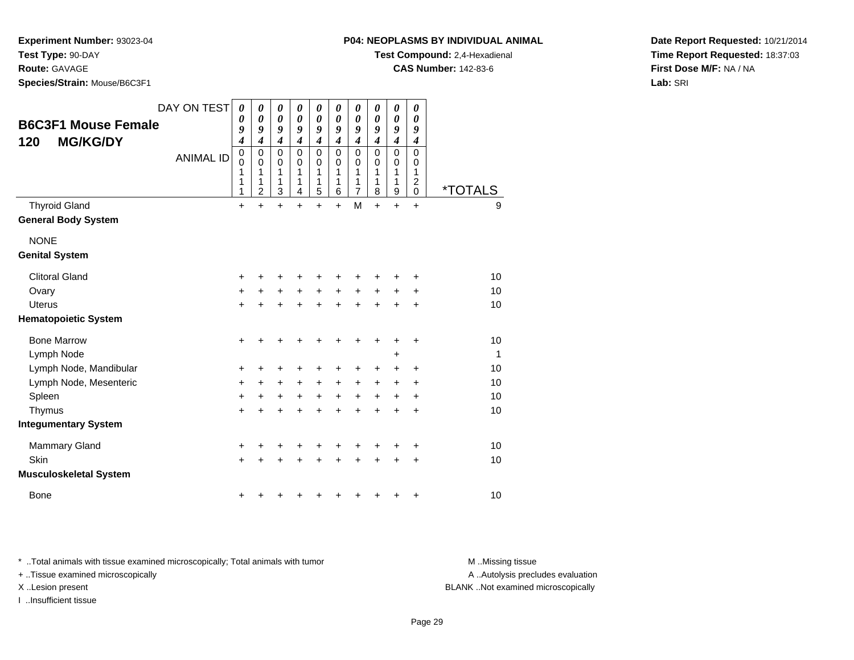**P04: NEOPLASMS BY INDIVIDUAL ANIMAL**

**Test Compound:** 2,4-Hexadienal

**CAS Number:** 142-83-6

**Experiment Number:** 93023-04**Test Type:** 90-DAY

**Route:** GAVAGE

**Species/Strain:** Mouse/B6C3F1

**Date Report Requested:** 10/21/2014**Time Report Requested:** 18:37:03**First Dose M/F:** NA / NA**Lab:** SRI

| <b>B6C3F1 Mouse Female</b><br><b>MG/KG/DY</b><br>120 | DAY ON TEST<br><b>ANIMAL ID</b> | 0<br>0<br>9<br>4<br>$\mathbf 0$<br>$\mathbf 0$<br>1<br>1<br>1 | 0<br>0<br>9<br>$\boldsymbol{4}$<br>$\mathbf 0$<br>0<br>1<br>1<br>2 | $\boldsymbol{\theta}$<br>$\boldsymbol{\theta}$<br>9<br>$\boldsymbol{4}$<br>0<br>0<br>1<br>1<br>3 | 0<br>0<br>9<br>$\boldsymbol{4}$<br>$\mathbf 0$<br>$\Omega$<br>1<br>1<br>4 | 0<br>0<br>9<br>$\overline{\mathbf{4}}$<br>0<br>0<br>1<br>1<br>5 | 0<br>0<br>9<br>$\boldsymbol{4}$<br>$\mathbf 0$<br>$\Omega$<br>1<br>1<br>6 | 0<br>$\boldsymbol{\theta}$<br>9<br>$\overline{\mathbf{4}}$<br>$\mathbf 0$<br>0<br>1<br>1<br>7 | $\boldsymbol{\theta}$<br>$\boldsymbol{\theta}$<br>9<br>$\boldsymbol{4}$<br>$\mathbf 0$<br>$\Omega$<br>1<br>1<br>8 | 0<br>0<br>9<br>$\boldsymbol{4}$<br>$\mathbf 0$<br>0<br>1<br>1<br>$\mathsf g$ | 0<br>0<br>9<br>$\boldsymbol{4}$<br>$\mathbf 0$<br>0<br>1<br>$\overline{c}$<br>0 | <i><b>*TOTALS</b></i> |
|------------------------------------------------------|---------------------------------|---------------------------------------------------------------|--------------------------------------------------------------------|--------------------------------------------------------------------------------------------------|---------------------------------------------------------------------------|-----------------------------------------------------------------|---------------------------------------------------------------------------|-----------------------------------------------------------------------------------------------|-------------------------------------------------------------------------------------------------------------------|------------------------------------------------------------------------------|---------------------------------------------------------------------------------|-----------------------|
| <b>Thyroid Gland</b>                                 |                                 | $\ddot{}$                                                     | $\ddot{}$                                                          | $\ddot{}$                                                                                        | $\ddot{}$                                                                 | $\ddot{}$                                                       | $\ddot{}$                                                                 | M                                                                                             | $\ddot{}$                                                                                                         | $\ddot{}$                                                                    | $\ddot{}$                                                                       | 9                     |
| <b>General Body System</b>                           |                                 |                                                               |                                                                    |                                                                                                  |                                                                           |                                                                 |                                                                           |                                                                                               |                                                                                                                   |                                                                              |                                                                                 |                       |
| <b>NONE</b>                                          |                                 |                                                               |                                                                    |                                                                                                  |                                                                           |                                                                 |                                                                           |                                                                                               |                                                                                                                   |                                                                              |                                                                                 |                       |
| <b>Genital System</b>                                |                                 |                                                               |                                                                    |                                                                                                  |                                                                           |                                                                 |                                                                           |                                                                                               |                                                                                                                   |                                                                              |                                                                                 |                       |
| <b>Clitoral Gland</b>                                |                                 | +                                                             |                                                                    | +                                                                                                |                                                                           |                                                                 |                                                                           |                                                                                               |                                                                                                                   |                                                                              |                                                                                 | 10                    |
| Ovary                                                |                                 | $\ddot{}$                                                     | +                                                                  | +                                                                                                | $\ddot{}$                                                                 | +                                                               | $\ddot{}$                                                                 | +                                                                                             | +                                                                                                                 |                                                                              | ٠                                                                               | 10                    |
| <b>Uterus</b>                                        |                                 | +                                                             | $\ddot{}$                                                          | $\ddot{}$                                                                                        | $\ddot{}$                                                                 | $\ddot{}$                                                       | $\ddot{}$                                                                 | $\ddot{}$                                                                                     |                                                                                                                   |                                                                              | +                                                                               | 10                    |
| <b>Hematopoietic System</b>                          |                                 |                                                               |                                                                    |                                                                                                  |                                                                           |                                                                 |                                                                           |                                                                                               |                                                                                                                   |                                                                              |                                                                                 |                       |
| <b>Bone Marrow</b>                                   |                                 | $\ddot{}$                                                     | +                                                                  | +                                                                                                |                                                                           |                                                                 |                                                                           |                                                                                               |                                                                                                                   |                                                                              | ٠                                                                               | 10                    |
| Lymph Node                                           |                                 |                                                               |                                                                    |                                                                                                  |                                                                           |                                                                 |                                                                           |                                                                                               |                                                                                                                   | +                                                                            |                                                                                 | 1                     |
| Lymph Node, Mandibular                               |                                 | +                                                             | +                                                                  | +                                                                                                |                                                                           | +                                                               |                                                                           | +                                                                                             | ٠                                                                                                                 |                                                                              | +                                                                               | 10                    |
| Lymph Node, Mesenteric                               |                                 | +                                                             | $\ddot{}$                                                          | $\ddot{}$                                                                                        | $\ddot{}$                                                                 | $\ddot{}$                                                       | $\ddot{}$                                                                 | $\ddot{}$                                                                                     | $\ddot{}$                                                                                                         | $\pm$                                                                        | +                                                                               | 10                    |
| Spleen                                               |                                 | $\ddot{}$                                                     | $\ddot{}$                                                          | $\ddot{}$                                                                                        | +                                                                         | +                                                               | $\ddot{}$                                                                 | +                                                                                             | $\ddot{}$                                                                                                         | +                                                                            | +                                                                               | 10                    |
| Thymus                                               |                                 | $\ddot{}$                                                     | +                                                                  | $\ddot{}$                                                                                        | $\ddot{}$                                                                 | $\ddot{}$                                                       | ÷                                                                         | +                                                                                             | ÷                                                                                                                 | +                                                                            | +                                                                               | 10                    |
| <b>Integumentary System</b>                          |                                 |                                                               |                                                                    |                                                                                                  |                                                                           |                                                                 |                                                                           |                                                                                               |                                                                                                                   |                                                                              |                                                                                 |                       |
| <b>Mammary Gland</b>                                 |                                 | +                                                             | +                                                                  | +                                                                                                |                                                                           |                                                                 |                                                                           |                                                                                               |                                                                                                                   |                                                                              | +                                                                               | 10                    |
| Skin                                                 |                                 | $\ddot{}$                                                     | +                                                                  | $\ddot{}$                                                                                        |                                                                           | +                                                               |                                                                           | +                                                                                             |                                                                                                                   | +                                                                            | +                                                                               | 10                    |
| <b>Musculoskeletal System</b>                        |                                 |                                                               |                                                                    |                                                                                                  |                                                                           |                                                                 |                                                                           |                                                                                               |                                                                                                                   |                                                                              |                                                                                 |                       |
| <b>Bone</b>                                          |                                 | +                                                             | ٠                                                                  |                                                                                                  |                                                                           |                                                                 |                                                                           | ٠                                                                                             |                                                                                                                   |                                                                              | +                                                                               | 10                    |

\* ..Total animals with tissue examined microscopically; Total animals with tumor **M** . Missing tissue M ..Missing tissue

+ ..Tissue examined microscopically

I ..Insufficient tissue